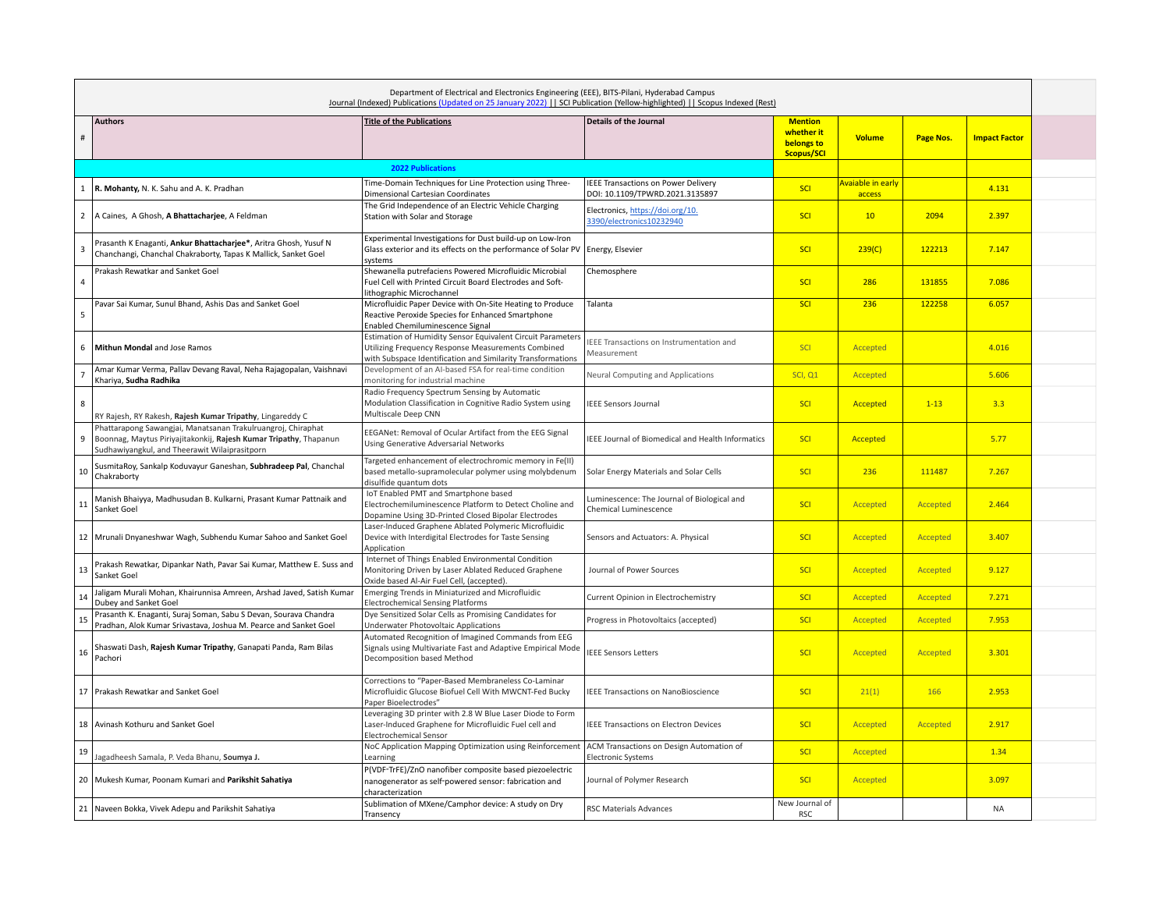| Department of Electrical and Electronics Engineering (EEE), BITS-Pilani, Hyderabad Campus<br>Journal (Indexed) Publications (Updated on 25 January 2022)     SCI Publication (Yellow-highlighted)     Scopus Indexed (Rest) |                                                                                                                                                                                    |                                                                                                                                                                                  |                                                                        |                                                                 |                             |           |                      |  |
|-----------------------------------------------------------------------------------------------------------------------------------------------------------------------------------------------------------------------------|------------------------------------------------------------------------------------------------------------------------------------------------------------------------------------|----------------------------------------------------------------------------------------------------------------------------------------------------------------------------------|------------------------------------------------------------------------|-----------------------------------------------------------------|-----------------------------|-----------|----------------------|--|
| $\#$                                                                                                                                                                                                                        | <b>Authors</b>                                                                                                                                                                     | <b>Title of the Publications</b>                                                                                                                                                 | <b>Details of the Journal</b>                                          | <b>Mention</b><br>whether it<br><b>belongs to</b><br>Scopus/SCI | <b>Volume</b>               | Page Nos. | <b>Impact Factor</b> |  |
|                                                                                                                                                                                                                             |                                                                                                                                                                                    | <b>2022 Publications</b>                                                                                                                                                         |                                                                        |                                                                 |                             |           |                      |  |
| 1                                                                                                                                                                                                                           | R. Mohanty, N. K. Sahu and A. K. Pradhan                                                                                                                                           | Time-Domain Techniques for Line Protection using Three-<br>Dimensional Cartesian Coordinates                                                                                     | IEEE Transactions on Power Delivery<br>DOI: 10.1109/TPWRD.2021.3135897 | <b>SCI</b>                                                      | Avaiable in early<br>access |           | 4.131                |  |
| $\overline{2}$                                                                                                                                                                                                              | A Caines, A Ghosh, A Bhattacharjee, A Feldman                                                                                                                                      | The Grid Independence of an Electric Vehicle Charging<br>Station with Solar and Storage                                                                                          | Electronics, https://doi.org/10.<br>3390/electronics10232940           | SCI                                                             | 10 <sup>°</sup>             | 2094      | 2.397                |  |
| 3                                                                                                                                                                                                                           | Prasanth K Enaganti, Ankur Bhattacharjee*, Aritra Ghosh, Yusuf N<br>Chanchangi, Chanchal Chakraborty, Tapas K Mallick, Sanket Goel                                                 | Experimental Investigations for Dust build-up on Low-Iron<br>Glass exterior and its effects on the performance of Solar PV<br>systems                                            | Energy, Elsevier                                                       | SCI                                                             | 239(C)                      | 122213    | 7.147                |  |
| $\overline{4}$                                                                                                                                                                                                              | Prakash Rewatkar and Sanket Goel                                                                                                                                                   | Shewanella putrefaciens Powered Microfluidic Microbial<br>Fuel Cell with Printed Circuit Board Electrodes and Soft-<br>lithographic Microchannel                                 | Chemosphere                                                            | SCI                                                             | 286                         | 131855    | 7.086                |  |
| 5                                                                                                                                                                                                                           | Pavar Sai Kumar, Sunul Bhand, Ashis Das and Sanket Goel                                                                                                                            | Microfluidic Paper Device with On-Site Heating to Produce<br>Reactive Peroxide Species for Enhanced Smartphone<br>Enabled Chemiluminescence Signal                               | Talanta                                                                | SCI                                                             | 236                         | 122258    | 6.057                |  |
| 6                                                                                                                                                                                                                           | Mithun Mondal and Jose Ramos                                                                                                                                                       | Estimation of Humidity Sensor Equivalent Circuit Parameters<br>Utilizing Frequency Response Measurements Combined<br>with Subspace Identification and Similarity Transformations | EEE Transactions on Instrumentation and<br>Measurement                 | SCI                                                             | Accepted                    |           | 4.016                |  |
| $\overline{7}$                                                                                                                                                                                                              | Amar Kumar Verma, Pallav Devang Raval, Neha Rajagopalan, Vaishnavi<br>Khariya, Sudha Radhika                                                                                       | Development of an AI-based FSA for real-time condition<br>monitoring for industrial machine                                                                                      | Neural Computing and Applications                                      | SCI, Q1                                                         | <b>Accepted</b>             |           | 5.606                |  |
| 8                                                                                                                                                                                                                           | RY Rajesh, RY Rakesh, Rajesh Kumar Tripathy, Lingareddy C                                                                                                                          | Radio Frequency Spectrum Sensing by Automatic<br>Modulation Classification in Cognitive Radio System using<br>Multiscale Deep CNN                                                | <b>IEEE Sensors Journal</b>                                            | SCI                                                             | Accepted                    | $1 - 13$  | 3.3                  |  |
| 9                                                                                                                                                                                                                           | Phattarapong Sawangjai, Manatsanan Trakulruangroj, Chiraphat<br>Boonnag, Maytus Piriyajitakonkij, Rajesh Kumar Tripathy, Thapanun<br>Sudhawiyangkul, and Theerawit Wilaiprasitporn | EEGANet: Removal of Ocular Artifact from the EEG Signal<br>Using Generative Adversarial Networks                                                                                 | IEEE Journal of Biomedical and Health Informatics                      | SCI                                                             | Accepted                    |           | 5.77                 |  |
| 10                                                                                                                                                                                                                          | SusmitaRoy, Sankalp Koduvayur Ganeshan, Subhradeep Pal, Chanchal<br>Chakraborty                                                                                                    | Targeted enhancement of electrochromic memory in Fe(II)<br>based metallo-supramolecular polymer using molybdenum<br>disulfide quantum dots                                       | Solar Energy Materials and Solar Cells                                 | SCI                                                             | 236                         | 111487    | 7.267                |  |
| 11                                                                                                                                                                                                                          | Manish Bhaiyya, Madhusudan B. Kulkarni, Prasant Kumar Pattnaik and<br>Sanket Goel                                                                                                  | IoT Enabled PMT and Smartphone based<br>Electrochemiluminescence Platform to Detect Choline and<br>Dopamine Using 3D-Printed Closed Bipolar Electrodes                           | Luminescence: The Journal of Biological and<br>Chemical Luminescence   | <b>SCI</b>                                                      | <b>Accepted</b>             | Accepted  | 2.464                |  |
|                                                                                                                                                                                                                             | 12 Mrunali Dnyaneshwar Wagh, Subhendu Kumar Sahoo and Sanket Goel                                                                                                                  | Laser-Induced Graphene Ablated Polymeric Microfluidic<br>Device with Interdigital Electrodes for Taste Sensing<br>Application                                                    | Sensors and Actuators: A. Physical                                     | <b>SCI</b>                                                      | Accepted                    | Accepted  | 3.407                |  |
| 13                                                                                                                                                                                                                          | Prakash Rewatkar, Dipankar Nath, Pavar Sai Kumar, Matthew E. Suss and<br>Sanket Goel                                                                                               | Internet of Things Enabled Environmental Condition<br>Monitoring Driven by Laser Ablated Reduced Graphene<br>Oxide based Al-Air Fuel Cell, (accepted).                           | Journal of Power Sources                                               | <b>SCI</b>                                                      | Accepted                    | Accepted  | 9.127                |  |
| 14                                                                                                                                                                                                                          | Jaligam Murali Mohan, Khairunnisa Amreen, Arshad Javed, Satish Kumar<br>Dubey and Sanket Goel                                                                                      | Emerging Trends in Miniaturized and Microfluidic<br><b>Electrochemical Sensing Platforms</b>                                                                                     | Current Opinion in Electrochemistry                                    | SCI                                                             | Accepted                    | Accepted  | 7.271                |  |
| 15                                                                                                                                                                                                                          | Prasanth K. Enaganti, Suraj Soman, Sabu S Devan, Sourava Chandra<br>Pradhan, Alok Kumar Srivastava, Joshua M. Pearce and Sanket Goel                                               | Dye Sensitized Solar Cells as Promising Candidates for<br>Underwater Photovoltaic Applications                                                                                   | Progress in Photovoltaics (accepted)                                   | SCI                                                             | Accepted                    | Accepted  | 7.953                |  |
| 16                                                                                                                                                                                                                          | Shaswati Dash, Rajesh Kumar Tripathy, Ganapati Panda, Ram Bilas<br>Pachori                                                                                                         | Automated Recognition of Imagined Commands from EEG<br>Signals using Multivariate Fast and Adaptive Empirical Mode<br>Decomposition based Method                                 | <b>IEEE Sensors Letters</b>                                            | SCI                                                             | <b>Accepted</b>             | Accepted  | 3.301                |  |
|                                                                                                                                                                                                                             | 17 Prakash Rewatkar and Sanket Goel                                                                                                                                                | Corrections to "Paper-Based Membraneless Co-Laminar<br>Microfluidic Glucose Biofuel Cell With MWCNT-Fed Bucky<br>Paper Bioelectrodes"                                            | <b>IEEE Transactions on NanoBioscience</b>                             | <b>SCI</b>                                                      | 21(1)                       | 166       | 2.953                |  |
|                                                                                                                                                                                                                             | 18 Avinash Kothuru and Sanket Goel                                                                                                                                                 | Leveraging 3D printer with 2.8 W Blue Laser Diode to Form<br>Laser-Induced Graphene for Microfluidic Fuel cell and<br><b>Electrochemical Sensor</b>                              | IEEE Transactions on Electron Devices                                  | <b>SCI</b>                                                      | <b>Accepted</b>             | Accepted  | 2.917                |  |
| 19                                                                                                                                                                                                                          | lagadheesh Samala, P. Veda Bhanu, Soumya J.                                                                                                                                        | NoC Application Mapping Optimization using Reinforcement<br>Learning                                                                                                             | ACM Transactions on Design Automation of<br>Electronic Systems         | SCI                                                             | Accepted                    |           | 1.34                 |  |
|                                                                                                                                                                                                                             | 20 Mukesh Kumar, Poonam Kumari and Parikshit Sahatiya                                                                                                                              | P(VDF-TrFE)/ZnO nanofiber composite based piezoelectric<br>nanogenerator as self-powered sensor: fabrication and<br>characterization                                             | Journal of Polymer Research                                            | <b>SCI</b>                                                      | Accepted                    |           | 3.097                |  |
|                                                                                                                                                                                                                             | 21 Naveen Bokka, Vivek Adepu and Parikshit Sahatiya                                                                                                                                | Sublimation of MXene/Camphor device: A study on Dry<br>Transency                                                                                                                 | RSC Materials Advances                                                 | New Journal of<br><b>RSC</b>                                    |                             |           | <b>NA</b>            |  |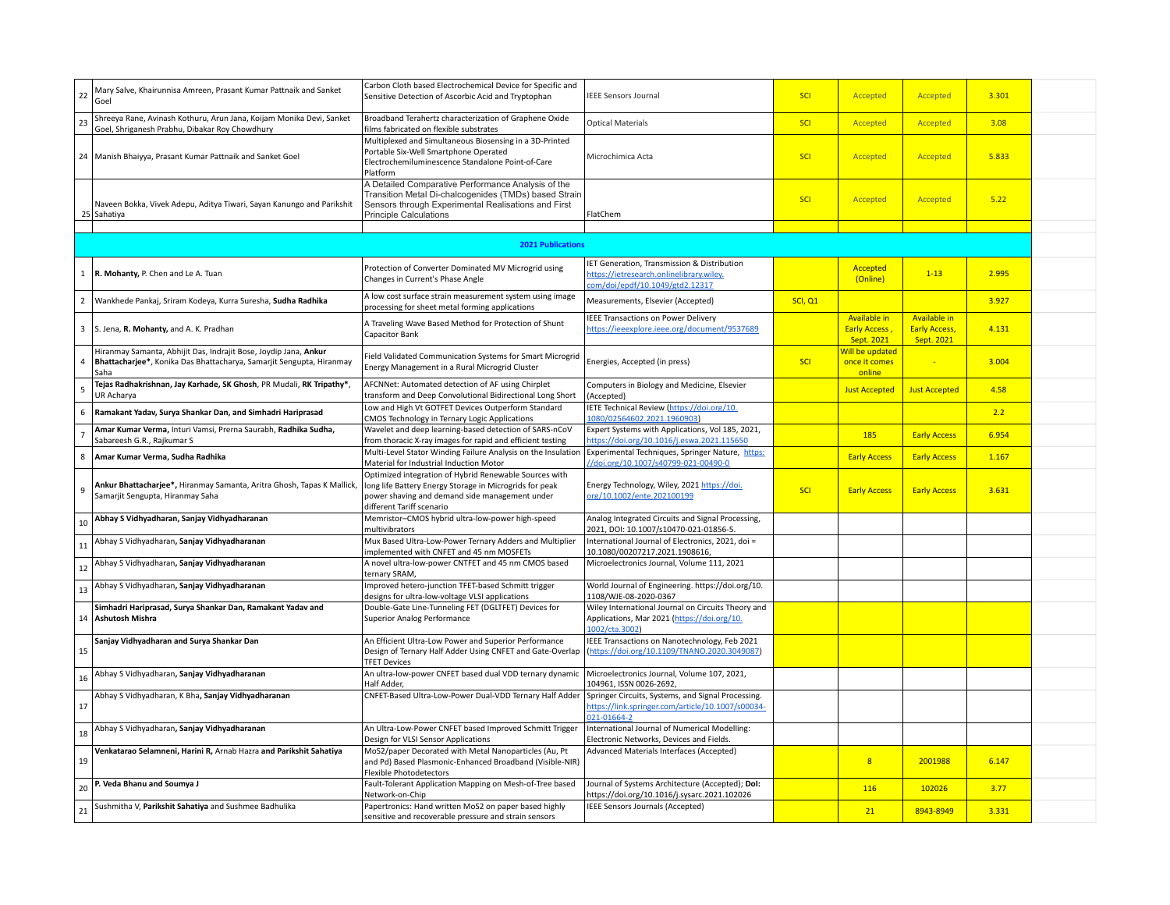| 22             | Mary Salve, Khairunnisa Amreen, Prasant Kumar Pattnaik and Sanket<br>Goel                                                                        | Carbon Cloth based Electrochemical Device for Specific and<br>Sensitive Detection of Ascorbic Acid and Tryptophan                                                                                   | <b>IEEE Sensors Journal</b>                                                                                               | SCI     | Accepted                                                  | Accepted                                                  | 3.301 |  |
|----------------|--------------------------------------------------------------------------------------------------------------------------------------------------|-----------------------------------------------------------------------------------------------------------------------------------------------------------------------------------------------------|---------------------------------------------------------------------------------------------------------------------------|---------|-----------------------------------------------------------|-----------------------------------------------------------|-------|--|
| 23             | Shreeya Rane, Avinash Kothuru, Arun Jana, Koijam Monika Devi, Sanket<br>Goel, Shriganesh Prabhu, Dibakar Roy Chowdhury                           | Broadband Terahertz characterization of Graphene Oxide<br>films fabricated on flexible substrates                                                                                                   | <b>Optical Materials</b>                                                                                                  | SCI     | Accepted                                                  | Accepted                                                  | 3.08  |  |
|                | 24 Manish Bhaiyya, Prasant Kumar Pattnaik and Sanket Goel                                                                                        | Multiplexed and Simultaneous Biosensing in a 3D-Printed<br>Portable Six-Well Smartphone Operated<br>Electrochemiluminescence Standalone Point-of-Care<br>Platform                                   | Microchimica Acta                                                                                                         | SCI     | Accepted                                                  | Accepted                                                  | 5.833 |  |
|                | Naveen Bokka, Vivek Adepu, Aditya Tiwari, Sayan Kanungo and Parikshit<br>25 Sahatiya                                                             | A Detailed Comparative Performance Analysis of the<br>Transition Metal Di-chalcogenides (TMDs) based Strain<br>Sensors through Experimental Realisations and First<br><b>Principle Calculations</b> | FlatChem                                                                                                                  | SCI     | Accepted                                                  | Accepted                                                  | 5.22  |  |
|                |                                                                                                                                                  | <b>2021 Publications</b>                                                                                                                                                                            |                                                                                                                           |         |                                                           |                                                           |       |  |
|                |                                                                                                                                                  |                                                                                                                                                                                                     |                                                                                                                           |         |                                                           |                                                           |       |  |
|                | 1   R. Mohanty, P. Chen and Le A. Tuan                                                                                                           | Protection of Converter Dominated MV Microgrid using<br>Changes in Current's Phase Angle                                                                                                            | IET Generation, Transmission & Distribution<br>https://ietresearch.onlinelibrary.wiley.<br>om/doi/epdf/10.1049/gtd2.12317 |         | Accepted<br>(Online)                                      | $1 - 13$                                                  | 2.995 |  |
| $\overline{2}$ | Wankhede Pankaj, Sriram Kodeya, Kurra Suresha, Sudha Radhika                                                                                     | A low cost surface strain measurement system using image<br>processing for sheet metal forming applications                                                                                         | Measurements, Elsevier (Accepted)                                                                                         | SCI, Q1 |                                                           |                                                           | 3.927 |  |
|                | 3 S. Jena, R. Mohanty, and A. K. Pradhan                                                                                                         | A Traveling Wave Based Method for Protection of Shunt<br>Capacitor Bank                                                                                                                             | <b>IEEE Transactions on Power Delivery</b><br>https://ieeexplore.ieee.org/document/9537689                                |         | <b>Available in</b><br><b>Early Access,</b><br>Sept. 2021 | <b>Available in</b><br><b>Early Access,</b><br>Sept. 2021 | 4.131 |  |
| $\overline{4}$ | Hiranmay Samanta, Abhijit Das, Indrajit Bose, Joydip Jana, Ankur<br>Bhattacharjee*, Konika Das Bhattacharya, Samarjit Sengupta, Hiranmay<br>Saha | Field Validated Communication Systems for Smart Microgrid<br>Energy Management in a Rural Microgrid Cluster                                                                                         | Energies, Accepted (in press)                                                                                             | SCI     | Will be updated<br>once it comes<br>online                |                                                           | 3.004 |  |
| 5              | Tejas Radhakrishnan, Jay Karhade, SK Ghosh, PR Mudali, RK Tripathy*,<br>UR Acharya                                                               | AFCNNet: Automated detection of AF using Chirplet<br>transform and Deep Convolutional Bidirectional Long Short                                                                                      | Computers in Biology and Medicine, Elsevier<br>(Accepted)                                                                 |         | <b>Just Accepted</b>                                      | <b>Just Accepted</b>                                      | 4.58  |  |
|                | 6 Ramakant Yadav, Surya Shankar Dan, and Simhadri Hariprasad                                                                                     | Low and High Vt GOTFET Devices Outperform Standard<br>CMOS Technology in Ternary Logic Applications                                                                                                 | IETE Technical Review (https://doi.org/10.<br>1080/02564602.2021.1960903)                                                 |         |                                                           |                                                           | 2.2   |  |
|                | Amar Kumar Verma, Inturi Vamsi, Prerna Saurabh, Radhika Sudha,<br>Sabareesh G.R., Rajkumar S                                                     | Wavelet and deep learning-based detection of SARS-nCoV<br>from thoracic X-ray images for rapid and efficient testing                                                                                | Expert Systems with Applications, Vol 185, 2021,<br>https://doi.org/10.1016/j.eswa.2021.115650                            |         | 185                                                       | <b>Early Access</b>                                       | 6.954 |  |
| 8              | Amar Kumar Verma, Sudha Radhika                                                                                                                  | Multi-Level Stator Winding Failure Analysis on the Insulation<br>Material for Industrial Induction Motor                                                                                            | Experimental Techniques, Springer Nature, https:<br>/doi.org/10.1007/s40799-021-00490-0                                   |         | <b>Early Access</b>                                       | <b>Early Access</b>                                       | 1.167 |  |
| $\overline{9}$ | Ankur Bhattacharjee*, Hiranmay Samanta, Aritra Ghosh, Tapas K Mallick,<br>Samarjit Sengupta, Hiranmay Saha                                       | Optimized integration of Hybrid Renewable Sources with<br>long life Battery Energy Storage in Microgrids for peak<br>power shaving and demand side management under<br>different Tariff scenario    | Energy Technology, Wiley, 2021 https://doi.<br>org/10.1002/ente.202100199                                                 | SCI     | <b>Early Access</b>                                       | <b>Early Access</b>                                       | 3.631 |  |
| 10             | Abhay S Vidhyadharan, Sanjay Vidhyadharanan                                                                                                      | Memristor-CMOS hybrid ultra-low-power high-speed<br>multivibrators                                                                                                                                  | Analog Integrated Circuits and Signal Processing,<br>2021, DOI: 10.1007/s10470-021-01856-5.                               |         |                                                           |                                                           |       |  |
| 11             | Abhay S Vidhyadharan, Sanjay Vidhyadharanan                                                                                                      | Mux Based Ultra-Low-Power Ternary Adders and Multiplier<br>implemented with CNFET and 45 nm MOSFETs                                                                                                 | International Journal of Electronics, 2021, doi =<br>10.1080/00207217.2021.1908616,                                       |         |                                                           |                                                           |       |  |
| $12\,$         | Abhay S Vidhyadharan, Sanjay Vidhyadharanan                                                                                                      | A novel ultra-low-power CNTFET and 45 nm CMOS based<br>ternary SRAM,                                                                                                                                | Microelectronics Journal, Volume 111, 2021                                                                                |         |                                                           |                                                           |       |  |
| 13             | Abhay S Vidhyadharan, Sanjay Vidhyadharanan                                                                                                      | Improved hetero-junction TFET-based Schmitt trigger<br>designs for ultra-low-voltage VLSI applications                                                                                              | World Journal of Engineering. https://doi.org/10.<br>1108/WJE-08-2020-0367                                                |         |                                                           |                                                           |       |  |
|                | Simhadri Hariprasad, Surya Shankar Dan, Ramakant Yadav and<br>14 Ashutosh Mishra                                                                 | Double-Gate Line-Tunneling FET (DGLTFET) Devices for<br><b>Superior Analog Performance</b>                                                                                                          | Wiley International Journal on Circuits Theory and<br>Applications, Mar 2021 (https://doi.org/10.<br>1002/cta.3002)       |         |                                                           |                                                           |       |  |
| 15             | Sanjay Vidhyadharan and Surya Shankar Dan                                                                                                        | An Efficient Ultra-Low Power and Superior Performance<br>Design of Ternary Half Adder Using CNFET and Gate-Overlap<br><b>TFET Devices</b>                                                           | IEEE Transactions on Nanotechnology, Feb 2021<br>(https://doi.org/10.1109/TNANO.2020.3049087)                             |         |                                                           |                                                           |       |  |
| 16             | Abhay S Vidhyadharan, Sanjay Vidhyadharanan                                                                                                      | An ultra-low-power CNFET based dual VDD ternary dynamic<br>Half Adder,                                                                                                                              | Microelectronics Journal, Volume 107, 2021,<br>104961, ISSN 0026-2692,                                                    |         |                                                           |                                                           |       |  |
| 17             | Abhay S Vidhyadharan, K Bha, Sanjay Vidhyadharanan                                                                                               | CNFET-Based Ultra-Low-Power Dual-VDD Ternary Half Adder                                                                                                                                             | Springer Circuits, Systems, and Signal Processing.<br>https://link.springer.com/article/10.1007/s00034-<br>021-01664-2    |         |                                                           |                                                           |       |  |
| $18\,$         | Abhay S Vidhyadharan, Sanjay Vidhyadharanan                                                                                                      | An Ultra-Low-Power CNFET based Improved Schmitt Trigger<br>Design for VLSI Sensor Applications                                                                                                      | International Journal of Numerical Modelling:<br>Electronic Networks, Devices and Fields.                                 |         |                                                           |                                                           |       |  |
| 19             | Venkatarao Selamneni, Harini R, Arnab Hazra and Parikshit Sahatiya                                                                               | MoS2/paper Decorated with Metal Nanoparticles (Au, Pt<br>and Pd) Based Plasmonic-Enhanced Broadband (Visible-NIR)<br><b>Flexible Photodetectors</b>                                                 | Advanced Materials Interfaces (Accepted)                                                                                  |         | $\overline{8}$                                            | 2001988                                                   | 6.147 |  |
| 20             | P. Veda Bhanu and Soumya J                                                                                                                       | Fault-Tolerant Application Mapping on Mesh-of-Tree based<br>Network-on-Chip                                                                                                                         | Journal of Systems Architecture (Accepted); Dol:<br>https://doi.org/10.1016/j.sysarc.2021.102026                          |         | 116                                                       | 102026                                                    | 3.77  |  |
| 21             | Sushmitha V, Parikshit Sahatiya and Sushmee Badhulika                                                                                            | Papertronics: Hand written MoS2 on paper based highly<br>sensitive and recoverable pressure and strain sensors                                                                                      | IEEE Sensors Journals (Accepted)                                                                                          |         | 21                                                        | 8943-8949                                                 | 3.331 |  |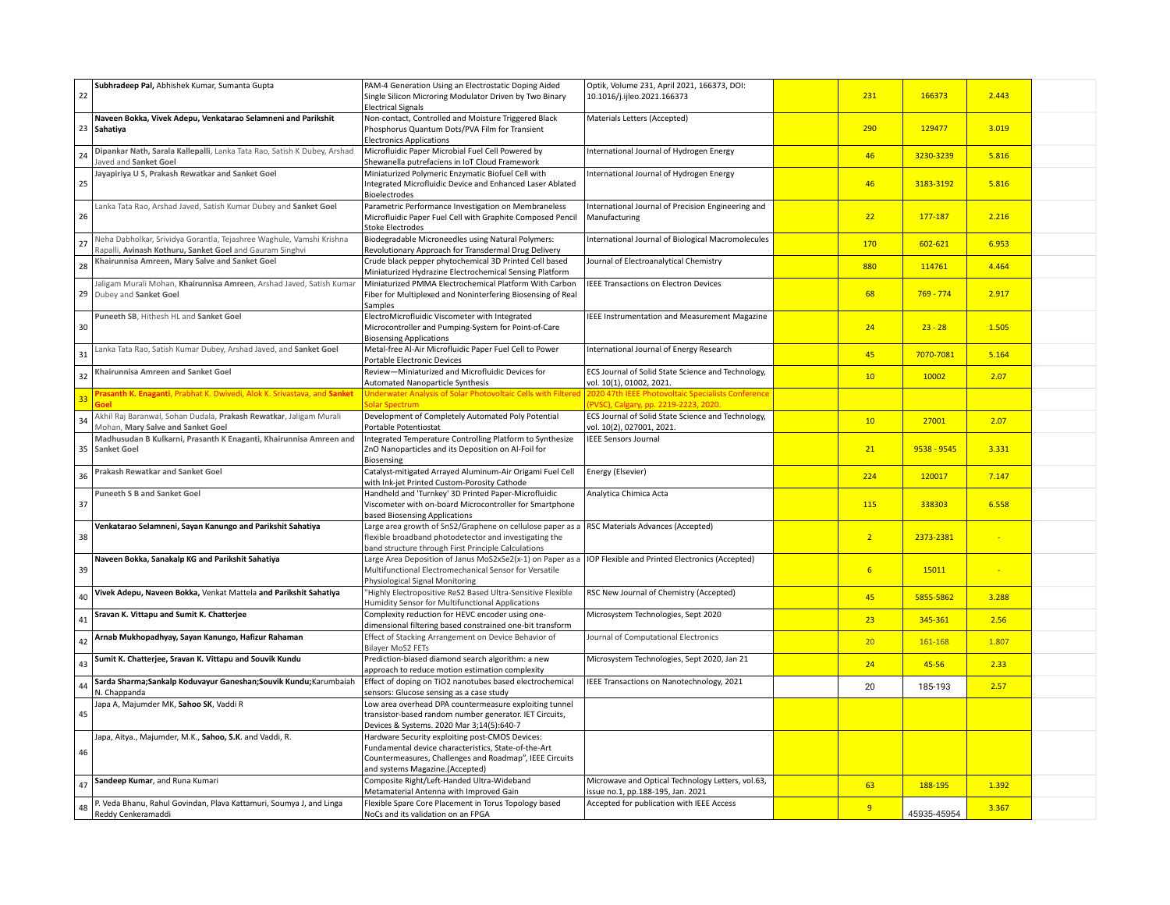| 22 | Subhradeep Pal, Abhishek Kumar, Sumanta Gupta                                                                                    | PAM-4 Generation Using an Electrostatic Doping Aided<br>Single Silicon Microring Modulator Driven by Two Binary<br><b>Electrical Signals</b>                                                          | Optik, Volume 231, April 2021, 166373, DOI:<br>10.1016/j.ijleo.2021.166373                 | 231             | 166373      | 2.443 |  |
|----|----------------------------------------------------------------------------------------------------------------------------------|-------------------------------------------------------------------------------------------------------------------------------------------------------------------------------------------------------|--------------------------------------------------------------------------------------------|-----------------|-------------|-------|--|
|    | Naveen Bokka, Vivek Adepu, Venkatarao Selamneni and Parikshit<br>23 Sahatiya                                                     | Non-contact, Controlled and Moisture Triggered Black<br>Phosphorus Quantum Dots/PVA Film for Transient<br><b>Electronics Applications</b>                                                             | Materials Letters (Accepted)                                                               | 290             | 129477      | 3.019 |  |
| 24 | Dipankar Nath, Sarala Kallepalli, Lanka Tata Rao, Satish K Dubey, Arshad<br>Javed and Sanket Goel                                | Microfluidic Paper Microbial Fuel Cell Powered by<br>Shewanella putrefaciens in IoT Cloud Framework                                                                                                   | International Journal of Hydrogen Energy                                                   | 46              | 3230-3239   | 5.816 |  |
| 25 | Jayapiriya U S, Prakash Rewatkar and Sanket Goel                                                                                 | Miniaturized Polymeric Enzymatic Biofuel Cell with<br>Integrated Microfluidic Device and Enhanced Laser Ablated<br>Bioelectrodes                                                                      | International Journal of Hydrogen Energy                                                   | 46              | 3183-3192   | 5.816 |  |
| 26 | Lanka Tata Rao, Arshad Javed, Satish Kumar Dubey and Sanket Goel                                                                 | Parametric Performance Investigation on Membraneless<br>Microfluidic Paper Fuel Cell with Graphite Composed Pencil<br><b>Stoke Electrodes</b>                                                         | International Journal of Precision Engineering and<br>Manufacturing                        | 22              | 177-187     | 2.216 |  |
| 27 | Neha Dabholkar, Srividya Gorantla, Tejashree Waghule, Vamshi Krishna<br>Rapalli, Avinash Kothuru, Sanket Goel and Gauram Singhvi | Biodegradable Microneedles using Natural Polymers:<br>Revolutionary Approach for Transdermal Drug Delivery                                                                                            | International Journal of Biological Macromolecules                                         | 170             | 602-621     | 6.953 |  |
| 28 | Khairunnisa Amreen, Mary Salve and Sanket Goel                                                                                   | Crude black pepper phytochemical 3D Printed Cell based<br>Miniaturized Hydrazine Electrochemical Sensing Platform                                                                                     | Journal of Electroanalytical Chemistry                                                     | 880             | 114761      | 4.464 |  |
| 29 | Jaligam Murali Mohan, Khairunnisa Amreen, Arshad Javed, Satish Kumar<br>Dubey and Sanket Goel                                    | Miniaturized PMMA Electrochemical Platform With Carbon<br>Fiber for Multiplexed and Noninterfering Biosensing of Real<br>Samples                                                                      | <b>IEEE Transactions on Electron Devices</b>                                               | 68              | $769 - 774$ | 2.917 |  |
| 30 | Puneeth SB, Hithesh HL and Sanket Goel                                                                                           | ElectroMicrofluidic Viscometer with Integrated<br>Microcontroller and Pumping-System for Point-of-Care<br><b>Biosensing Applications</b>                                                              | IEEE Instrumentation and Measurement Magazine                                              | 24              | $23 - 28$   | 1.505 |  |
| 31 | Lanka Tata Rao, Satish Kumar Dubey, Arshad Javed, and Sanket Goel                                                                | Metal-free Al-Air Microfluidic Paper Fuel Cell to Power<br>Portable Electronic Devices                                                                                                                | International Journal of Energy Research                                                   | 45              | 7070-7081   | 5.164 |  |
| 32 | Khairunnisa Amreen and Sanket Goel                                                                                               | Review-Miniaturized and Microfluidic Devices for<br>Automated Nanoparticle Synthesis                                                                                                                  | ECS Journal of Solid State Science and Technology,<br>vol. 10(1), 01002, 2021.             | 10 <sup>°</sup> | 10002       | 2.07  |  |
| 33 | Prasanth K. Enaganti, Prabhat K. Dwivedi, Alok K. Srivastava, and Sanke                                                          | <b>Jnderwater Analysis of Solar Photovoltaic Cells with Filtered</b><br>olar Spectrum                                                                                                                 | 2020 47th IEEE Photovoltaic Specialists Conference<br>PVSC), Calgary, pp. 2219-2223, 2020. |                 |             |       |  |
| 34 | Akhil Raj Baranwal, Sohan Dudala, Prakash Rewatkar, Jaligam Murali<br>Mohan, Mary Salve and Sanket Goel                          | Development of Completely Automated Poly Potential<br>Portable Potentiostat                                                                                                                           | ECS Journal of Solid State Science and Technology,<br>vol. 10(2), 027001, 2021.            | 10              | 27001       | 2.07  |  |
|    | Madhusudan B Kulkarni, Prasanth K Enaganti, Khairunnisa Amreen and<br>35 Sanket Goel                                             | Integrated Temperature Controlling Platform to Synthesize<br>ZnO Nanoparticles and its Deposition on Al-Foil for<br>Biosensing                                                                        | <b>IEEE Sensors Journal</b>                                                                | 21              | 9538 - 9545 | 3.331 |  |
| 36 | <b>Prakash Rewatkar and Sanket Goel</b>                                                                                          | Catalyst-mitigated Arrayed Aluminum-Air Origami Fuel Cell<br>with Ink-jet Printed Custom-Porosity Cathode                                                                                             | Energy (Elsevier)                                                                          | 224             | 120017      | 7.147 |  |
| 37 | <b>Puneeth S B and Sanket Goel</b>                                                                                               | Handheld and 'Turnkey' 3D Printed Paper-Microfluidic<br>Viscometer with on-board Microcontroller for Smartphone<br>based Biosensing Applications                                                      | Analytica Chimica Acta                                                                     | 115             | 338303      | 6.558 |  |
| 38 | Venkatarao Selamneni, Sayan Kanungo and Parikshit Sahatiya                                                                       | Large area growth of SnS2/Graphene on cellulose paper as a<br>flexible broadband photodetector and investigating the<br>band structure through First Principle Calculations                           | RSC Materials Advances (Accepted)                                                          | 2 <sup>1</sup>  | 2373-2381   |       |  |
| 39 | Naveen Bokka, Sanakalp KG and Parikshit Sahatiya                                                                                 | Large Area Deposition of Janus MoS2xSe2(x-1) on Paper as a<br>Multifunctional Electromechanical Sensor for Versatile<br>Physiological Signal Monitoring                                               | IOP Flexible and Printed Electronics (Accepted)                                            | 6 <sup>1</sup>  | 15011       |       |  |
| 40 | Vivek Adepu, Naveen Bokka, Venkat Mattela and Parikshit Sahatiya                                                                 | "Highly Electropositive ReS2 Based Ultra-Sensitive Flexible<br>Humidity Sensor for Multifunctional Applications                                                                                       | RSC New Journal of Chemistry (Accepted)                                                    | 45              | 5855-5862   | 3.288 |  |
| 41 | Sravan K. Vittapu and Sumit K. Chatterjee                                                                                        | Complexity reduction for HEVC encoder using one-<br>dimensional filtering based constrained one-bit transform                                                                                         | Microsystem Technologies, Sept 2020                                                        | 23              | 345-361     | 2.56  |  |
| 42 | Arnab Mukhopadhyay, Sayan Kanungo, Hafizur Rahaman                                                                               | Effect of Stacking Arrangement on Device Behavior of<br><b>Bilayer MoS2 FETs</b>                                                                                                                      | Journal of Computational Electronics                                                       | 20 <sup>°</sup> | 161-168     | 1.807 |  |
| 43 | Sumit K. Chatterjee, Sravan K. Vittapu and Souvik Kundu                                                                          | Prediction-biased diamond search algorithm: a new<br>approach to reduce motion estimation complexity                                                                                                  | Microsystem Technologies, Sept 2020, Jan 21                                                | 24              | 45-56       | 2.33  |  |
| 44 | Sarda Sharma;Sankalp Koduvayur Ganeshan;Souvik Kundu;Karumbaiah<br>N. Chappanda                                                  | Effect of doping on TiO2 nanotubes based electrochemical<br>sensors: Glucose sensing as a case study                                                                                                  | IEEE Transactions on Nanotechnology, 2021                                                  | 20              | 185-193     | 2.57  |  |
| 45 | Japa A, Majumder MK, Sahoo SK, Vaddi R                                                                                           | Low area overhead DPA countermeasure exploiting tunnel<br>transistor-based random number generator. IET Circuits,<br>Devices & Systems. 2020 Mar 3;14(5):640-7                                        |                                                                                            |                 |             |       |  |
| 46 | Japa, Aitya., Majumder, M.K., Sahoo, S.K. and Vaddi, R.                                                                          | Hardware Security exploiting post-CMOS Devices:<br>Fundamental device characteristics, State-of-the-Art<br>Countermeasures, Challenges and Roadmap", IEEE Circuits<br>and systems Magazine.(Accepted) |                                                                                            |                 |             |       |  |
| 47 | Sandeep Kumar, and Runa Kumari                                                                                                   | Composite Right/Left-Handed Ultra-Wideband<br>Metamaterial Antenna with Improved Gain                                                                                                                 | Microwave and Optical Technology Letters, vol.63,<br>issue no.1, pp.188-195, Jan. 2021     | 63              | 188-195     | 1.392 |  |
| 48 | P. Veda Bhanu, Rahul Govindan, Plava Kattamuri, Soumya J, and Linga                                                              | Flexible Spare Core Placement in Torus Topology based                                                                                                                                                 | Accepted for publication with IEEE Access                                                  | 9               |             | 3.367 |  |
|    | Reddy Cenkeramaddi                                                                                                               | NoCs and its validation on an FPGA                                                                                                                                                                    |                                                                                            |                 | 45935-45954 |       |  |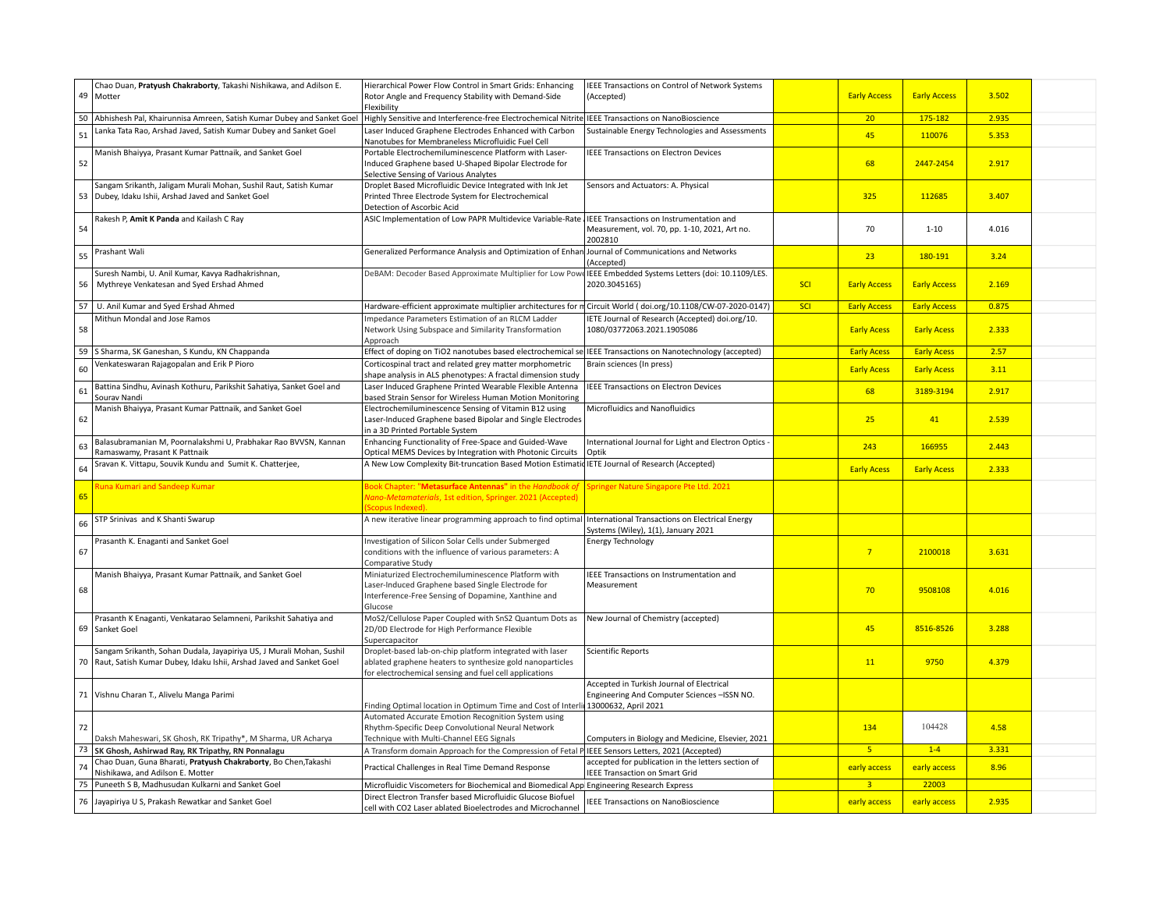|    | Chao Duan, Pratyush Chakraborty, Takashi Nishikawa, and Adilson E.                                                                             | Hierarchical Power Flow Control in Smart Grids: Enhancing                                                                                                                       | IEEE Transactions on Control of Network Systems                                           |            |                     |                     |       |  |
|----|------------------------------------------------------------------------------------------------------------------------------------------------|---------------------------------------------------------------------------------------------------------------------------------------------------------------------------------|-------------------------------------------------------------------------------------------|------------|---------------------|---------------------|-------|--|
|    | 49 Motter                                                                                                                                      | Rotor Angle and Frequency Stability with Demand-Side<br>Flexibility                                                                                                             | (Accepted)                                                                                |            | <b>Early Access</b> | <b>Early Access</b> | 3.502 |  |
|    | 50 Abhishesh Pal, Khairunnisa Amreen, Satish Kumar Dubey and Sanket Goel                                                                       | Highly Sensitive and Interference-free Electrochemical Nitrite                                                                                                                  | IEEE Transactions on NanoBioscience                                                       |            | 20 <sup>°</sup>     | 175-182             | 2.935 |  |
| 51 | Lanka Tata Rao, Arshad Javed, Satish Kumar Dubey and Sanket Goel                                                                               | Laser Induced Graphene Electrodes Enhanced with Carbon<br>Nanotubes for Membraneless Microfluidic Fuel Cell                                                                     | Sustainable Energy Technologies and Assessments                                           |            | 45                  | 110076              | 5.353 |  |
| 52 | Manish Bhaiyya, Prasant Kumar Pattnaik, and Sanket Goel                                                                                        | Portable Electrochemiluminescence Platform with Laser-<br>Induced Graphene based U-Shaped Bipolar Electrode for<br>Selective Sensing of Various Analytes                        | <b>IEEE Transactions on Electron Devices</b>                                              |            | 68                  | 2447-2454           | 2.917 |  |
|    | Sangam Srikanth, Jaligam Murali Mohan, Sushil Raut, Satish Kumar<br>53 Dubey, Idaku Ishii, Arshad Javed and Sanket Goel                        | Droplet Based Microfluidic Device Integrated with Ink Jet<br>Printed Three Electrode System for Electrochemical<br>Detection of Ascorbic Acid                                   | Sensors and Actuators: A. Physical                                                        |            | 325                 | 112685              | 3.407 |  |
| 54 | Rakesh P, Amit K Panda and Kailash C Ray                                                                                                       | ASIC Implementation of Low PAPR Multidevice Variable-Rate   IEEE Transactions on Instrumentation and                                                                            | Measurement, vol. 70, pp. 1-10, 2021, Art no.<br>2002810                                  |            | 70                  | $1 - 10$            | 4.016 |  |
| 55 | Prashant Wali                                                                                                                                  | Generalized Performance Analysis and Optimization of Enhan Journal of Communications and Networks                                                                               | (Accepted)                                                                                |            | 23                  | 180-191             | 3.24  |  |
| 56 | Suresh Nambi, U. Anil Kumar, Kavya Radhakrishnan,<br>Mythreye Venkatesan and Syed Ershad Ahmed                                                 | DeBAM: Decoder Based Approximate Multiplier for Low Powe                                                                                                                        | IEEE Embedded Systems Letters (doi: 10.1109/LES.<br>2020.3045165)                         | <b>SCI</b> | <b>Early Access</b> | <b>Early Access</b> | 2.169 |  |
|    | 57   U. Anil Kumar and Syed Ershad Ahmed                                                                                                       | Hardware-efficient approximate multiplier architectures for m Circuit World (doi.org/10.1108/CW-07-2020-0147)                                                                   |                                                                                           | <b>SCI</b> | <b>Early Access</b> | <b>Early Access</b> | 0.875 |  |
| 58 | Mithun Mondal and Jose Ramos                                                                                                                   | Impedance Parameters Estimation of an RLCM Ladder<br>Network Using Subspace and Similarity Transformation<br>Approach                                                           | IETE Journal of Research (Accepted) doi.org/10.<br>1080/03772063.2021.1905086             |            | <b>Early Acess</b>  | <b>Early Acess</b>  | 2.333 |  |
|    | 59 Sharma, SK Ganeshan, S Kundu, KN Chappanda                                                                                                  | Effect of doping on TiO2 nanotubes based electrochemical sel IEEE Transactions on Nanotechnology (accepted)                                                                     |                                                                                           |            | <b>Early Acess</b>  | <b>Early Acess</b>  | 2.57  |  |
| 60 | Venkateswaran Rajagopalan and Erik P Pioro                                                                                                     | Corticospinal tract and related grey matter morphometric<br>shape analysis in ALS phenotypes: A fractal dimension study                                                         | Brain sciences (In press)                                                                 |            | <b>Early Acess</b>  | <b>Early Acess</b>  | 3.11  |  |
| 61 | Battina Sindhu, Avinash Kothuru, Parikshit Sahatiya, Sanket Goel and<br>Sourav Nandi                                                           | Laser Induced Graphene Printed Wearable Flexible Antenna<br>based Strain Sensor for Wireless Human Motion Monitoring                                                            | <b>IEEE Transactions on Electron Devices</b>                                              |            | 68                  | 3189-3194           | 2.917 |  |
| 62 | Manish Bhaiyya, Prasant Kumar Pattnaik, and Sanket Goel                                                                                        | Electrochemiluminescence Sensing of Vitamin B12 using<br>Laser-Induced Graphene based Bipolar and Single Electrodes<br>in a 3D Printed Portable System                          | Microfluidics and Nanofluidics                                                            |            | 25                  | 41                  | 2.539 |  |
| 63 | Balasubramanian M, Poornalakshmi U, Prabhakar Rao BVVSN, Kannan<br>Ramaswamy, Prasant K Pattnaik                                               | Enhancing Functionality of Free-Space and Guided-Wave<br>Optical MEMS Devices by Integration with Photonic Circuits                                                             | International Journal for Light and Electron Optics -<br>Optik                            |            | 243                 | 166955              | 2.443 |  |
| 64 | Sravan K. Vittapu, Souvik Kundu and Sumit K. Chatterjee,                                                                                       | A New Low Complexity Bit-truncation Based Motion Estimatid IETE Journal of Research (Accepted)                                                                                  |                                                                                           |            | <b>Early Acess</b>  | <b>Early Acess</b>  | 2.333 |  |
| 65 | <b>Runa Kumari and Sandeep Kumar</b>                                                                                                           | Book Chapter: "Metasurface Antennas" in the Handbook of<br>Nano-Metamaterials, 1st edition, Springer. 2021 (Accepted)<br><b>Scopus Indexed)</b>                                 | Springer Nature Singapore Pte Ltd. 2021                                                   |            |                     |                     |       |  |
| 66 | STP Srinivas and K Shanti Swarup                                                                                                               | A new iterative linear programming approach to find optimal                                                                                                                     | International Transactions on Electrical Energy<br>Systems (Wiley), 1(1), January 2021    |            |                     |                     |       |  |
| 67 | Prasanth K. Enaganti and Sanket Goel                                                                                                           | Investigation of Silicon Solar Cells under Submerged<br>conditions with the influence of various parameters: A<br>Comparative Study                                             | <b>Energy Technology</b>                                                                  |            | $\overline{7}$      | 2100018             | 3.631 |  |
| 68 | Manish Bhaiyya, Prasant Kumar Pattnaik, and Sanket Goel                                                                                        | Miniaturized Electrochemiluminescence Platform with<br>Laser-Induced Graphene based Single Electrode for<br>Interference-Free Sensing of Dopamine, Xanthine and<br>Glucose      | IEEE Transactions on Instrumentation and<br>Measurement                                   |            | 70                  | 9508108             | 4.016 |  |
|    | Prasanth K Enaganti, Venkatarao Selamneni, Parikshit Sahatiya and<br>69 Sanket Goel                                                            | MoS2/Cellulose Paper Coupled with SnS2 Quantum Dots as<br>2D/0D Electrode for High Performance Flexible<br>Supercapacitor                                                       | New Journal of Chemistry (accepted)                                                       |            | 45                  | 8516-8526           | 3.288 |  |
|    | Sangam Srikanth, Sohan Dudala, Jayapiriya US, J Murali Mohan, Sushil<br>70 Raut, Satish Kumar Dubey, Idaku Ishii, Arshad Javed and Sanket Goel | Droplet-based lab-on-chip platform integrated with laser<br>ablated graphene heaters to synthesize gold nanoparticles<br>for electrochemical sensing and fuel cell applications | <b>Scientific Reports</b>                                                                 |            | 11                  | 9750                | 4.379 |  |
|    | 71 Vishnu Charan T., Alivelu Manga Parimi                                                                                                      | Finding Optimal location in Optimum Time and Cost of Interlit 13000632, April 2021                                                                                              | Accepted in Turkish Journal of Electrical<br>Engineering And Computer Sciences - ISSN NO. |            |                     |                     |       |  |
| 72 | Daksh Maheswari, SK Ghosh, RK Tripathy*, M Sharma, UR Acharya                                                                                  | Automated Accurate Emotion Recognition System using<br>Rhythm-Specific Deep Convolutional Neural Network<br>Technique with Multi-Channel EEG Signals                            | Computers in Biology and Medicine, Elsevier, 2021                                         |            | 134                 | 104428              | 4.58  |  |
|    | 73 SK Ghosh, Ashirwad Ray, RK Tripathy, RN Ponnalagu                                                                                           | A Transform domain Approach for the Compression of Fetal P IEEE Sensors Letters, 2021 (Accepted)                                                                                |                                                                                           |            | 5 <sup>2</sup>      | $1 - 4$             | 3.331 |  |
| 74 | Chao Duan, Guna Bharati, Pratyush Chakraborty, Bo Chen, Takashi<br>Nishikawa, and Adilson E. Motter                                            | Practical Challenges in Real Time Demand Response                                                                                                                               | accepted for publication in the letters section of<br>IEEE Transaction on Smart Grid      |            | early access        | early access        | 8.96  |  |
| 75 | Puneeth S B. Madhusudan Kulkarni and Sanket Goel                                                                                               | Microfluidic Viscometers for Biochemical and Biomedical App Engineering Research Express                                                                                        |                                                                                           |            | 3 <sup>1</sup>      | 22003               |       |  |
|    | 76 Jayapiriya U S, Prakash Rewatkar and Sanket Goel                                                                                            | Direct Electron Transfer based Microfluidic Glucose Biofuel<br>cell with CO2 Laser ablated Bioelectrodes and Microchannel                                                       | IEEE Transactions on NanoBioscience                                                       |            | early access        | early access        | 2.935 |  |
|    |                                                                                                                                                |                                                                                                                                                                                 |                                                                                           |            |                     |                     |       |  |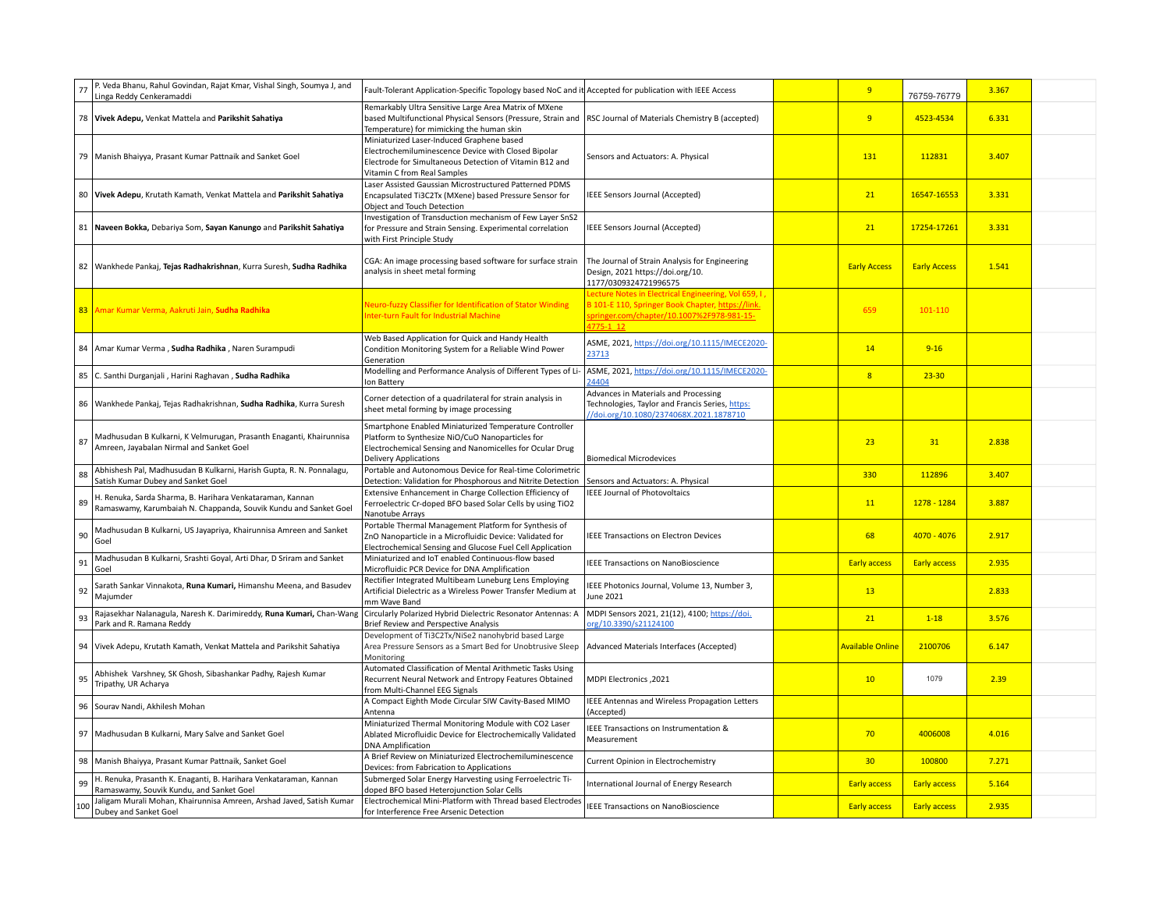| 77  | P. Veda Bhanu, Rahul Govindan, Rajat Kmar, Vishal Singh, Soumya J, and<br>inga Reddy Cenkeramaddi                             | Fault-Tolerant Application-Specific Topology based NoC and it Accepted for publication with IEEE Access                                                                                                              |                                                                                                                                                                      | 9                       | 76759-76779         | 3.367 |  |
|-----|-------------------------------------------------------------------------------------------------------------------------------|----------------------------------------------------------------------------------------------------------------------------------------------------------------------------------------------------------------------|----------------------------------------------------------------------------------------------------------------------------------------------------------------------|-------------------------|---------------------|-------|--|
|     | 78 Vivek Adepu, Venkat Mattela and Parikshit Sahatiya                                                                         | Remarkably Ultra Sensitive Large Area Matrix of MXene<br>based Multifunctional Physical Sensors (Pressure, Strain and   RSC Journal of Materials Chemistry B (accepted)<br>Temperature) for mimicking the human skin |                                                                                                                                                                      | 9                       | 4523-4534           | 6.331 |  |
|     | 79 Manish Bhaiyya, Prasant Kumar Pattnaik and Sanket Goel                                                                     | Miniaturized Laser-Induced Graphene based<br>Electrochemiluminescence Device with Closed Bipolar<br>Electrode for Simultaneous Detection of Vitamin B12 and<br>Vitamin C from Real Samples                           | Sensors and Actuators: A. Physical                                                                                                                                   | 131                     | 112831              | 3.407 |  |
|     | 80 Vivek Adepu, Krutath Kamath, Venkat Mattela and Parikshit Sahatiya                                                         | Laser Assisted Gaussian Microstructured Patterned PDMS<br>Encapsulated Ti3C2Tx (MXene) based Pressure Sensor for<br>Object and Touch Detection                                                                       | IEEE Sensors Journal (Accepted)                                                                                                                                      | 21                      | 16547-16553         | 3.331 |  |
|     | 81 Naveen Bokka, Debariya Som, Sayan Kanungo and Parikshit Sahatiya                                                           | Investigation of Transduction mechanism of Few Layer SnS2<br>for Pressure and Strain Sensing. Experimental correlation<br>with First Principle Study                                                                 | IEEE Sensors Journal (Accepted)                                                                                                                                      | 21                      | 17254-17261         | 3.331 |  |
|     | 82 Wankhede Pankaj, Tejas Radhakrishnan, Kurra Suresh, Sudha Radhika                                                          | CGA: An image processing based software for surface strain<br>analysis in sheet metal forming                                                                                                                        | The Journal of Strain Analysis for Engineering<br>Design, 2021 https://doi.org/10.<br>1177/0309324721996575                                                          | <b>Early Access</b>     | <b>Early Access</b> | 1.541 |  |
| 83  | Amar Kumar Verma, Aakruti Jain, Sudha Radhika                                                                                 | <b>Neuro-fuzzy Classifier for Identification of Stator Winding</b><br>nter-turn Fault for Industrial Machine                                                                                                         | ecture Notes in Electrical Engineering, Vol 659, I<br>B 101-E 110, Springer Book Chapter, https://link.<br>pringer.com/chapter/10.1007%2F978-981-15-<br>$1775 - 112$ | 659                     | 101-110             |       |  |
|     | 84   Amar Kumar Verma, Sudha Radhika, Naren Surampudi                                                                         | Web Based Application for Quick and Handy Health<br>Condition Monitoring System for a Reliable Wind Power<br>Generation                                                                                              | ASME, 2021, https://doi.org/10.1115/IMECE2020-<br>23713                                                                                                              | 14                      | $9 - 16$            |       |  |
| 85  | C. Santhi Durganjali, Harini Raghavan, Sudha Radhika                                                                          | Modelling and Performance Analysis of Different Types of Li-<br>Ion Battery                                                                                                                                          | ASME, 2021, https://doi.org/10.1115/IMECE2020-<br>24404                                                                                                              | $\overline{8}$          | $23 - 30$           |       |  |
|     | 86 Wankhede Pankaj, Tejas Radhakrishnan, Sudha Radhika, Kurra Suresh                                                          | Corner detection of a quadrilateral for strain analysis in<br>sheet metal forming by image processing                                                                                                                | Advances in Materials and Processing<br>Technologies, Taylor and Francis Series, https:<br>//doi.org/10.1080/2374068X.2021.1878710                                   |                         |                     |       |  |
| 87  | Madhusudan B Kulkarni, K Velmurugan, Prasanth Enaganti, Khairunnisa<br>Amreen, Jayabalan Nirmal and Sanket Goel               | Smartphone Enabled Miniaturized Temperature Controller<br>Platform to Synthesize NiO/CuO Nanoparticles for<br>Electrochemical Sensing and Nanomicelles for Ocular Drug<br><b>Delivery Applications</b>               | <b>Biomedical Microdevices</b>                                                                                                                                       | 23                      | 31                  | 2.838 |  |
| 88  | Abhishesh Pal, Madhusudan B Kulkarni, Harish Gupta, R. N. Ponnalagu,<br>Satish Kumar Dubey and Sanket Goel                    | Portable and Autonomous Device for Real-time Colorimetric<br>Detection: Validation for Phosphorous and Nitrite Detection                                                                                             | Sensors and Actuators: A. Physical                                                                                                                                   | 330                     | 112896              | 3.407 |  |
| 89  | H. Renuka, Sarda Sharma, B. Harihara Venkataraman, Kannan<br>Ramaswamy, Karumbaiah N. Chappanda, Souvik Kundu and Sanket Goel | Extensive Enhancement in Charge Collection Efficiency of<br>Ferroelectric Cr-doped BFO based Solar Cells by using TiO2<br>Nanotube Arrays                                                                            | <b>IEEE Journal of Photovoltaics</b>                                                                                                                                 | 11                      | 1278 - 1284         | 3.887 |  |
| 90  | Madhusudan B Kulkarni, US Jayapriya, Khairunnisa Amreen and Sanket<br>Goel                                                    | Portable Thermal Management Platform for Synthesis of<br>ZnO Nanoparticle in a Microfluidic Device: Validated for<br>Electrochemical Sensing and Glucose Fuel Cell Application                                       | <b>IEEE Transactions on Electron Devices</b>                                                                                                                         | 68                      | 4070 - 4076         | 2.917 |  |
| 91  | Madhusudan B Kulkarni, Srashti Goyal, Arti Dhar, D Sriram and Sanket<br>Goel                                                  | Miniaturized and IoT enabled Continuous-flow based<br>Microfluidic PCR Device for DNA Amplification                                                                                                                  | <b>IEEE Transactions on NanoBioscience</b>                                                                                                                           | <b>Early access</b>     | <b>Early access</b> | 2.935 |  |
| 92  | Sarath Sankar Vinnakota, Runa Kumari, Himanshu Meena, and Basudev<br>Majumder                                                 | Rectifier Integrated Multibeam Luneburg Lens Employing<br>Artificial Dielectric as a Wireless Power Transfer Medium at<br>mm Wave Band                                                                               | IEEE Photonics Journal, Volume 13, Number 3,<br>June 2021                                                                                                            | 13                      |                     | 2.833 |  |
| 93  | Rajasekhar Nalanagula, Naresh K. Darimireddy, Runa Kumari, Chan-Wang<br>Park and R. Ramana Reddy                              | Circularly Polarized Hybrid Dielectric Resonator Antennas: A<br>Brief Review and Perspective Analysis                                                                                                                | MDPI Sensors 2021, 21(12), 4100; https://doi.<br>org/10.3390/s21124100                                                                                               | 21                      | $1 - 18$            | 3.576 |  |
|     | 94 Vivek Adepu, Krutath Kamath, Venkat Mattela and Parikshit Sahatiya                                                         | Development of Ti3C2Tx/NiSe2 nanohybrid based Large<br>Area Pressure Sensors as a Smart Bed for Unobtrusive Sleep<br>Monitoring                                                                                      | Advanced Materials Interfaces (Accepted)                                                                                                                             | <b>Available Online</b> | 2100706             | 6.147 |  |
| 95  | Abhishek Varshney, SK Ghosh, Sibashankar Padhy, Rajesh Kumar<br>Tripathy, UR Acharya                                          | Automated Classification of Mental Arithmetic Tasks Using<br>Recurrent Neural Network and Entropy Features Obtained<br>from Multi-Channel EEG Signals                                                                | MDPI Electronics, 2021                                                                                                                                               | 10                      | 1079                | 2.39  |  |
|     | 96 Sourav Nandi, Akhilesh Mohan                                                                                               | A Compact Eighth Mode Circular SIW Cavity-Based MIMO<br>Antenna                                                                                                                                                      | IEEE Antennas and Wireless Propagation Letters<br>(Accepted)                                                                                                         |                         |                     |       |  |
|     | 97 Madhusudan B Kulkarni, Mary Salve and Sanket Goel                                                                          | Miniaturized Thermal Monitoring Module with CO2 Laser<br>Ablated Microfluidic Device for Electrochemically Validated<br><b>DNA Amplification</b>                                                                     | EEE Transactions on Instrumentation &<br>Measurement                                                                                                                 | 70                      | 4006008             | 4.016 |  |
| 98  | Manish Bhaiyya, Prasant Kumar Pattnaik, Sanket Goel                                                                           | A Brief Review on Miniaturized Electrochemiluminescence<br>Devices: from Fabrication to Applications                                                                                                                 | Current Opinion in Electrochemistry                                                                                                                                  | 30 <sub>2</sub>         | 100800              | 7.271 |  |
| 99  | H. Renuka, Prasanth K. Enaganti, B. Harihara Venkataraman, Kannan<br>Ramaswamy, Souvik Kundu, and Sanket Goel                 | Submerged Solar Energy Harvesting using Ferroelectric Ti-<br>doped BFO based Heterojunction Solar Cells                                                                                                              | nternational Journal of Energy Research                                                                                                                              | <b>Early access</b>     | <b>Early access</b> | 5.164 |  |
| 100 | Jaligam Murali Mohan, Khairunnisa Amreen, Arshad Javed, Satish Kumar<br>Dubey and Sanket Goel                                 | Electrochemical Mini-Platform with Thread based Electrodes<br>for Interference Free Arsenic Detection                                                                                                                | IEEE Transactions on NanoBioscience                                                                                                                                  | <b>Early access</b>     | <b>Early access</b> | 2.935 |  |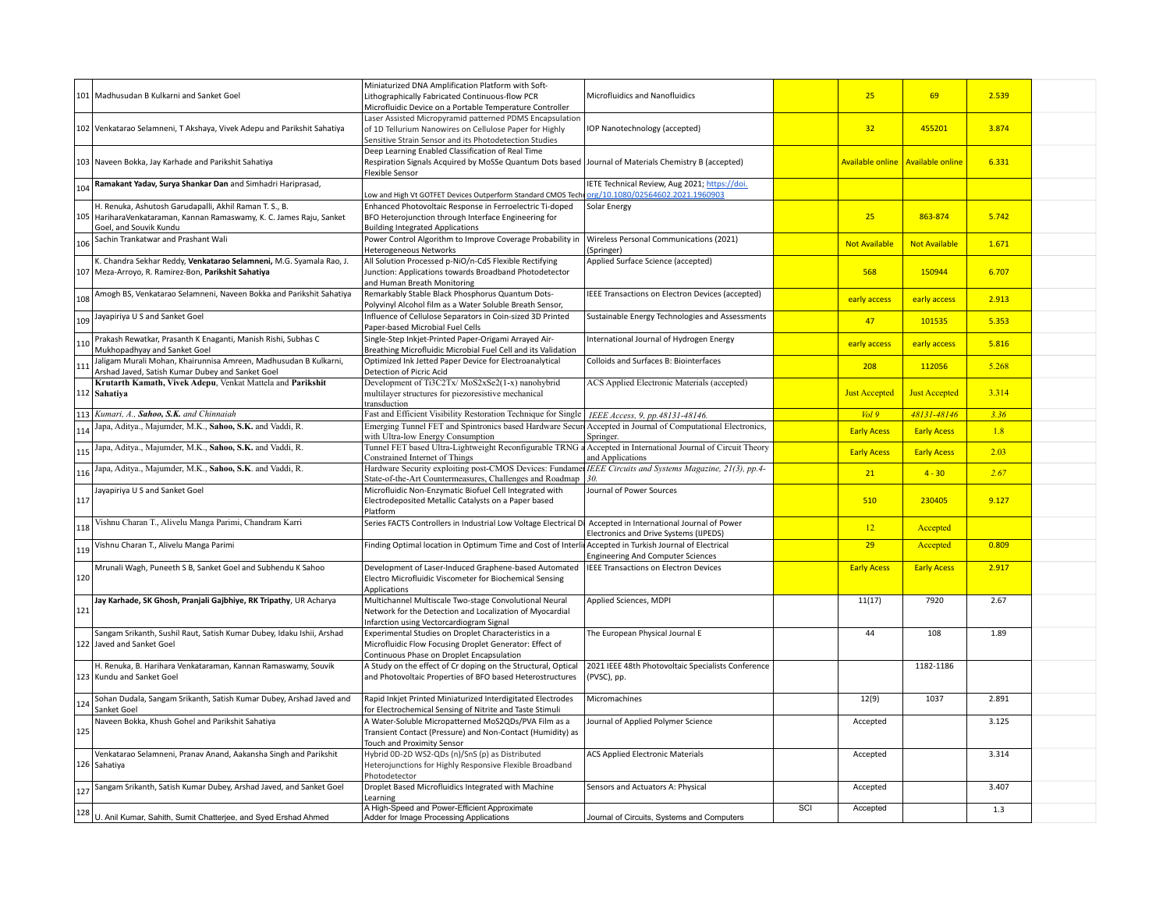|     | 101   Madhusudan B Kulkarni and Sanket Goel                                                                                                          | Miniaturized DNA Amplification Platform with Soft-<br>Lithographically Fabricated Continuous-flow PCR<br>Microfluidic Device on a Portable Temperature Controller                     | Microfluidics and Nanofluidics                                                            |                  | 25                   | 69                      | 2.539 |  |
|-----|------------------------------------------------------------------------------------------------------------------------------------------------------|---------------------------------------------------------------------------------------------------------------------------------------------------------------------------------------|-------------------------------------------------------------------------------------------|------------------|----------------------|-------------------------|-------|--|
|     | 102 Venkatarao Selamneni, T Akshaya, Vivek Adepu and Parikshit Sahatiya                                                                              | Laser Assisted Micropyramid patterned PDMS Encapsulation<br>of 1D Tellurium Nanowires on Cellulose Paper for Highly<br>Sensitive Strain Sensor and its Photodetection Studies         | IOP Nanotechnology (accepted)                                                             |                  | 32                   | 455201                  | 3.874 |  |
|     | 103 Naveen Bokka, Jay Karhade and Parikshit Sahatiya                                                                                                 | Deep Learning Enabled Classification of Real Time<br>Respiration Signals Acquired by MoSSe Quantum Dots based   Journal of Materials Chemistry B (accepted)<br><b>Flexible Sensor</b> |                                                                                           |                  | Available online     | <b>Available online</b> | 6.331 |  |
| 104 | Ramakant Yadav, Surya Shankar Dan and Simhadri Hariprasad,                                                                                           | Low and High Vt GOTFET Devices Outperform Standard CMOS Techr                                                                                                                         | <b>IETE Technical Review, Aug 2021; https://doi.</b><br>org/10.1080/02564602.2021.1960903 |                  |                      |                         |       |  |
| 105 | H. Renuka, Ashutosh Garudapalli, Akhil Raman T. S., B.<br>HariharaVenkataraman, Kannan Ramaswamy, K. C. James Raju, Sanket<br>Goel, and Souvik Kundu | Enhanced Photovoltaic Response in Ferroelectric Ti-doped<br>BFO Heterojunction through Interface Engineering for<br><b>Building Integrated Applications</b>                           | Solar Energy                                                                              |                  | 25                   | 863-874                 | 5.742 |  |
| 106 | Sachin Trankatwar and Prashant Wali                                                                                                                  | Power Control Algorithm to Improve Coverage Probability in<br><b>Heterogeneous Networks</b>                                                                                           | Wireless Personal Communications (2021)<br>(Springer)                                     |                  | <b>Not Available</b> | <b>Not Available</b>    | 1.671 |  |
|     | K. Chandra Sekhar Reddy, Venkatarao Selamneni, M.G. Syamala Rao, J.<br>107 Meza-Arroyo, R. Ramirez-Bon, Parikshit Sahatiya                           | All Solution Processed p-NiO/n-CdS Flexible Rectifying<br>Junction: Applications towards Broadband Photodetector<br>and Human Breath Monitoring                                       | Applied Surface Science (accepted)                                                        |                  | 568                  | 150944                  | 6.707 |  |
| 108 | Amogh BS, Venkatarao Selamneni, Naveen Bokka and Parikshit Sahatiya                                                                                  | Remarkably Stable Black Phosphorus Quantum Dots-<br>Polyvinyl Alcohol film as a Water Soluble Breath Sensor,                                                                          | IEEE Transactions on Electron Devices (accepted)                                          |                  | early access         | early access            | 2.913 |  |
|     | 109 Jayapiriya U S and Sanket Goel                                                                                                                   | Influence of Cellulose Separators in Coin-sized 3D Printed<br>Paper-based Microbial Fuel Cells                                                                                        | Sustainable Energy Technologies and Assessments                                           |                  | 47                   | 101535                  | 5.353 |  |
| 110 | Prakash Rewatkar, Prasanth K Enaganti, Manish Rishi, Subhas C<br>Mukhopadhyay and Sanket Goel                                                        | Single-Step Inkjet-Printed Paper-Origami Arrayed Air-<br>Breathing Microfluidic Microbial Fuel Cell and its Validation                                                                | International Journal of Hydrogen Energy                                                  |                  | early access         | early access            | 5.816 |  |
| 111 | Jaligam Murali Mohan, Khairunnisa Amreen, Madhusudan B Kulkarni,<br>Arshad Javed, Satish Kumar Dubey and Sanket Goel                                 | Optimized Ink Jetted Paper Device for Electroanalytical<br>Detection of Picric Acid                                                                                                   | Colloids and Surfaces B: Biointerfaces                                                    |                  | 208                  | 112056                  | 5.268 |  |
|     | Krutarth Kamath, Vivek Adepu, Venkat Mattela and Parikshit<br>112 Sahatiya                                                                           | Development of Ti3C2Tx/MoS2xSe2(1-x) nanohybrid<br>multilayer structures for piezoresistive mechanical<br>transduction                                                                | ACS Applied Electronic Materials (accepted)                                               |                  | <b>Just Accepted</b> | <b>Just Accepted</b>    | 3.314 |  |
|     | 113 Kumari, A., Sahoo, S.K. and Chinnaiah                                                                                                            | Fast and Efficient Visibility Restoration Technique for Single                                                                                                                        | IEEE Access, 9, pp.48131-48146.                                                           |                  | Vol9                 | 48131-48146             | 3.36  |  |
| 114 | Japa, Aditya., Majumder, M.K., Sahoo, S.K. and Vaddi, R.                                                                                             | Emerging Tunnel FET and Spintronics based Hardware Secure<br>with Ultra-low Energy Consumption                                                                                        | Accepted in Journal of Computational Electronics,<br>Springer.                            |                  | <b>Early Acess</b>   | <b>Early Acess</b>      | 1.8   |  |
| 115 | Japa, Aditya., Majumder, M.K., Sahoo, S.K. and Vaddi, R.                                                                                             | Tunnel FET based Ultra-Lightweight Reconfigurable TRNG a<br>Constrained Internet of Things                                                                                            | Accepted in International Journal of Circuit Theory<br>and Applications                   |                  | <b>Early Acess</b>   | <b>Early Acess</b>      | 2.03  |  |
| 116 | Japa, Aditya., Majumder, M.K., Sahoo, S.K. and Vaddi, R.                                                                                             | Hardware Security exploiting post-CMOS Devices: Fundamer<br>State-of-the-Art Countermeasures, Challenges and Roadmap                                                                  | IEEE Circuits and Systems Magazine, 21(3), pp.4-<br>30.                                   |                  | 21                   | $4 - 30$                | 2.67  |  |
| 117 | Jayapiriya U S and Sanket Goel                                                                                                                       | Microfluidic Non-Enzymatic Biofuel Cell Integrated with<br>Electrodeposited Metallic Catalysts on a Paper based<br>Platform                                                           | Journal of Power Sources                                                                  |                  | 510                  | 230405                  | 9.127 |  |
| 118 | Vishnu Charan T., Alivelu Manga Parimi, Chandram Karri                                                                                               | Series FACTS Controllers in Industrial Low Voltage Electrical Di                                                                                                                      | Accepted in International Journal of Power<br>Electronics and Drive Systems (IJPEDS)      |                  | 12                   | Accepted                |       |  |
| 119 | Vishnu Charan T., Alivelu Manga Parimi                                                                                                               | Finding Optimal location in Optimum Time and Cost of Interli                                                                                                                          | Accepted in Turkish Journal of Electrical<br><b>Engineering And Computer Sciences</b>     |                  | 29                   | Accepted                | 0.809 |  |
| 120 | Mrunali Wagh, Puneeth S B, Sanket Goel and Subhendu K Sahoo                                                                                          | Development of Laser-Induced Graphene-based Automated<br>Electro Microfluidic Viscometer for Biochemical Sensing<br>Applications                                                      | <b>IEEE Transactions on Electron Devices</b>                                              |                  | <b>Early Acess</b>   | <b>Early Acess</b>      | 2.917 |  |
| 121 | Jay Karhade, SK Ghosh, Pranjali Gajbhiye, RK Tripathy, UR Acharya                                                                                    | Multichannel Multiscale Two-stage Convolutional Neural<br>Network for the Detection and Localization of Myocardial<br>Infarction using Vectorcardiogram Signal                        | Applied Sciences, MDPI                                                                    |                  | 11(17)               | 7920                    | 2.67  |  |
|     | Sangam Srikanth, Sushil Raut, Satish Kumar Dubey, Idaku Ishii, Arshad<br>122 Javed and Sanket Goel                                                   | Experimental Studies on Droplet Characteristics in a<br>Microfluidic Flow Focusing Droplet Generator: Effect of<br>Continuous Phase on Droplet Encapsulation                          | The European Physical Journal E                                                           |                  | 44                   | 108                     | 1.89  |  |
|     | H. Renuka, B. Harihara Venkataraman, Kannan Ramaswamy, Souvik<br>123 Kundu and Sanket Goel                                                           | A Study on the effect of Cr doping on the Structural, Optical<br>and Photovoltaic Properties of BFO based Heterostructures                                                            | 2021 IEEE 48th Photovoltaic Specialists Conference<br>(PVSC), pp.                         |                  |                      | 1182-1186               |       |  |
| 124 | Sohan Dudala, Sangam Srikanth, Satish Kumar Dubey, Arshad Javed and<br>Sanket Goel                                                                   | Rapid Inkjet Printed Miniaturized Interdigitated Electrodes<br>for Electrochemical Sensing of Nitrite and Taste Stimuli                                                               | Micromachines                                                                             |                  | 12(9)                | 1037                    | 2.891 |  |
| 125 | Naveen Bokka, Khush Gohel and Parikshit Sahatiya                                                                                                     | A Water-Soluble Micropatterned MoS2QDs/PVA Film as a<br>Transient Contact (Pressure) and Non-Contact (Humidity) as<br>Touch and Proximity Sensor                                      | Journal of Applied Polymer Science                                                        |                  | Accepted             |                         | 3.125 |  |
|     | Venkatarao Selamneni, Pranav Anand, Aakansha Singh and Parikshit<br>126 Sahatiya                                                                     | Hybrid 0D-2D WS2-QDs (n)/SnS (p) as Distributed<br>Heterojunctions for Highly Responsive Flexible Broadband<br>Photodetector                                                          | <b>ACS Applied Electronic Materials</b>                                                   |                  | Accepted             |                         | 3.314 |  |
| 127 | Sangam Srikanth, Satish Kumar Dubey, Arshad Javed, and Sanket Goel                                                                                   | Droplet Based Microfluidics Integrated with Machine<br>Learning                                                                                                                       | Sensors and Actuators A: Physical                                                         |                  | Accepted             |                         | 3.407 |  |
| 128 |                                                                                                                                                      | A High-Speed and Power-Efficient Approximate                                                                                                                                          |                                                                                           | $\overline{SCI}$ | Accepted             |                         | 1.3   |  |
|     | U. Anil Kumar, Sahith, Sumit Chatterjee, and Syed Ershad Ahmed                                                                                       | Adder for Image Processing Applications                                                                                                                                               | Journal of Circuits, Systems and Computers                                                |                  |                      |                         |       |  |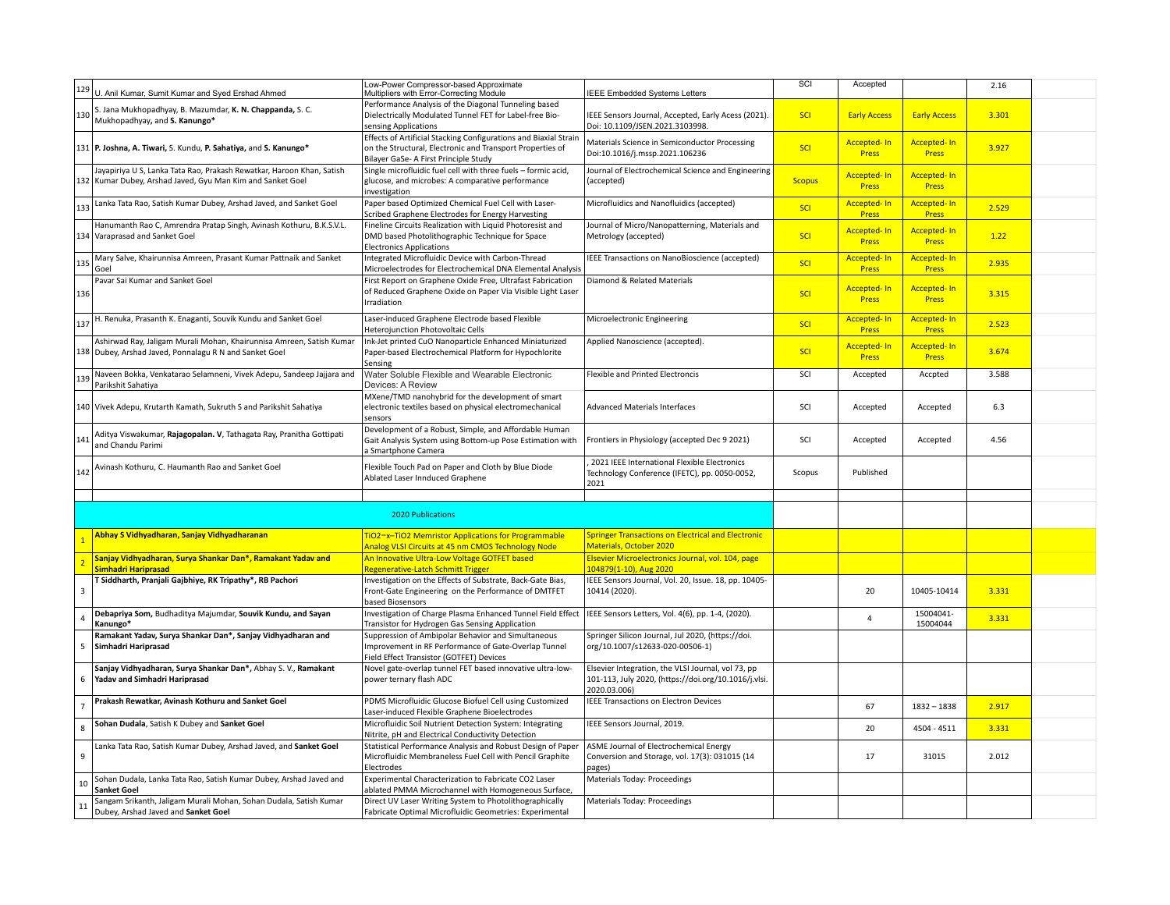| 129                     | U. Anil Kumar, Sumit Kumar and Syed Ershad Ahmed                                           | Low-Power Compressor-based Approximate<br>Multipliers with Error-Correcting Module                                 | <b>IEEE Embedded Systems Letters</b>                                                   | SCI           | Accepted                           |                                    | 2.16  |  |
|-------------------------|--------------------------------------------------------------------------------------------|--------------------------------------------------------------------------------------------------------------------|----------------------------------------------------------------------------------------|---------------|------------------------------------|------------------------------------|-------|--|
|                         |                                                                                            | Performance Analysis of the Diagonal Tunneling based                                                               |                                                                                        |               |                                    |                                    |       |  |
| 130                     | S. Jana Mukhopadhyay, B. Mazumdar, K. N. Chappanda, S. C.<br>Mukhopadhyay, and S. Kanungo* | Dielectrically Modulated Tunnel FET for Label-free Bio-<br>sensing Applications                                    | IEEE Sensors Journal, Accepted, Early Acess (2021).<br>Doi: 10.1109/JSEN.2021.3103998. | SCI           | <b>Early Access</b>                | <b>Early Access</b>                | 3.301 |  |
|                         |                                                                                            | Effects of Artificial Stacking Configurations and Biaxial Strain                                                   |                                                                                        |               |                                    |                                    |       |  |
|                         | 131 P. Joshna, A. Tiwari, S. Kundu, P. Sahatiya, and S. Kanungo*                           | on the Structural, Electronic and Transport Properties of<br>Bilayer GaSe- A First Principle Study                 | Materials Science in Semiconductor Processing<br>Doi:10.1016/j.mssp.2021.106236        | SCI           | <b>Accepted-In</b><br><b>Press</b> | <b>Accepted-In</b><br>Press        | 3.927 |  |
|                         | Jayapiriya U S, Lanka Tata Rao, Prakash Rewatkar, Haroon Khan, Satish                      | Single microfluidic fuel cell with three fuels - formic acid,                                                      | Journal of Electrochemical Science and Engineering                                     |               |                                    |                                    |       |  |
|                         | 132 Kumar Dubey, Arshad Javed, Gyu Man Kim and Sanket Goel                                 | glucose, and microbes: A comparative performance<br>investigation                                                  | (accepted)                                                                             | <b>Scopus</b> | <b>Accepted-In</b><br><b>Press</b> | <b>Accepted-In</b><br><b>Press</b> |       |  |
|                         | Lanka Tata Rao, Satish Kumar Dubey, Arshad Javed, and Sanket Goel                          | Paper based Optimized Chemical Fuel Cell with Laser-                                                               | Microfluidics and Nanofluidics (accepted)                                              |               | <b>Accepted-In</b>                 | <b>Accepted-In</b>                 |       |  |
| 133                     |                                                                                            | Scribed Graphene Electrodes for Energy Harvesting                                                                  |                                                                                        | SCI           | <b>Press</b>                       | <b>Press</b>                       | 2.529 |  |
|                         | Hanumanth Rao C, Amrendra Pratap Singh, Avinash Kothuru, B.K.S.V.L.                        | Fineline Circuits Realization with Liquid Photoresist and                                                          | Journal of Micro/Nanopatterning, Materials and                                         |               | <b>Accepted-In</b>                 |                                    |       |  |
|                         | 134 Varaprasad and Sanket Goel                                                             | DMD based Photolithographic Technique for Space                                                                    | Metrology (accepted)                                                                   | SCI           | <b>Press</b>                       | <b>Accepted-In</b><br><b>Press</b> | 1.22  |  |
|                         |                                                                                            | <b>Electronics Applications</b>                                                                                    |                                                                                        |               |                                    |                                    |       |  |
| 135                     | Mary Salve, Khairunnisa Amreen, Prasant Kumar Pattnaik and Sanket                          | Integrated Microfluidic Device with Carbon-Thread                                                                  | IEEE Transactions on NanoBioscience (accepted)                                         | <b>SCI</b>    | <b>Accepted-In</b>                 | Accepted-In                        | 2.935 |  |
|                         | Goel                                                                                       | Microelectrodes for Electrochemical DNA Elemental Analysis                                                         |                                                                                        |               | <b>Press</b>                       | <b>Press</b>                       |       |  |
|                         | Pavar Sai Kumar and Sanket Goel                                                            | First Report on Graphene Oxide Free, Ultrafast Fabrication                                                         | Diamond & Related Materials                                                            |               | <b>Accepted-In</b>                 |                                    |       |  |
| 136                     |                                                                                            | of Reduced Graphene Oxide on Paper Via Visible Light Laser                                                         |                                                                                        | SCI           | <b>Press</b>                       | <b>Accepted-In</b><br><b>Press</b> | 3.315 |  |
|                         |                                                                                            | Irradiation                                                                                                        |                                                                                        |               |                                    |                                    |       |  |
| 137                     | H. Renuka, Prasanth K. Enaganti, Souvik Kundu and Sanket Goel                              | Laser-induced Graphene Electrode based Flexible                                                                    | Microelectronic Engineering                                                            | SCI           | <b>Accepted-In</b>                 | <b>Accepted-In</b>                 |       |  |
|                         |                                                                                            | Heterojunction Photovoltaic Cells                                                                                  |                                                                                        |               | <b>Press</b>                       | <b>Press</b>                       | 2.523 |  |
|                         | Ashirwad Ray, Jaligam Murali Mohan, Khairunnisa Amreen, Satish Kumar                       | Ink-Jet printed CuO Nanoparticle Enhanced Miniaturized                                                             | Applied Nanoscience (accepted).                                                        |               | <b>Accepted-In</b>                 | <b>Accepted-In</b>                 |       |  |
|                         | 138 Dubey, Arshad Javed, Ponnalagu R N and Sanket Goel                                     | Paper-based Electrochemical Platform for Hypochlorite                                                              |                                                                                        | SCI           | <b>Press</b>                       | <b>Press</b>                       | 3.674 |  |
|                         |                                                                                            | Sensing                                                                                                            |                                                                                        |               |                                    |                                    |       |  |
| 139                     | Naveen Bokka, Venkatarao Selamneni, Vivek Adepu, Sandeep Jajjara and                       | Water Soluble Flexible and Wearable Electronic                                                                     | Flexible and Printed Electroncis                                                       | SCI           | Accepted                           | Accpted                            | 3.588 |  |
|                         | Parikshit Sahatiya                                                                         | Devices: A Review                                                                                                  |                                                                                        |               |                                    |                                    |       |  |
|                         |                                                                                            | MXene/TMD nanohybrid for the development of smart                                                                  |                                                                                        |               |                                    |                                    |       |  |
|                         | 140 Vivek Adepu, Krutarth Kamath, Sukruth S and Parikshit Sahatiya                         | electronic textiles based on physical electromechanical                                                            | <b>Advanced Materials Interfaces</b>                                                   | SCI           | Accepted                           | Accepted                           | 6.3   |  |
|                         |                                                                                            | sensors                                                                                                            |                                                                                        |               |                                    |                                    |       |  |
| 141                     | Aditya Viswakumar, Rajagopalan. V, Tathagata Ray, Pranitha Gottipati                       | Development of a Robust, Simple, and Affordable Human<br>Gait Analysis System using Bottom-up Pose Estimation with | Frontiers in Physiology (accepted Dec 9 2021)                                          | SCI           | Accepted                           | Accepted                           | 4.56  |  |
|                         | and Chandu Parimi                                                                          | a Smartphone Camera                                                                                                |                                                                                        |               |                                    |                                    |       |  |
|                         |                                                                                            |                                                                                                                    | 2021 IEEE International Flexible Electronics                                           |               |                                    |                                    |       |  |
| 142                     | Avinash Kothuru, C. Haumanth Rao and Sanket Goel                                           | Flexible Touch Pad on Paper and Cloth by Blue Diode                                                                | Technology Conference (IFETC), pp. 0050-0052,                                          | Scopus        | Published                          |                                    |       |  |
|                         |                                                                                            | Ablated Laser Innduced Graphene                                                                                    | 2021                                                                                   |               |                                    |                                    |       |  |
|                         |                                                                                            |                                                                                                                    |                                                                                        |               |                                    |                                    |       |  |
|                         |                                                                                            |                                                                                                                    |                                                                                        |               |                                    |                                    |       |  |
|                         |                                                                                            | 2020 Publications                                                                                                  |                                                                                        |               |                                    |                                    |       |  |
|                         | Abhay S Vidhyadharan, Sanjay Vidhyadharanan                                                | TiO2-x-TiO2 Memristor Applications for Programmable                                                                | <b>Springer Transactions on Electrical and Electronic</b>                              |               |                                    |                                    |       |  |
|                         |                                                                                            | Analog VLSI Circuits at 45 nm CMOS Technology Node                                                                 | <b>Materials, October 2020</b>                                                         |               |                                    |                                    |       |  |
|                         | Sanjay Vidhyadharan, Surya Shankar Dan*, Ramakant Yadav and                                | An Innovative Ultra-Low Voltage GOTFET based                                                                       | Elsevier Microelectronics Journal, vol. 104, page                                      |               |                                    |                                    |       |  |
| $\overline{2}$          | Simhadri Hariprasad                                                                        | Regenerative-Latch Schmitt Trigger                                                                                 | 104879(1-10), Aug 2020                                                                 |               |                                    |                                    |       |  |
|                         | T Siddharth, Pranjali Gajbhiye, RK Tripathy*, RB Pachori                                   | Investigation on the Effects of Substrate, Back-Gate Bias,                                                         | IEEE Sensors Journal, Vol. 20, Issue. 18, pp. 10405-                                   |               |                                    |                                    |       |  |
| $\overline{\mathbf{3}}$ |                                                                                            | Front-Gate Engineering on the Performance of DMTFET                                                                | 10414 (2020).                                                                          |               | 20                                 | 10405-10414                        | 3.331 |  |
|                         |                                                                                            | based Biosensors                                                                                                   |                                                                                        |               |                                    |                                    |       |  |
| $\overline{4}$          | Debapriya Som, Budhaditya Majumdar, Souvik Kundu, and Sayan                                | Investigation of Charge Plasma Enhanced Tunnel Field Effect                                                        | IEEE Sensors Letters, Vol. 4(6), pp. 1-4, (2020).                                      |               | $\overline{4}$                     | 15004041-                          | 3.331 |  |
|                         | Kanungo*                                                                                   | Transistor for Hydrogen Gas Sensing Application                                                                    |                                                                                        |               |                                    | 15004044                           |       |  |
|                         | Ramakant Yadav, Surya Shankar Dan*, Sanjay Vidhyadharan and                                | Suppression of Ambipolar Behavior and Simultaneous                                                                 | Springer Silicon Journal, Jul 2020, (https://doi.                                      |               |                                    |                                    |       |  |
| 5                       | Simhadri Hariprasad                                                                        | Improvement in RF Performance of Gate-Overlap Tunnel                                                               | org/10.1007/s12633-020-00506-1)                                                        |               |                                    |                                    |       |  |
|                         | Sanjay Vidhyadharan, Surya Shankar Dan*, Abhay S. V., Ramakant                             | Field Effect Transistor (GOTFET) Devices<br>Novel gate-overlap tunnel FET based innovative ultra-low-              | Elsevier Integration, the VLSI Journal, vol 73, pp                                     |               |                                    |                                    |       |  |
| 6                       | Yadav and Simhadri Hariprasad                                                              | power ternary flash ADC                                                                                            | 101-113, July 2020, (https://doi.org/10.1016/j.vlsi.                                   |               |                                    |                                    |       |  |
|                         |                                                                                            |                                                                                                                    | 2020.03.006)                                                                           |               |                                    |                                    |       |  |
|                         | Prakash Rewatkar, Avinash Kothuru and Sanket Goel                                          | PDMS Microfluidic Glucose Biofuel Cell using Customized                                                            | IEEE Transactions on Electron Devices                                                  |               |                                    |                                    |       |  |
| $\overline{7}$          |                                                                                            | Laser-induced Flexible Graphene Bioelectrodes                                                                      |                                                                                        |               | 67                                 | $1832 - 1838$                      | 2.917 |  |
| 8                       | Sohan Dudala, Satish K Dubey and Sanket Goel                                               | Microfluidic Soil Nutrient Detection System: Integrating                                                           | IEEE Sensors Journal, 2019.                                                            |               | 20                                 | 4504 - 4511                        | 3.331 |  |
|                         |                                                                                            | Nitrite, pH and Electrical Conductivity Detection                                                                  |                                                                                        |               |                                    |                                    |       |  |
|                         | Lanka Tata Rao, Satish Kumar Dubey, Arshad Javed, and Sanket Goel                          | Statistical Performance Analysis and Robust Design of Paper                                                        | ASME Journal of Electrochemical Energy                                                 |               |                                    |                                    |       |  |
| 9                       |                                                                                            | Microfluidic Membraneless Fuel Cell with Pencil Graphite                                                           | Conversion and Storage, vol. 17(3): 031015 (14                                         |               | 17                                 | 31015                              | 2.012 |  |
|                         |                                                                                            | Electrodes                                                                                                         | pages)                                                                                 |               |                                    |                                    |       |  |
| 10                      | Sohan Dudala, Lanka Tata Rao, Satish Kumar Dubey, Arshad Javed and<br><b>Sanket Goel</b>   | Experimental Characterization to Fabricate CO2 Laser                                                               | Materials Today: Proceedings                                                           |               |                                    |                                    |       |  |
|                         | Sangam Srikanth, Jaligam Murali Mohan, Sohan Dudala, Satish Kumar                          | ablated PMMA Microchannel with Homogeneous Surface,<br>Direct UV Laser Writing System to Photolithographically     | Materials Today: Proceedings                                                           |               |                                    |                                    |       |  |
| 11                      | Dubey, Arshad Javed and Sanket Goel                                                        | Fabricate Optimal Microfluidic Geometries: Experimental                                                            |                                                                                        |               |                                    |                                    |       |  |
|                         |                                                                                            |                                                                                                                    |                                                                                        |               |                                    |                                    |       |  |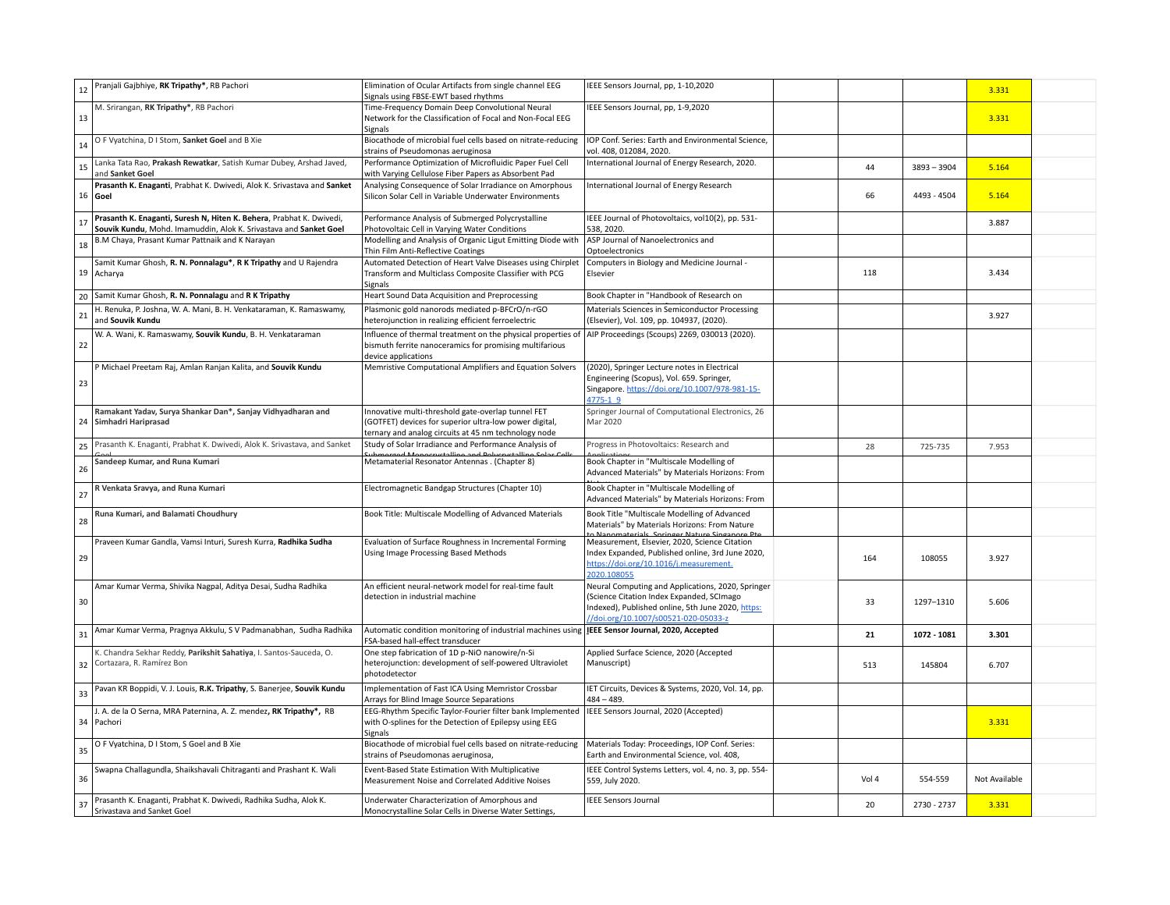| 12 | Pranjali Gajbhiye, RK Tripathy*, RB Pachori                                                                                               | Elimination of Ocular Artifacts from single channel EEG<br>Signals using FBSE-EWT based rhythms                                                                      | IEEE Sensors Journal, pp, 1-10,2020                                                                                                                                                         |       |               | 3.331         |  |
|----|-------------------------------------------------------------------------------------------------------------------------------------------|----------------------------------------------------------------------------------------------------------------------------------------------------------------------|---------------------------------------------------------------------------------------------------------------------------------------------------------------------------------------------|-------|---------------|---------------|--|
| 13 | M. Srirangan, RK Tripathy*, RB Pachori                                                                                                    | Time-Frequency Domain Deep Convolutional Neural<br>Network for the Classification of Focal and Non-Focal EEG<br>Signals                                              | IEEE Sensors Journal, pp, 1-9,2020                                                                                                                                                          |       |               | 3.331         |  |
| 14 | O F Vyatchina, D I Stom, Sanket Goel and B Xie                                                                                            | Biocathode of microbial fuel cells based on nitrate-reducing<br>strains of Pseudomonas aeruginosa                                                                    | IOP Conf. Series: Earth and Environmental Science,<br>vol. 408, 012084, 2020.                                                                                                               |       |               |               |  |
| 15 | Lanka Tata Rao, Prakash Rewatkar, Satish Kumar Dubey, Arshad Javed,<br>and Sanket Goel                                                    | Performance Optimization of Microfluidic Paper Fuel Cell<br>with Varying Cellulose Fiber Papers as Absorbent Pad                                                     | International Journal of Energy Research, 2020.                                                                                                                                             | 44    | $3893 - 3904$ | 5.164         |  |
| 16 | Prasanth K. Enaganti, Prabhat K. Dwivedi, Alok K. Srivastava and Sanket<br>Goel                                                           | Analysing Consequence of Solar Irradiance on Amorphous<br>Silicon Solar Cell in Variable Underwater Environments                                                     | International Journal of Energy Research                                                                                                                                                    | 66    | 4493 - 4504   | 5.164         |  |
| 17 | Prasanth K. Enaganti, Suresh N, Hiten K. Behera, Prabhat K. Dwivedi,<br>Souvik Kundu, Mohd. Imamuddin, Alok K. Srivastava and Sanket Goel | Performance Analysis of Submerged Polycrystalline<br>Photovoltaic Cell in Varying Water Conditions                                                                   | IEEE Journal of Photovoltaics, vol10(2), pp. 531-<br>538, 2020.                                                                                                                             |       |               | 3.887         |  |
| 18 | B.M Chaya, Prasant Kumar Pattnaik and K Narayan                                                                                           | Modelling and Analysis of Organic Ligut Emitting Diode with<br>Thin Film Anti-Reflective Coatings                                                                    | ASP Journal of Nanoelectronics and<br>Optoelectronics                                                                                                                                       |       |               |               |  |
|    | Samit Kumar Ghosh, R. N. Ponnalagu*, R K Tripathy and U Rajendra<br>19 Acharya                                                            | Automated Detection of Heart Valve Diseases using Chirplet<br>Transform and Multiclass Composite Classifier with PCG<br>Signals                                      | Computers in Biology and Medicine Journal -<br>Elsevier                                                                                                                                     | 118   |               | 3.434         |  |
| 20 | Samit Kumar Ghosh, R. N. Ponnalagu and R K Tripathy                                                                                       | Heart Sound Data Acquisition and Preprocessing                                                                                                                       | Book Chapter in "Handbook of Research on                                                                                                                                                    |       |               |               |  |
| 21 | H. Renuka, P. Joshna, W. A. Mani, B. H. Venkataraman, K. Ramaswamy,<br>and Souvik Kundu                                                   | Plasmonic gold nanorods mediated p-BFCrO/n-rGO<br>heterojunction in realizing efficient ferroelectric                                                                | Materials Sciences in Semiconductor Processing<br>(Elsevier), Vol. 109, pp. 104937, (2020).                                                                                                 |       |               | 3.927         |  |
| 22 | W. A. Wani, K. Ramaswamy, Souvik Kundu, B. H. Venkataraman                                                                                | Influence of thermal treatment on the physical properties of<br>bismuth ferrite nanoceramics for promising multifarious<br>device applications                       | AIP Proceedings (Scoups) 2269, 030013 (2020).                                                                                                                                               |       |               |               |  |
| 23 | P Michael Preetam Raj, Amlan Ranjan Kalita, and Souvik Kundu                                                                              | Memristive Computational Amplifiers and Equation Solvers                                                                                                             | (2020), Springer Lecture notes in Electrical<br>Engineering (Scopus), Vol. 659. Springer,<br>Singapore. https://doi.org/10.1007/978-981-15-<br>4775-1 9                                     |       |               |               |  |
| 24 | Ramakant Yadav, Surya Shankar Dan*, Sanjay Vidhyadharan and<br>Simhadri Hariprasad                                                        | Innovative multi-threshold gate-overlap tunnel FET<br>(GOTFET) devices for superior ultra-low power digital,<br>ternary and analog circuits at 45 nm technology node | Springer Journal of Computational Electronics, 26<br>Mar 2020                                                                                                                               |       |               |               |  |
| 25 | Prasanth K. Enaganti, Prabhat K. Dwivedi, Alok K. Srivastava, and Sanket                                                                  | Study of Solar Irradiance and Performance Analysis of<br>بامتا اممم ممثالمهمسمو ممالية                                                                               | Progress in Photovoltaics: Research and                                                                                                                                                     | 28    | 725-735       | 7.953         |  |
| 26 | Sandeep Kumar, and Runa Kumari                                                                                                            | Metamaterial Resonator Antennas . (Chapter 8)                                                                                                                        | Book Chapter in "Multiscale Modelling of<br>Advanced Materials" by Materials Horizons: From                                                                                                 |       |               |               |  |
| 27 | R Venkata Sravya, and Runa Kumari                                                                                                         | Electromagnetic Bandgap Structures (Chapter 10)                                                                                                                      | Book Chapter in "Multiscale Modelling of<br>Advanced Materials" by Materials Horizons: From                                                                                                 |       |               |               |  |
| 28 | Runa Kumari, and Balamati Choudhury                                                                                                       | Book Title: Multiscale Modelling of Advanced Materials                                                                                                               | Book Title "Multiscale Modelling of Advanced<br>Materials" by Materials Horizons: From Nature                                                                                               |       |               |               |  |
| 29 | Praveen Kumar Gandla, Vamsi Inturi, Suresh Kurra, Radhika Sudha                                                                           | Evaluation of Surface Roughness in Incremental Forming<br>Using Image Processing Based Methods                                                                       | Measurement, Elsevier, 2020, Science Citation<br>Index Expanded, Published online, 3rd June 2020,<br>https://doi.org/10.1016/i.measurement.<br>2020.108055                                  | 164   | 108055        | 3.927         |  |
| 30 | Amar Kumar Verma, Shivika Nagpal, Aditya Desai, Sudha Radhika                                                                             | An efficient neural-network model for real-time fault<br>detection in industrial machine                                                                             | Neural Computing and Applications, 2020, Springer<br>(Science Citation Index Expanded, SCImago<br>Indexed), Published online, 5th June 2020, https:<br>//doi.org/10.1007/s00521-020-05033-z | 33    | 1297-1310     | 5.606         |  |
| 31 | Amar Kumar Verma, Pragnya Akkulu, S V Padmanabhan, Sudha Radhika                                                                          | Automatic condition monitoring of industrial machines using <b>IEEE Sensor Journal, 2020, Accepted</b><br>FSA-based hall-effect transducer                           |                                                                                                                                                                                             | 21    | 1072 - 1081   | 3.301         |  |
| 32 | K. Chandra Sekhar Reddy, Parikshit Sahatiya, I. Santos-Sauceda, O.<br>Cortazara, R. Ramírez Bon                                           | One step fabrication of 1D p-NiO nanowire/n-Si<br>heterojunction: development of self-powered Ultraviolet<br>photodetector                                           | Applied Surface Science, 2020 (Accepted<br>Manuscript)                                                                                                                                      | 513   | 145804        | 6.707         |  |
| 33 | Pavan KR Boppidi, V. J. Louis, R.K. Tripathy, S. Banerjee, Souvik Kundu                                                                   | Implementation of Fast ICA Using Memristor Crossbar<br>Arrays for Blind Image Source Separations                                                                     | IET Circuits, Devices & Systems, 2020, Vol. 14, pp.<br>$484 - 489.$                                                                                                                         |       |               |               |  |
|    | J. A. de la O Serna, MRA Paternina, A. Z. mendez, RK Tripathy*, RB<br>34 Pachori                                                          | EEG-Rhythm Specific Taylor-Fourier filter bank Implemented<br>with O-splines for the Detection of Epilepsy using EEG<br>Signals                                      | IEEE Sensors Journal, 2020 (Accepted)                                                                                                                                                       |       |               | 3.331         |  |
| 35 | O F Vyatchina, D I Stom, S Goel and B Xie                                                                                                 | Biocathode of microbial fuel cells based on nitrate-reducing<br>strains of Pseudomonas aeruginosa,                                                                   | Materials Today: Proceedings, IOP Conf. Series:<br>Earth and Environmental Science, vol. 408,                                                                                               |       |               |               |  |
| 36 | Swapna Challagundla, Shaikshavali Chitraganti and Prashant K. Wali                                                                        | Event-Based State Estimation With Multiplicative<br>Measurement Noise and Correlated Additive Noises                                                                 | IEEE Control Systems Letters, vol. 4, no. 3, pp. 554-<br>559, July 2020.                                                                                                                    | Vol 4 | 554-559       | Not Available |  |
| 37 | Prasanth K. Enaganti, Prabhat K. Dwivedi, Radhika Sudha, Alok K.<br>Srivastava and Sanket Goel                                            | Underwater Characterization of Amorphous and<br>Monocrystalline Solar Cells in Diverse Water Settings,                                                               | IEEE Sensors Journal                                                                                                                                                                        | 20    | 2730 - 2737   | 3.331         |  |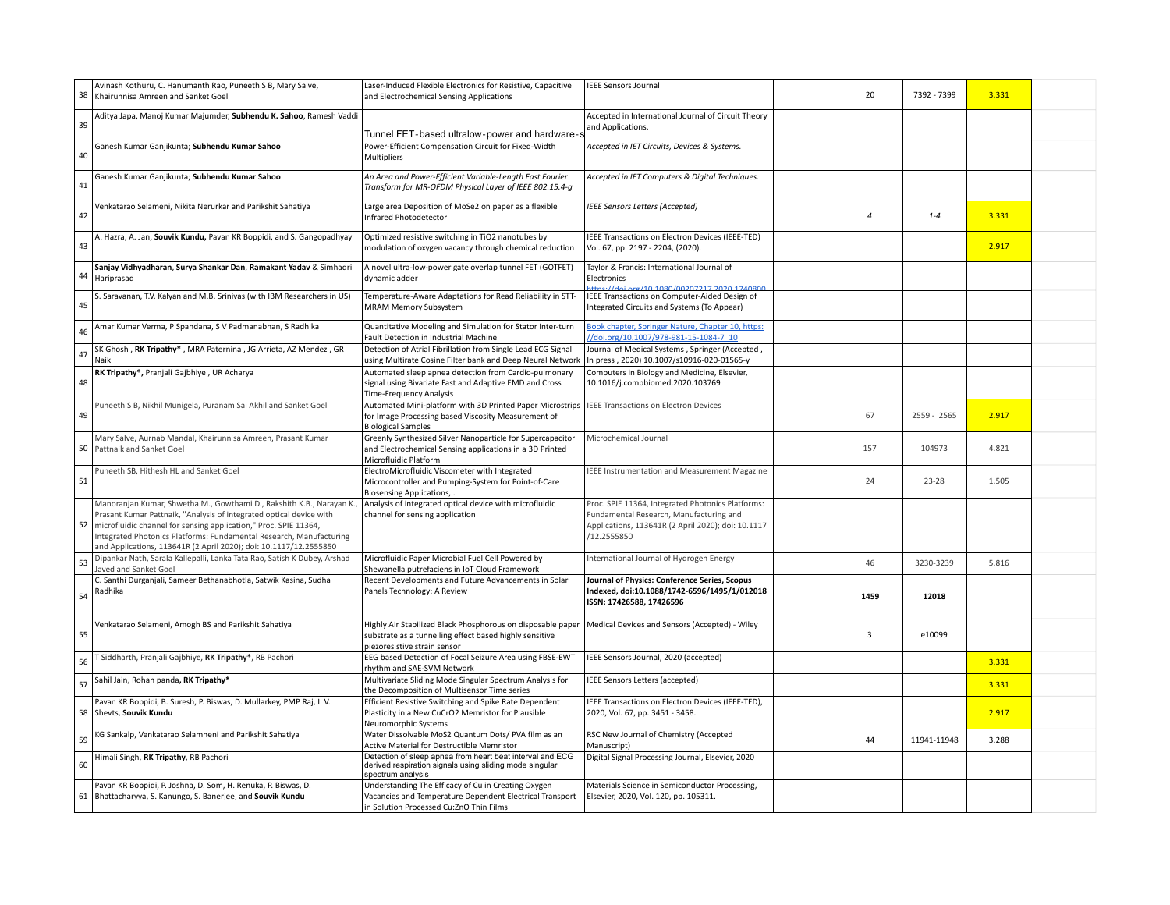| 38 | Avinash Kothuru, C. Hanumanth Rao, Puneeth S B, Mary Salve,<br>Khairunnisa Amreen and Sanket Goel                                                                                                                                                                                                                                                            | Laser-Induced Flexible Electronics for Resistive, Capacitive<br>and Electrochemical Sensing Applications                                                   | <b>IEEE Sensors Journal</b>                                                                                                                                       | 20             | 7392 - 7399 | 3.331 |  |
|----|--------------------------------------------------------------------------------------------------------------------------------------------------------------------------------------------------------------------------------------------------------------------------------------------------------------------------------------------------------------|------------------------------------------------------------------------------------------------------------------------------------------------------------|-------------------------------------------------------------------------------------------------------------------------------------------------------------------|----------------|-------------|-------|--|
|    | Aditya Japa, Manoj Kumar Majumder, Subhendu K. Sahoo, Ramesh Vaddi                                                                                                                                                                                                                                                                                           |                                                                                                                                                            | Accepted in International Journal of Circuit Theory                                                                                                               |                |             |       |  |
| 39 |                                                                                                                                                                                                                                                                                                                                                              | Tunnel FET-based ultralow-power and hardware-s                                                                                                             | and Applications.                                                                                                                                                 |                |             |       |  |
| 40 | Ganesh Kumar Ganjikunta; Subhendu Kumar Sahoo                                                                                                                                                                                                                                                                                                                | Power-Efficient Compensation Circuit for Fixed-Width<br><b>Multipliers</b>                                                                                 | Accepted in IET Circuits, Devices & Systems.                                                                                                                      |                |             |       |  |
| 41 | Ganesh Kumar Ganjikunta; Subhendu Kumar Sahoo                                                                                                                                                                                                                                                                                                                | An Area and Power-Efficient Variable-Length Fast Fourier<br>Transform for MR-OFDM Physical Layer of IEEE 802.15.4-g                                        | Accepted in IET Computers & Digital Techniques.                                                                                                                   |                |             |       |  |
| 42 | Venkatarao Selameni, Nikita Nerurkar and Parikshit Sahatiya                                                                                                                                                                                                                                                                                                  | Large area Deposition of MoSe2 on paper as a flexible<br><b>Infrared Photodetector</b>                                                                     | <b>IEEE Sensors Letters (Accepted)</b>                                                                                                                            | $\overline{a}$ | $1 - 4$     | 3.331 |  |
| 43 | A. Hazra, A. Jan, Souvik Kundu, Pavan KR Boppidi, and S. Gangopadhyay                                                                                                                                                                                                                                                                                        | Optimized resistive switching in TiO2 nanotubes by<br>modulation of oxygen vacancy through chemical reduction                                              | IEEE Transactions on Electron Devices (IEEE-TED)<br>Vol. 67, pp. 2197 - 2204, (2020).                                                                             |                |             | 2.917 |  |
| 44 | Sanjay Vidhyadharan, Surya Shankar Dan, Ramakant Yadav & Simhadri<br>Hariprasad                                                                                                                                                                                                                                                                              | A novel ultra-low-power gate overlap tunnel FET (GOTFET)<br>dynamic adder                                                                                  | Taylor & Francis: International Journal of<br>Electronics<br>$10.1090$ (0000 THETA COCOO)                                                                         |                |             |       |  |
| 45 | S. Saravanan, T.V. Kalyan and M.B. Srinivas (with IBM Researchers in US)                                                                                                                                                                                                                                                                                     | Temperature-Aware Adaptations for Read Reliability in STT-<br>MRAM Memory Subsystem                                                                        | IEEE Transactions on Computer-Aided Design of<br>Integrated Circuits and Systems (To Appear)                                                                      |                |             |       |  |
| 46 | Amar Kumar Verma, P Spandana, S V Padmanabhan, S Radhika                                                                                                                                                                                                                                                                                                     | Quantitative Modeling and Simulation for Stator Inter-turn<br>Fault Detection in Industrial Machine                                                        | Book chapter, Springer Nature, Chapter 10, https:<br>//doi.org/10.1007/978-981-15-1084-7 10                                                                       |                |             |       |  |
| 47 | SK Ghosh, RK Tripathy*, MRA Paternina, JG Arrieta, AZ Mendez, GR<br>Naik                                                                                                                                                                                                                                                                                     | Detection of Atrial Fibrillation from Single Lead ECG Signal<br>using Multirate Cosine Filter bank and Deep Neural Network                                 | Journal of Medical Systems, Springer (Accepted,<br>In press, 2020) 10.1007/s10916-020-01565-y                                                                     |                |             |       |  |
| 48 | RK Tripathy*, Pranjali Gajbhiye, UR Acharya                                                                                                                                                                                                                                                                                                                  | Automated sleep apnea detection from Cardio-pulmonary<br>signal using Bivariate Fast and Adaptive EMD and Cross<br>Time-Frequency Analysis                 | Computers in Biology and Medicine, Elsevier,<br>10.1016/j.compbiomed.2020.103769                                                                                  |                |             |       |  |
| 49 | Puneeth S B, Nikhil Munigela, Puranam Sai Akhil and Sanket Goel                                                                                                                                                                                                                                                                                              | Automated Mini-platform with 3D Printed Paper Microstrips<br>for Image Processing based Viscosity Measurement of<br><b>Biological Samples</b>              | IEEE Transactions on Electron Devices                                                                                                                             | 67             | 2559 - 2565 | 2.917 |  |
|    | Mary Salve, Aurnab Mandal, Khairunnisa Amreen, Prasant Kumar<br>50 Pattnaik and Sanket Goel                                                                                                                                                                                                                                                                  | Greenly Synthesized Silver Nanoparticle for Supercapacitor<br>and Electrochemical Sensing applications in a 3D Printed<br>Microfluidic Platform            | Microchemical Journal                                                                                                                                             | 157            | 104973      | 4.821 |  |
| 51 | Puneeth SB, Hithesh HL and Sanket Goel                                                                                                                                                                                                                                                                                                                       | ElectroMicrofluidic Viscometer with Integrated<br>Microcontroller and Pumping-System for Point-of-Care<br><b>Biosensing Applications,</b>                  | <b>IEEE Instrumentation and Measurement Magazine</b>                                                                                                              | 24             | 23-28       | 1.505 |  |
| 52 | Manoranjan Kumar, Shwetha M., Gowthami D., Rakshith K.B., Narayan K.,<br>Prasant Kumar Pattnaik, "Analysis of integrated optical device with<br>microfluidic channel for sensing application," Proc. SPIE 11364,<br>Integrated Photonics Platforms: Fundamental Research, Manufacturing<br>and Applications, 113641R (2 April 2020); doi: 10.1117/12.2555850 | Analysis of integrated optical device with microfluidic<br>channel for sensing application                                                                 | Proc. SPIE 11364, Integrated Photonics Platforms:<br>Fundamental Research, Manufacturing and<br>Applications, 113641R (2 April 2020); doi: 10.1117<br>/12.2555850 |                |             |       |  |
| 53 | Dipankar Nath, Sarala Kallepalli, Lanka Tata Rao, Satish K Dubey, Arshad<br>Javed and Sanket Goel                                                                                                                                                                                                                                                            | Microfluidic Paper Microbial Fuel Cell Powered by<br>Shewanella putrefaciens in IoT Cloud Framework                                                        | International Journal of Hydrogen Energy                                                                                                                          | 46             | 3230-3239   | 5.816 |  |
| 54 | C. Santhi Durganjali, Sameer Bethanabhotla, Satwik Kasina, Sudha<br>Radhika                                                                                                                                                                                                                                                                                  | Recent Developments and Future Advancements in Solar<br>Panels Technology: A Review                                                                        | Journal of Physics: Conference Series, Scopus<br>Indexed, doi:10.1088/1742-6596/1495/1/012018<br>ISSN: 17426588, 17426596                                         | 1459           | 12018       |       |  |
| 55 | Venkatarao Selameni, Amogh BS and Parikshit Sahatiya                                                                                                                                                                                                                                                                                                         | Highly Air Stabilized Black Phosphorous on disposable paper<br>substrate as a tunnelling effect based highly sensitive<br>piezoresistive strain sensor     | Medical Devices and Sensors (Accepted) - Wiley                                                                                                                    | $\overline{3}$ | e10099      |       |  |
| 56 | Siddharth, Pranjali Gajbhiye, RK Tripathy*, RB Pachori                                                                                                                                                                                                                                                                                                       | EEG based Detection of Focal Seizure Area using FBSE-EWT<br>rhythm and SAE-SVM Network                                                                     | IEEE Sensors Journal, 2020 (accepted)                                                                                                                             |                |             | 3.331 |  |
| 57 | Sahil Jain, Rohan panda, RK Tripathy*                                                                                                                                                                                                                                                                                                                        | Multivariate Sliding Mode Singular Spectrum Analysis for<br>the Decomposition of Multisensor Time series                                                   | IEEE Sensors Letters (accepted)                                                                                                                                   |                |             | 3.331 |  |
|    | Pavan KR Boppidi, B. Suresh, P. Biswas, D. Mullarkey, PMP Raj, I. V.<br>58 Shevts, Souvik Kundu                                                                                                                                                                                                                                                              | Efficient Resistive Switching and Spike Rate Dependent<br>Plasticity in a New CuCrO2 Memristor for Plausible<br>Neuromorphic Systems                       | IEEE Transactions on Electron Devices (IEEE-TED),<br>2020, Vol. 67, pp. 3451 - 3458.                                                                              |                |             | 2.917 |  |
| 59 | KG Sankalp, Venkatarao Selamneni and Parikshit Sahatiya                                                                                                                                                                                                                                                                                                      | Water Dissolvable MoS2 Quantum Dots/ PVA film as an<br><b>Active Material for Destructible Memristor</b>                                                   | RSC New Journal of Chemistry (Accepted<br>Manuscript)                                                                                                             | 44             | 11941-11948 | 3.288 |  |
| 60 | Himali Singh, RK Tripathy, RB Pachori                                                                                                                                                                                                                                                                                                                        | Detection of sleep apnea from heart beat interval and ECG<br>derived respiration signals using sliding mode singular<br>spectrum analysis                  | Digital Signal Processing Journal, Elsevier, 2020                                                                                                                 |                |             |       |  |
|    | Pavan KR Boppidi, P. Joshna, D. Som, H. Renuka, P. Biswas, D.<br>61 Bhattacharyya, S. Kanungo, S. Banerjee, and Souvik Kundu                                                                                                                                                                                                                                 | Understanding The Efficacy of Cu in Creating Oxygen<br>Vacancies and Temperature Dependent Electrical Transport<br>in Solution Processed Cu:ZnO Thin Films | Materials Science in Semiconductor Processing,<br>Elsevier, 2020, Vol. 120, pp. 105311.                                                                           |                |             |       |  |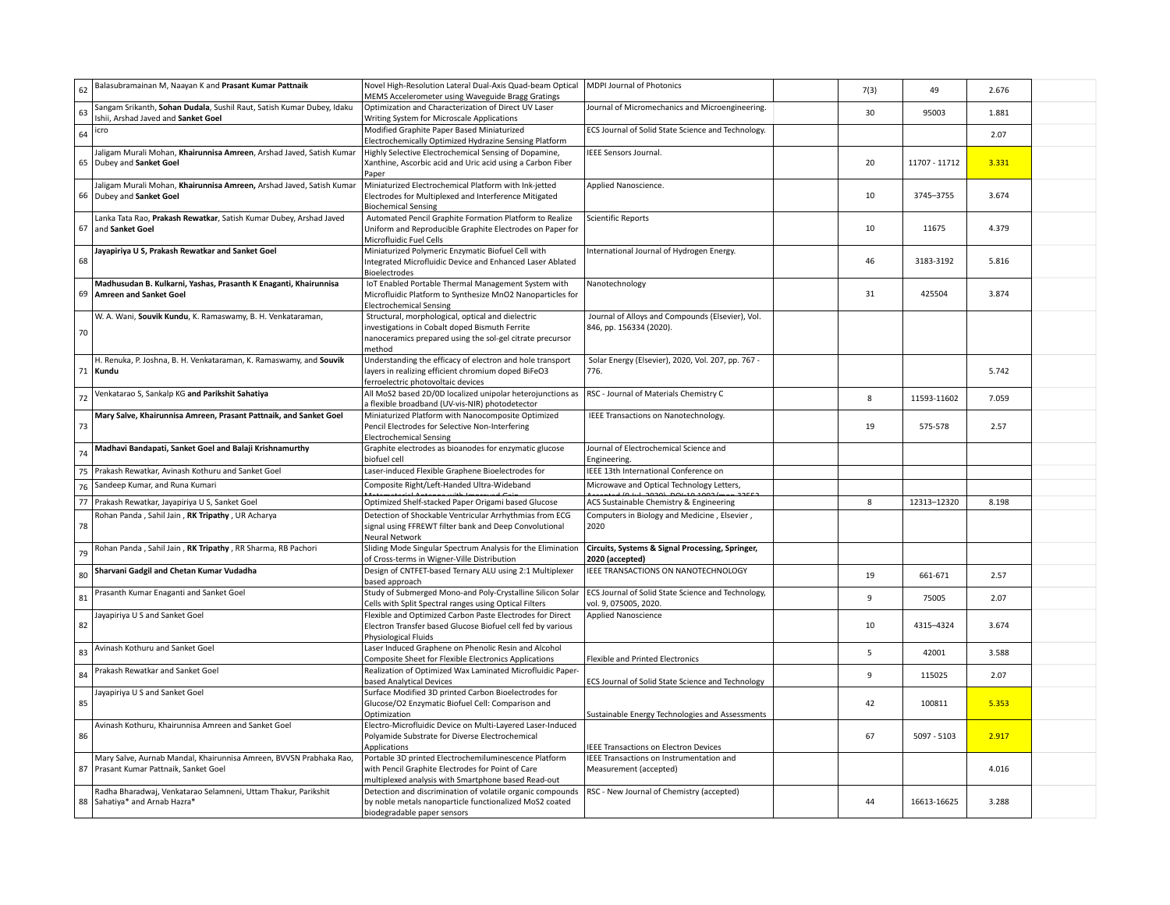| 62 | Balasubramainan M, Naayan K and Prasant Kumar Pattnaik                                                       | Novel High-Resolution Lateral Dual-Axis Quad-beam Optical<br>MEMS Accelerometer using Waveguide Bragg Gratings                                                             | <b>MDPI Journal of Photonics</b>                                            | 7(3)         | 49            | 2.676 |  |
|----|--------------------------------------------------------------------------------------------------------------|----------------------------------------------------------------------------------------------------------------------------------------------------------------------------|-----------------------------------------------------------------------------|--------------|---------------|-------|--|
| 63 | Sangam Srikanth, Sohan Dudala, Sushil Raut, Satish Kumar Dubey, Idaku<br>Ishii, Arshad Javed and Sanket Goel | Optimization and Characterization of Direct UV Laser<br>Writing System for Microscale Applications                                                                         | Journal of Micromechanics and Microengineering.                             | 30           | 95003         | 1.881 |  |
| 64 | icro                                                                                                         | Modified Graphite Paper Based Miniaturized<br>Electrochemically Optimized Hydrazine Sensing Platform                                                                       | ECS Journal of Solid State Science and Technology.                          |              |               | 2.07  |  |
|    | Jaligam Murali Mohan, Khairunnisa Amreen, Arshad Javed, Satish Kumar<br>65 Dubey and Sanket Goel             | Highly Selective Electrochemical Sensing of Dopamine,<br>Xanthine, Ascorbic acid and Uric acid using a Carbon Fiber<br>Paper                                               | IEEE Sensors Journal.                                                       | 20           | 11707 - 11712 | 3.331 |  |
|    | Jaligam Murali Mohan, Khairunnisa Amreen, Arshad Javed, Satish Kumar<br>66 Dubey and Sanket Goel             | Miniaturized Electrochemical Platform with Ink-jetted<br>Electrodes for Multiplexed and Interference Mitigated<br><b>Biochemical Sensing</b>                               | Applied Nanoscience.                                                        | 10           | 3745-3755     | 3.674 |  |
|    | Lanka Tata Rao, Prakash Rewatkar, Satish Kumar Dubey, Arshad Javed<br>67 and Sanket Goel                     | Automated Pencil Graphite Formation Platform to Realize<br>Uniform and Reproducible Graphite Electrodes on Paper for<br>Microfluidic Fuel Cells                            | <b>Scientific Reports</b>                                                   | 10           | 11675         | 4.379 |  |
| 68 | Jayapiriya U S, Prakash Rewatkar and Sanket Goel                                                             | Miniaturized Polymeric Enzymatic Biofuel Cell with<br>Integrated Microfluidic Device and Enhanced Laser Ablated<br><b>Bioelectrodes</b>                                    | nternational Journal of Hydrogen Energy.                                    | 46           | 3183-3192     | 5.816 |  |
|    | Madhusudan B. Kulkarni, Yashas, Prasanth K Enaganti, Khairunnisa<br>69 Amreen and Sanket Goel                | IoT Enabled Portable Thermal Management System with<br>Microfluidic Platform to Synthesize MnO2 Nanoparticles for<br><b>Electrochemical Sensing</b>                        | Nanotechnology                                                              | 31           | 425504        | 3.874 |  |
| 70 | W. A. Wani, Souvik Kundu, K. Ramaswamy, B. H. Venkataraman,                                                  | Structural, morphological, optical and dielectric<br>investigations in Cobalt doped Bismuth Ferrite<br>nanoceramics prepared using the sol-gel citrate precursor<br>method | Journal of Alloys and Compounds (Elsevier), Vol.<br>846, pp. 156334 (2020). |              |               |       |  |
|    | H. Renuka, P. Joshna, B. H. Venkataraman, K. Ramaswamy, and Souvik<br>71 Kundu                               | Understanding the efficacy of electron and hole transport<br>layers in realizing efficient chromium doped BiFeO3<br>ferroelectric photovoltaic devices                     | Solar Energy (Elsevier), 2020, Vol. 207, pp. 767 -<br>776.                  |              |               | 5.742 |  |
| 72 | Venkatarao S, Sankalp KG and Parikshit Sahatiya                                                              | All MoS2 based 2D/0D localized unipolar heterojunctions as<br>a flexible broadband (UV-vis-NIR) photodetector                                                              | RSC - Journal of Materials Chemistry C                                      | 8            | 11593-11602   | 7.059 |  |
| 73 | Mary Salve, Khairunnisa Amreen, Prasant Pattnaik, and Sanket Goel                                            | Miniaturized Platform with Nanocomposite Optimized<br>Pencil Electrodes for Selective Non-Interfering<br><b>Electrochemical Sensing</b>                                    | IEEE Transactions on Nanotechnology.                                        | 19           | 575-578       | 2.57  |  |
| 74 | Madhavi Bandapati, Sanket Goel and Balaji Krishnamurthy                                                      | Graphite electrodes as bioanodes for enzymatic glucose<br>biofuel cell                                                                                                     | Journal of Electrochemical Science and<br>Engineering.                      |              |               |       |  |
| 75 | Prakash Rewatkar, Avinash Kothuru and Sanket Goel                                                            | Laser-induced Flexible Graphene Bioelectrodes for                                                                                                                          | IEEE 13th International Conference on                                       |              |               |       |  |
| 76 | Sandeep Kumar, and Runa Kumari                                                                               | Composite Right/Left-Handed Ultra-Wideband                                                                                                                                 | Microwave and Optical Technology Letters,                                   |              |               |       |  |
|    | 77 Prakash Rewatkar, Jayapiriya U S, Sanket Goel                                                             | Optimized Shelf-stacked Paper Origami based Glucose                                                                                                                        | $\frac{10 \text{ m}}{20200}$<br>ACS Sustainable Chemistry & Engineering     | 8            | 12313-12320   | 8.198 |  |
| 78 | Rohan Panda, Sahil Jain, RK Tripathy, UR Acharya                                                             | Detection of Shockable Ventricular Arrhythmias from ECG<br>signal using FFREWT filter bank and Deep Convolutional<br>Neural Network                                        | Computers in Biology and Medicine, Elsevier,<br>2020                        |              |               |       |  |
| 79 | Rohan Panda, Sahil Jain, RK Tripathy, RR Sharma, RB Pachori                                                  | Sliding Mode Singular Spectrum Analysis for the Elimination<br>of Cross-terms in Wigner-Ville Distribution                                                                 | Circuits, Systems & Signal Processing, Springer,<br>2020 (accepted)         |              |               |       |  |
| 80 | Sharvani Gadgil and Chetan Kumar Vudadha                                                                     | Design of CNTFET-based Ternary ALU using 2:1 Multiplexer<br>based approach                                                                                                 | IEEE TRANSACTIONS ON NANOTECHNOLOGY                                         | 19           | 661-671       | 2.57  |  |
| 81 | Prasanth Kumar Enaganti and Sanket Goel                                                                      | Study of Submerged Mono-and Poly-Crystalline Silicon Solar<br>Cells with Split Spectral ranges using Optical Filters                                                       | ECS Journal of Solid State Science and Technology,<br>vol. 9, 075005, 2020. | 9            | 75005         | 2.07  |  |
| 82 | Jayapiriya U S and Sanket Goel                                                                               | Flexible and Optimized Carbon Paste Electrodes for Direct<br>Electron Transfer based Glucose Biofuel cell fed by various<br>Physiological Fluids                           | <b>Applied Nanoscience</b>                                                  | 10           | 4315-4324     | 3.674 |  |
| 83 | Avinash Kothuru and Sanket Goel                                                                              | Laser Induced Graphene on Phenolic Resin and Alcohol<br>Composite Sheet for Flexible Electronics Applications                                                              | Flexible and Printed Electronics                                            | 5            | 42001         | 3.588 |  |
| 84 | Prakash Rewatkar and Sanket Goel                                                                             | Realization of Optimized Wax Laminated Microfluidic Paper-<br>based Analytical Devices                                                                                     | ECS Journal of Solid State Science and Technology                           | $\mathbf{q}$ | 115025        | 2.07  |  |
| 85 | Jayapiriya U S and Sanket Goel                                                                               | Surface Modified 3D printed Carbon Bioelectrodes for<br>Glucose/O2 Enzymatic Biofuel Cell: Comparison and<br>Optimization                                                  | Sustainable Energy Technologies and Assessments                             | 42           | 100811        | 5.353 |  |
| 86 | Avinash Kothuru, Khairunnisa Amreen and Sanket Goel                                                          | Electro-Microfluidic Device on Multi-Layered Laser-Induced<br>Polyamide Substrate for Diverse Electrochemical<br>Applications                                              | <b>IEEE Transactions on Electron Devices</b>                                | 67           | 5097 - 5103   | 2.917 |  |
|    | Mary Salve, Aurnab Mandal, Khairunnisa Amreen, BVVSN Prabhaka Rao,<br>87 Prasant Kumar Pattnaik, Sanket Goel | Portable 3D printed Electrochemiluminescence Platform<br>with Pencil Graphite Electrodes for Point of Care<br>multiplexed analysis with Smartphone based Read-out          | IEEE Transactions on Instrumentation and<br>Measurement (accepted)          |              |               | 4.016 |  |
|    | Radha Bharadwaj, Venkatarao Selamneni, Uttam Thakur, Parikshit<br>88 Sahatiya* and Arnab Hazra*              | Detection and discrimination of volatile organic compounds<br>by noble metals nanoparticle functionalized MoS2 coated<br>biodegradable paper sensors                       | RSC - New Journal of Chemistry (accepted)                                   | 44           | 16613-16625   | 3.288 |  |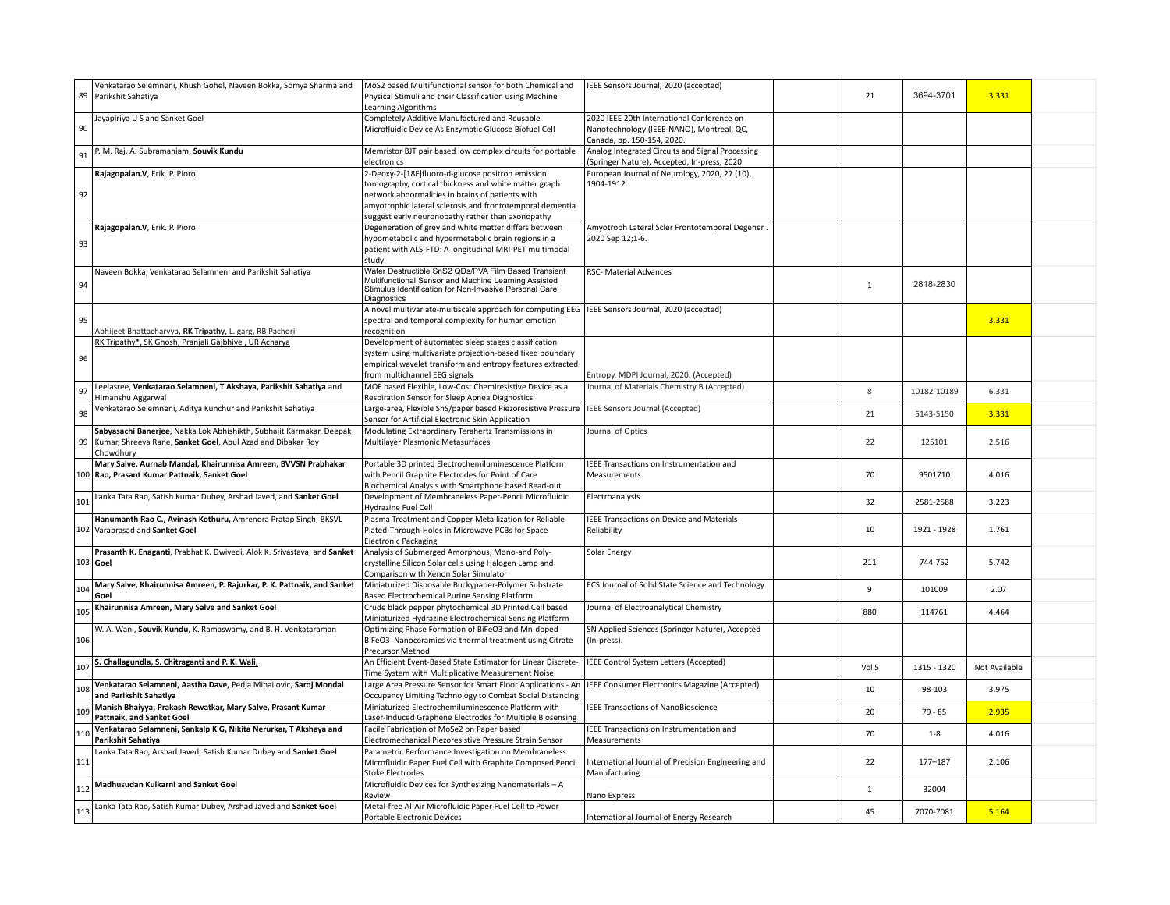| 89  | Venkatarao Selemneni, Khush Gohel, Naveen Bokka, Somya Sharma and<br>Parikshit Sahatiya                                                             | MoS2 based Multifunctional sensor for both Chemical and<br>Physical Stimuli and their Classification using Machine<br>Learning Algorithms                                                                                                                                        | IEEE Sensors Journal, 2020 (accepted)                                                                                 | 21    | 3694-3701   | 3.331         |  |
|-----|-----------------------------------------------------------------------------------------------------------------------------------------------------|----------------------------------------------------------------------------------------------------------------------------------------------------------------------------------------------------------------------------------------------------------------------------------|-----------------------------------------------------------------------------------------------------------------------|-------|-------------|---------------|--|
| 90  | Jayapiriya U S and Sanket Goel                                                                                                                      | Completely Additive Manufactured and Reusable<br>Microfluidic Device As Enzymatic Glucose Biofuel Cell                                                                                                                                                                           | 2020 IEEE 20th International Conference on<br>Nanotechnology (IEEE-NANO), Montreal, QC,<br>Canada, pp. 150-154, 2020. |       |             |               |  |
| 91  | P. M. Raj, A. Subramaniam, Souvik Kundu                                                                                                             | Memristor BJT pair based low complex circuits for portable<br>electronics                                                                                                                                                                                                        | Analog Integrated Circuits and Signal Processing<br>(Springer Nature), Accepted, In-press, 2020                       |       |             |               |  |
| 92  | Rajagopalan.V, Erik. P. Pioro                                                                                                                       | 2-Deoxy-2-[18F]fluoro-d-glucose positron emission<br>tomography, cortical thickness and white matter graph<br>network abnormalities in brains of patients with<br>amyotrophic lateral sclerosis and frontotemporal dementia<br>suggest early neuronopathy rather than axonopathy | European Journal of Neurology, 2020, 27 (10),<br>1904-1912                                                            |       |             |               |  |
| 93  | Rajagopalan.V, Erik. P. Pioro                                                                                                                       | Degeneration of grey and white matter differs between<br>hypometabolic and hypermetabolic brain regions in a<br>patient with ALS-FTD: A longitudinal MRI-PET multimodal<br>study                                                                                                 | Amyotroph Lateral Scler Frontotemporal Degener<br>2020 Sep 12;1-6.                                                    |       |             |               |  |
| 94  | Naveen Bokka, Venkatarao Selamneni and Parikshit Sahatiya                                                                                           | Water Destructible SnS2 QDs/PVA Film Based Transient<br>Multifunctional Sensor and Machine Learning Assisted<br>Stimulus Identification for Non-Invasive Personal Care<br>Diagnostics                                                                                            | RSC- Material Advances                                                                                                | $1\,$ | 2818-2830   |               |  |
| 95  | Abhijeet Bhattacharyya, RK Tripathy, L. garg, RB Pachori                                                                                            | A novel multivariate-multiscale approach for computing EEG   IEEE Sensors Journal, 2020 (accepted)<br>spectral and temporal complexity for human emotion<br>recognition                                                                                                          |                                                                                                                       |       |             | 3.331         |  |
| 96  | RK Tripathy*, SK Ghosh, Pranjali Gajbhiye, UR Acharya                                                                                               | Development of automated sleep stages classification<br>system using multivariate projection-based fixed boundary<br>empirical wavelet transform and entropy features extracted<br>from multichannel EEG signals                                                                 | Entropy, MDPI Journal, 2020. (Accepted)                                                                               |       |             |               |  |
| 97  | Leelasree, Venkatarao Selamneni, T Akshaya, Parikshit Sahatiya and<br>Himanshu Aggarwal                                                             | MOF based Flexible, Low-Cost Chemiresistive Device as a<br>Respiration Sensor for Sleep Apnea Diagnostics                                                                                                                                                                        | Journal of Materials Chemistry B (Accepted)                                                                           | 8     | 10182-10189 | 6.331         |  |
| 98  | Venkatarao Selemneni, Aditya Kunchur and Parikshit Sahatiya                                                                                         | Large-area, Flexible SnS/paper based Piezoresistive Pressure<br>Sensor for Artificial Electronic Skin Application                                                                                                                                                                | IEEE Sensors Journal (Accepted)                                                                                       | 21    | 5143-5150   | 3.331         |  |
|     | Sabyasachi Banerjee, Nakka Lok Abhishikth, Subhajit Karmakar, Deepak<br>99 Kumar, Shreeya Rane, Sanket Goel, Abul Azad and Dibakar Roy<br>Chowdhury | Modulating Extraordinary Terahertz Transmissions in<br>Multilayer Plasmonic Metasurfaces                                                                                                                                                                                         | Journal of Optics                                                                                                     | 22    | 125101      | 2.516         |  |
|     | Mary Salve, Aurnab Mandal, Khairunnisa Amreen, BVVSN Prabhakar<br>100 Rao, Prasant Kumar Pattnaik, Sanket Goel                                      | Portable 3D printed Electrochemiluminescence Platform<br>with Pencil Graphite Electrodes for Point of Care<br>Biochemical Analysis with Smartphone based Read-out                                                                                                                | IEEE Transactions on Instrumentation and<br>Measurements                                                              | 70    | 9501710     | 4.016         |  |
| 101 | Lanka Tata Rao, Satish Kumar Dubey, Arshad Javed, and Sanket Goel                                                                                   | Development of Membraneless Paper-Pencil Microfluidic<br>Hydrazine Fuel Cell                                                                                                                                                                                                     | Electroanalysis                                                                                                       | 32    | 2581-2588   | 3.223         |  |
|     | Hanumanth Rao C., Avinash Kothuru, Amrendra Pratap Singh, BKSVL<br>102 Varaprasad and Sanket Goel                                                   | Plasma Treatment and Copper Metallization for Reliable<br>Plated-Through-Holes in Microwave PCBs for Space<br><b>Electronic Packaging</b>                                                                                                                                        | IEEE Transactions on Device and Materials<br>Reliability                                                              | 10    | 1921 - 1928 | 1.761         |  |
|     | Prasanth K. Enaganti, Prabhat K. Dwivedi, Alok K. Srivastava, and Sanket<br>103 Goel                                                                | Analysis of Submerged Amorphous, Mono-and Poly-<br>crystalline Silicon Solar cells using Halogen Lamp and<br>Comparison with Xenon Solar Simulator                                                                                                                               | Solar Energy                                                                                                          | 211   | 744-752     | 5.742         |  |
| 104 | Mary Salve, Khairunnisa Amreen, P. Rajurkar, P. K. Pattnaik, and Sanket<br>Goel                                                                     | Miniaturized Disposable Buckypaper-Polymer Substrate<br>Based Electrochemical Purine Sensing Platform                                                                                                                                                                            | ECS Journal of Solid State Science and Technology                                                                     | 9     | 101009      | 2.07          |  |
| 105 | Khairunnisa Amreen, Mary Salve and Sanket Goel                                                                                                      | Crude black pepper phytochemical 3D Printed Cell based<br>Miniaturized Hydrazine Electrochemical Sensing Platform                                                                                                                                                                | Journal of Electroanalytical Chemistry                                                                                | 880   | 114761      | 4.464         |  |
| 106 | W. A. Wani, Souvik Kundu, K. Ramaswamy, and B. H. Venkataraman                                                                                      | Optimizing Phase Formation of BiFeO3 and Mn-doped<br>BiFeO3 Nanoceramics via thermal treatment using Citrate<br>Precursor Method                                                                                                                                                 | SN Applied Sciences (Springer Nature), Accepted<br>(In-press).                                                        |       |             |               |  |
| 107 | S. Challagundla, S. Chitraganti and P. K. Wali,                                                                                                     | An Efficient Event-Based State Estimator for Linear Discrete-<br>Time System with Multiplicative Measurement Noise                                                                                                                                                               | IEEE Control System Letters (Accepted)                                                                                | Vol 5 | 1315 - 1320 | Not Available |  |
| 108 | Venkatarao Selamneni, Aastha Dave, Pedja Mihailovic, Saroj Mondal<br>and Parikshit Sahatiya                                                         | Large Area Pressure Sensor for Smart Floor Applications - An<br>Occupancy Limiting Technology to Combat Social Distancing                                                                                                                                                        | IEEE Consumer Electronics Magazine (Accepted)                                                                         | 10    | 98-103      | 3.975         |  |
| 109 | Manish Bhaiyya, Prakash Rewatkar, Mary Salve, Prasant Kumar<br>Pattnaik, and Sanket Goel                                                            | Miniaturized Electrochemiluminescence Platform with<br>Laser-Induced Graphene Electrodes for Multiple Biosensing                                                                                                                                                                 | <b>IEEE Transactions of NanoBioscience</b>                                                                            | 20    | $79 - 85$   | 2.935         |  |
| 110 | Venkatarao Selamneni, Sankalp K G, Nikita Nerurkar, T Akshaya and<br>Parikshit Sahatiya                                                             | Facile Fabrication of MoSe2 on Paper based<br>Electromechanical Piezoresistive Pressure Strain Sensor                                                                                                                                                                            | IEEE Transactions on Instrumentation and<br>Measurements                                                              | 70    | $1 - 8$     | 4.016         |  |
| 111 | Lanka Tata Rao, Arshad Javed, Satish Kumar Dubey and Sanket Goel                                                                                    | Parametric Performance Investigation on Membraneless<br>Microfluidic Paper Fuel Cell with Graphite Composed Pencil<br><b>Stoke Electrodes</b>                                                                                                                                    | International Journal of Precision Engineering and<br>Manufacturing                                                   | 22    | $177 - 187$ | 2.106         |  |
| 112 | Madhusudan Kulkarni and Sanket Goel                                                                                                                 | Microfluidic Devices for Synthesizing Nanomaterials-A<br>Review                                                                                                                                                                                                                  | Nano Express                                                                                                          | 1     | 32004       |               |  |
| 113 | Lanka Tata Rao, Satish Kumar Dubey, Arshad Javed and Sanket Goel                                                                                    | Metal-free Al-Air Microfluidic Paper Fuel Cell to Power<br>Portable Electronic Devices                                                                                                                                                                                           | International Journal of Energy Research                                                                              | 45    | 7070-7081   | 5.164         |  |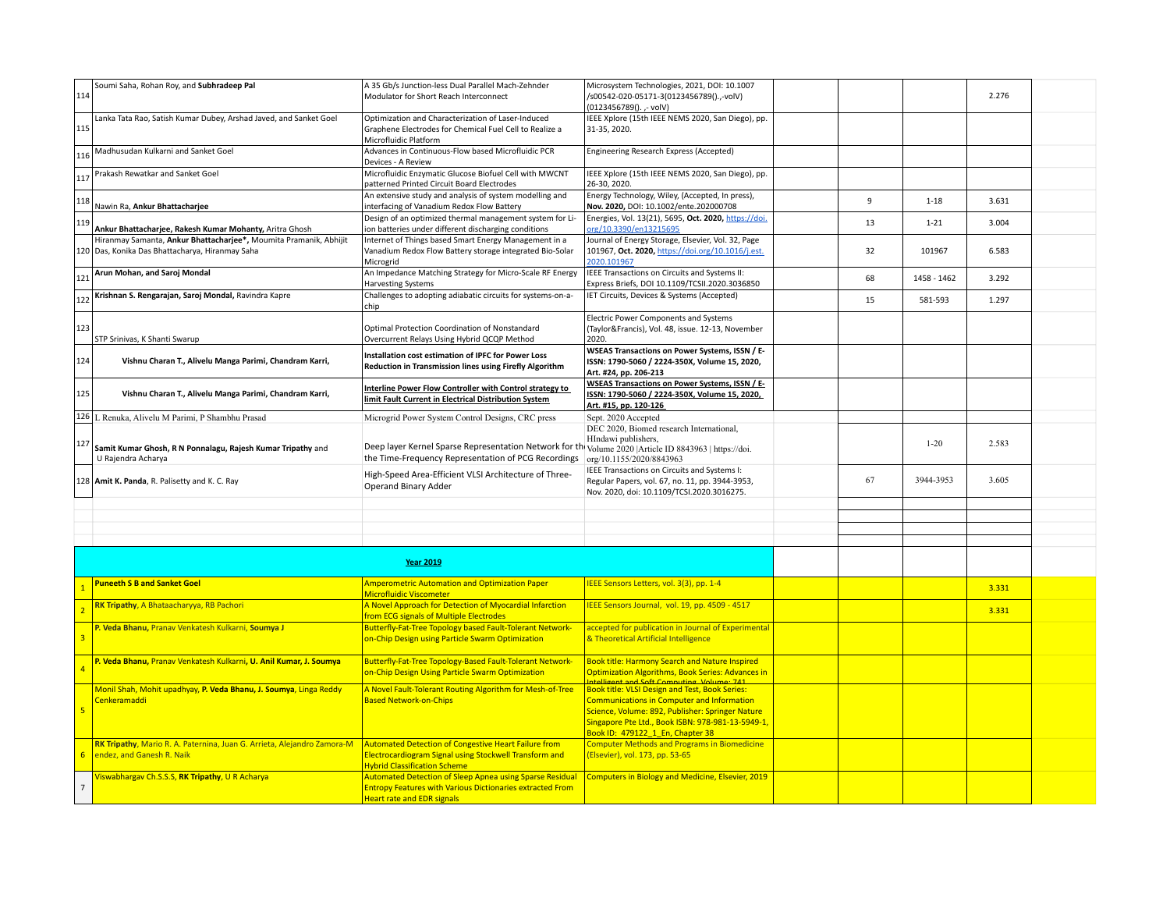| 114            | Soumi Saha, Rohan Roy, and Subhradeep Pal                                         | A 35 Gb/s Junction-less Dual Parallel Mach-Zehnder<br>Modulator for Short Reach Interconnect                                                                   | Microsystem Technologies, 2021, DOI: 10.1007<br>/s00542-020-05171-3(0123456789().,-volV)<br>(0123456789().,- volV)                                                                                                  |    |             | 2.276 |  |
|----------------|-----------------------------------------------------------------------------------|----------------------------------------------------------------------------------------------------------------------------------------------------------------|---------------------------------------------------------------------------------------------------------------------------------------------------------------------------------------------------------------------|----|-------------|-------|--|
| 115            | Lanka Tata Rao, Satish Kumar Dubey, Arshad Javed, and Sanket Goel                 | Optimization and Characterization of Laser-Induced<br>Graphene Electrodes for Chemical Fuel Cell to Realize a<br>Microfluidic Platform                         | IEEE Xplore (15th IEEE NEMS 2020, San Diego), pp.<br>31-35, 2020.                                                                                                                                                   |    |             |       |  |
| 116            | Madhusudan Kulkarni and Sanket Goel                                               | Advances in Continuous-Flow based Microfluidic PCR<br>Devices - A Review                                                                                       | Engineering Research Express (Accepted)                                                                                                                                                                             |    |             |       |  |
| 117            | Prakash Rewatkar and Sanket Goel                                                  | Microfluidic Enzymatic Glucose Biofuel Cell with MWCNT<br>patterned Printed Circuit Board Electrodes                                                           | IEEE Xplore (15th IEEE NEMS 2020, San Diego), pp.<br>26-30, 2020.                                                                                                                                                   |    |             |       |  |
| 118            | Nawin Ra, Ankur Bhattacharjee                                                     | An extensive study and analysis of system modelling and<br>interfacing of Vanadium Redox Flow Battery                                                          | Energy Technology, Wiley, (Accepted, In press),<br>Nov. 2020, DOI: 10.1002/ente.202000708                                                                                                                           | 9  | $1 - 18$    | 3.631 |  |
| 119            | Ankur Bhattacharjee, Rakesh Kumar Mohanty, Aritra Ghosh                           | Design of an optimized thermal management system for Li-<br>ion batteries under different discharging conditions                                               | Energies, Vol. 13(21), 5695, Oct. 2020, https://doi.<br>org/10.3390/en13215695                                                                                                                                      | 13 | $1 - 21$    | 3.004 |  |
|                | Hiranmay Samanta, Ankur Bhattacharjee*, Moumita Pramanik, Abhijit                 | Internet of Things based Smart Energy Management in a                                                                                                          | Journal of Energy Storage, Elsevier, Vol. 32, Page                                                                                                                                                                  |    |             |       |  |
|                | 120 Das, Konika Das Bhattacharya, Hiranmay Saha                                   | Vanadium Redox Flow Battery storage integrated Bio-Solar<br>Microgrid                                                                                          | 101967, Oct. 2020, https://doi.org/10.1016/j.est.<br>2020.101967                                                                                                                                                    | 32 | 101967      | 6.583 |  |
| 121            | Arun Mohan, and Saroj Mondal                                                      | An Impedance Matching Strategy for Micro-Scale RF Energy<br><b>Harvesting Systems</b>                                                                          | IEEE Transactions on Circuits and Systems II:<br>Express Briefs, DOI 10.1109/TCSII.2020.3036850                                                                                                                     | 68 | 1458 - 1462 | 3.292 |  |
| 122            | Krishnan S. Rengarajan, Saroj Mondal, Ravindra Kapre                              | Challenges to adopting adiabatic circuits for systems-on-a-<br>chip                                                                                            | IET Circuits, Devices & Systems (Accepted)                                                                                                                                                                          | 15 | 581-593     | 1.297 |  |
|                |                                                                                   |                                                                                                                                                                | Electric Power Components and Systems                                                                                                                                                                               |    |             |       |  |
| 123            |                                                                                   | Optimal Protection Coordination of Nonstandard                                                                                                                 | (Taylor&Francis), Vol. 48, issue. 12-13, November                                                                                                                                                                   |    |             |       |  |
|                | STP Srinivas, K Shanti Swarup                                                     | Overcurrent Relays Using Hybrid QCQP Method                                                                                                                    | 2020.                                                                                                                                                                                                               |    |             |       |  |
| 124            | Vishnu Charan T., Alivelu Manga Parimi, Chandram Karri,                           | Installation cost estimation of IPFC for Power Loss<br>Reduction in Transmission lines using Firefly Algorithm                                                 | <b>WSEAS Transactions on Power Systems, ISSN / E-</b><br>ISSN: 1790-5060 / 2224-350X, Volume 15, 2020,<br>Art. #24, pp. 206-213                                                                                     |    |             |       |  |
| 125            | Vishnu Charan T., Alivelu Manga Parimi, Chandram Karri,                           | Interline Power Flow Controller with Control strategy to<br>limit Fault Current in Electrical Distribution System                                              | <b>WSEAS Transactions on Power Systems, ISSN / E-</b><br>ISSN: 1790-5060 / 2224-350X, Volume 15, 2020,<br>Art. #15, pp. 120-126                                                                                     |    |             |       |  |
|                | 126 L Renuka, Alivelu M Parimi, P Shambhu Prasad                                  | Microgrid Power System Control Designs, CRC press                                                                                                              | Sept. 2020 Accepted                                                                                                                                                                                                 |    |             |       |  |
|                |                                                                                   |                                                                                                                                                                | DEC 2020, Biomed research International,                                                                                                                                                                            |    |             |       |  |
| 127            | Samit Kumar Ghosh, R N Ponnalagu, Rajesh Kumar Tripathy and<br>U Rajendra Acharya | Deep layer Kernel Sparse Representation Network for the Volume 2020   Article ID 8843963   https://doi.<br>the Time-Frequency Representation of PCG Recordings | HIndawi publishers,<br>org/10.1155/2020/8843963                                                                                                                                                                     |    | $1 - 20$    | 2.583 |  |
|                | 128 Amit K. Panda, R. Palisetty and K. C. Ray                                     | High-Speed Area-Efficient VLSI Architecture of Three-<br>Operand Binary Adder                                                                                  | IEEE Transactions on Circuits and Systems I:<br>Regular Papers, vol. 67, no. 11, pp. 3944-3953,<br>Nov. 2020, doi: 10.1109/TCSI.2020.3016275.                                                                       | 67 | 3944-3953   | 3.605 |  |
|                |                                                                                   |                                                                                                                                                                |                                                                                                                                                                                                                     |    |             |       |  |
|                |                                                                                   |                                                                                                                                                                |                                                                                                                                                                                                                     |    |             |       |  |
|                |                                                                                   |                                                                                                                                                                |                                                                                                                                                                                                                     |    |             |       |  |
|                |                                                                                   |                                                                                                                                                                |                                                                                                                                                                                                                     |    |             |       |  |
|                |                                                                                   | <b>Year 2019</b>                                                                                                                                               |                                                                                                                                                                                                                     |    |             |       |  |
|                | <b>Puneeth S B and Sanket Goel</b>                                                | <b>Amperometric Automation and Optimization Paper</b>                                                                                                          | IEEE Sensors Letters, vol. 3(3), pp. 1-4                                                                                                                                                                            |    |             |       |  |
|                |                                                                                   | Microfluidic Viscometer                                                                                                                                        |                                                                                                                                                                                                                     |    |             | 3.331 |  |
|                | RK Tripathy, A Bhataacharyya, RB Pachori                                          | A Novel Approach for Detection of Myocardial Infarction<br><b>from ECG signals of Multiple Electrodes</b>                                                      | IEEE Sensors Journal, vol. 19, pp. 4509 - 4517                                                                                                                                                                      |    |             | 3.331 |  |
|                | P. Veda Bhanu, Pranav Venkatesh Kulkarni, Soumya J                                | Butterfly-Fat-Tree Topology based Fault-Tolerant Network-<br>on-Chip Design using Particle Swarm Optimization                                                  | accepted for publication in Journal of Experimental<br>& Theoretical Artificial Intelligence                                                                                                                        |    |             |       |  |
|                | P. Veda Bhanu, Pranav Venkatesh Kulkarni, U. Anil Kumar, J. Soumya                | Butterfly-Fat-Tree Topology-Based Fault-Tolerant Network-<br>on-Chip Design Using Particle Swarm Optimization                                                  | <b>Book title: Harmony Search and Nature Inspired</b><br><b>Optimization Algorithms, Book Series: Advances in</b><br>ntelligent and Soft Computing Volume: 741                                                      |    |             |       |  |
| 5              | Monil Shah, Mohit upadhyay, P. Veda Bhanu, J. Soumya, Linga Reddy<br>Cenkeramaddi | A Novel Fault-Tolerant Routing Algorithm for Mesh-of-Tree<br><b>Based Network-on-Chips</b>                                                                     | <b>Book title: VLSI Design and Test, Book Series:</b><br><b>Communications in Computer and Information</b><br>Science, Volume: 892, Publisher: Springer Nature<br>Singapore Pte Ltd., Book ISBN: 978-981-13-5949-1, |    |             |       |  |
|                |                                                                                   |                                                                                                                                                                | Book ID: 479122_1_En, Chapter 38                                                                                                                                                                                    |    |             |       |  |
|                | RK Tripathy, Mario R. A. Paternina, Juan G. Arrieta, Alejandro Zamora-M           | <b>Automated Detection of Congestive Heart Failure from</b>                                                                                                    | <b>Computer Methods and Programs in Biomedicine</b>                                                                                                                                                                 |    |             |       |  |
| 6 <sup>1</sup> | endez, and Ganesh R. Naik                                                         | Electrocardiogram Signal using Stockwell Transform and<br><b>Hybrid Classification Scheme</b>                                                                  | (Elsevier), vol. 173, pp. 53-65                                                                                                                                                                                     |    |             |       |  |
| $\overline{7}$ | Viswabhargav Ch.S.S.S, RK Tripathy, U R Acharya                                   | <b>Automated Detection of Sleep Apnea using Sparse Residual</b>                                                                                                | <b>Computers in Biology and Medicine, Elsevier, 2019</b>                                                                                                                                                            |    |             |       |  |
|                |                                                                                   | <b>Entropy Features with Various Dictionaries extracted From</b><br>Heart rate and EDR signals                                                                 |                                                                                                                                                                                                                     |    |             |       |  |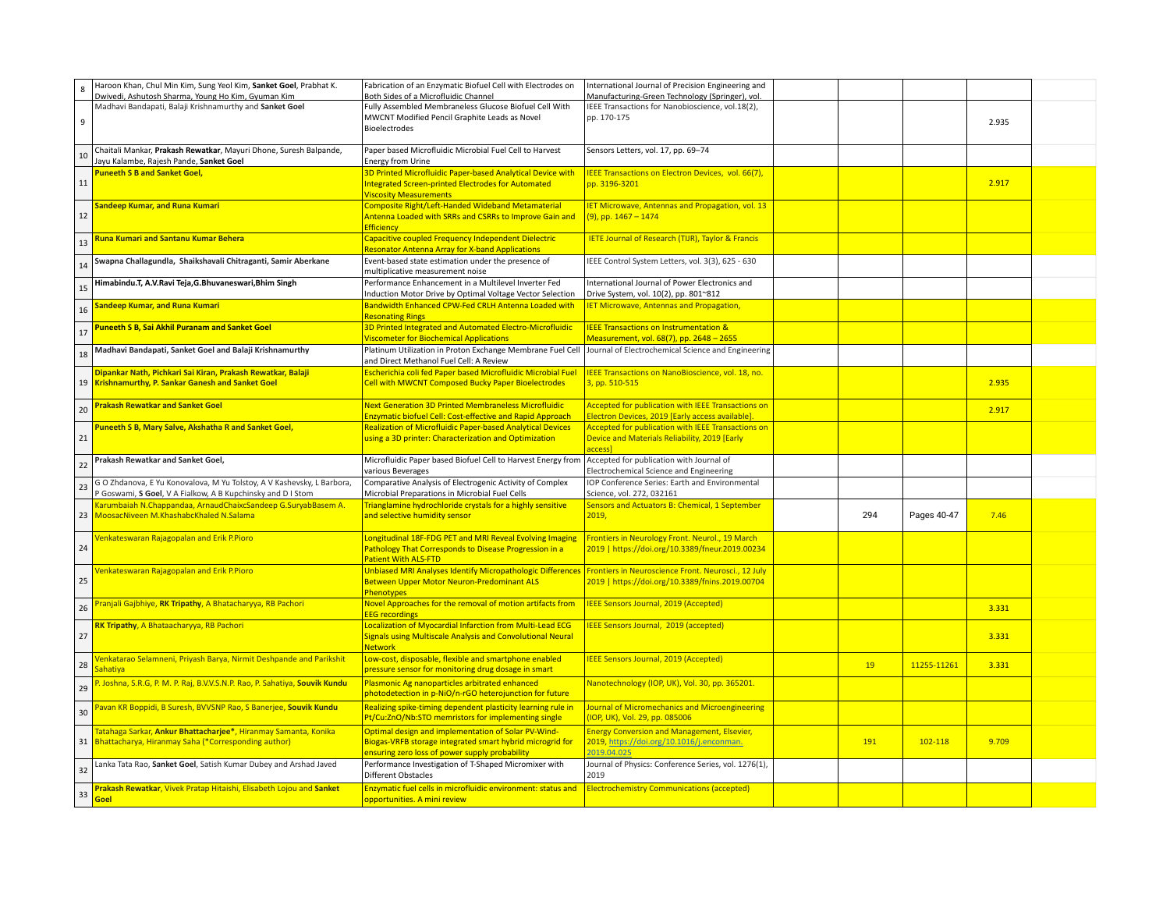| $\boldsymbol{8}$ | Haroon Khan, Chul Min Kim, Sung Yeol Kim, Sanket Goel, Prabhat K.<br>Dwivedi, Ashutosh Sharma, Young Ho Kim, Gyuman Kim                          | Fabrication of an Enzymatic Biofuel Cell with Electrodes on<br>Both Sides of a Microfluidic Channel                                                                | International Journal of Precision Engineering and<br>Manufacturing-Green Technology (Springer), vol.          |     |             |       |  |
|------------------|--------------------------------------------------------------------------------------------------------------------------------------------------|--------------------------------------------------------------------------------------------------------------------------------------------------------------------|----------------------------------------------------------------------------------------------------------------|-----|-------------|-------|--|
| 9                | Madhavi Bandapati, Balaji Krishnamurthy and Sanket Goel                                                                                          | Fully Assembled Membraneless Glucose Biofuel Cell With<br>MWCNT Modified Pencil Graphite Leads as Novel<br>Bioelectrodes                                           | IEEE Transactions for Nanobioscience, vol.18(2),<br>pp. 170-175                                                |     |             | 2.935 |  |
| 10               | Chaitali Mankar, Prakash Rewatkar, Mayuri Dhone, Suresh Balpande,<br>Jayu Kalambe, Rajesh Pande, Sanket Goel                                     | Paper based Microfluidic Microbial Fuel Cell to Harvest<br>Energy from Urine                                                                                       | Sensors Letters, vol. 17, pp. 69-74                                                                            |     |             |       |  |
| 11               | <b>Puneeth S B and Sanket Goel,</b>                                                                                                              | 3D Printed Microfluidic Paper-based Analytical Device with<br><b>Integrated Screen-printed Electrodes for Automated</b><br><b>Viscosity Measurements</b>           | IEEE Transactions on Electron Devices, vol. 66(7),<br>pp. 3196-3201                                            |     |             | 2.917 |  |
| 12               | Sandeep Kumar, and Runa Kumari                                                                                                                   | <b>Composite Right/Left-Handed Wideband Metamaterial</b><br>Antenna Loaded with SRRs and CSRRs to Improve Gain and<br><b>Efficiency</b>                            | <b>IET Microwave, Antennas and Propagation, vol. 13</b><br>(9), pp. 1467 - 1474                                |     |             |       |  |
| 13               | Runa Kumari and Santanu Kumar Behera                                                                                                             | Capacitive coupled Frequency Independent Dielectric<br><b>Resonator Antenna Array for X-band Applications</b>                                                      | <b>IETE Journal of Research (TIJR), Taylor &amp; Francis</b>                                                   |     |             |       |  |
| 14               | Swapna Challagundla, Shaikshavali Chitraganti, Samir Aberkane                                                                                    | Event-based state estimation under the presence of<br>multiplicative measurement noise                                                                             | IEEE Control System Letters, vol. 3(3), 625 - 630                                                              |     |             |       |  |
| 15               | Himabindu.T, A.V.Ravi Teja,G.Bhuvaneswari,Bhim Singh                                                                                             | Performance Enhancement in a Multilevel Inverter Fed<br>Induction Motor Drive by Optimal Voltage Vector Selection                                                  | International Journal of Power Electronics and<br>Drive System, vol. 10(2), pp. 801~812                        |     |             |       |  |
| 16               | Sandeep Kumar, and Runa Kumari                                                                                                                   | Bandwidth Enhanced CPW-Fed CRLH Antenna Loaded with<br><b>Resonating Rings</b>                                                                                     | <b>IET Microwave, Antennas and Propagation,</b>                                                                |     |             |       |  |
| 17               | <b>Puneeth S B, Sai Akhil Puranam and Sanket Goel</b>                                                                                            | 3D Printed Integrated and Automated Electro-Microfluidic<br><b>Viscometer for Biochemical Applications</b>                                                         | <b>IEEE Transactions on Instrumentation &amp;</b><br>Measurement, vol. 68(7), pp. 2648 - 2655                  |     |             |       |  |
| 18               | Madhavi Bandapati, Sanket Goel and Balaji Krishnamurthy                                                                                          | Platinum Utilization in Proton Exchange Membrane Fuel Cell<br>and Direct Methanol Fuel Cell: A Review                                                              | Journal of Electrochemical Science and Engineering                                                             |     |             |       |  |
| 19               | Dipankar Nath, Pichkari Sai Kiran, Prakash Rewatkar, Balaji<br><b>Krishnamurthy, P. Sankar Ganesh and Sanket Goel</b>                            | Escherichia coli fed Paper based Microfluidic Microbial Fuel<br><b>Cell with MWCNT Composed Bucky Paper Bioelectrodes</b>                                          | IEEE Transactions on NanoBioscience, vol. 18, no.<br>3, pp. 510-515                                            |     |             | 2.935 |  |
| 20               | <b>Prakash Rewatkar and Sanket Goel</b>                                                                                                          | <b>Next Generation 3D Printed Membraneless Microfluidic</b><br><b>Enzymatic biofuel Cell: Cost-effective and Rapid Approach</b>                                    | <b>Accepted for publication with IEEE Transactions on</b><br>Electron Devices, 2019 [Early access available].  |     |             | 2.917 |  |
| 21               | Puneeth S B, Mary Salve, Akshatha R and Sanket Goel,                                                                                             | <b>Realization of Microfluidic Paper-based Analytical Devices</b><br>using a 3D printer: Characterization and Optimization                                         | <b>Accepted for publication with IEEE Transactions on</b><br>Device and Materials Reliability, 2019 [Early     |     |             |       |  |
|                  |                                                                                                                                                  |                                                                                                                                                                    | access1                                                                                                        |     |             |       |  |
| 22               | Prakash Rewatkar and Sanket Goel,                                                                                                                | Microfluidic Paper based Biofuel Cell to Harvest Energy from<br>various Beverages                                                                                  | Accepted for publication with Journal of<br>Electrochemical Science and Engineering                            |     |             |       |  |
| 23               | G O Zhdanova, E Yu Konovalova, M Yu Tolstoy, A V Kashevsky, L Barbora,<br><sup>2</sup> Goswami, S Goel, V A Fialkow, A B Kupchinsky and D I Stom | Comparative Analysis of Electrogenic Activity of Complex<br>Microbial Preparations in Microbial Fuel Cells                                                         | IOP Conference Series: Earth and Environmental<br>Science, vol. 272, 032161                                    |     |             |       |  |
| 23               | Karumbaiah N.Chappandaa, ArnaudChaixcSandeep G.SuryabBasem A.<br>MoosacNiveen M.KhashabcKhaled N.Salama                                          | Trianglamine hydrochloride crystals for a highly sensitive<br>and selective humidity sensor                                                                        | Sensors and Actuators B: Chemical, 1 September<br>2019,                                                        | 294 | Pages 40-47 | 7.46  |  |
| 24               | <b>Jenkateswaran Rajagopalan and Erik P.Pioro</b>                                                                                                | Longitudinal 18F-FDG PET and MRI Reveal Evolving Imaging<br>Pathology That Corresponds to Disease Progression in a<br><b>Patient With ALS-FTD</b>                  | Frontiers in Neurology Front. Neurol., 19 March<br>2019   https://doi.org/10.3389/fneur.2019.00234             |     |             |       |  |
| 25               | <b>Jenkateswaran Rajagopalan and Erik P.Pioro</b>                                                                                                | <b>Unbiased MRI Analyses Identify Micropathologic Differences</b><br>Between Upper Motor Neuron-Predominant ALS<br><b>Phenotypes</b>                               | Frontiers in Neuroscience Front. Neurosci., 12 July<br>2019   https://doi.org/10.3389/fnins.2019.00704         |     |             |       |  |
| 26               | Pranjali Gajbhiye, RK Tripathy, A Bhatacharyya, RB Pachori                                                                                       | Novel Approaches for the removal of motion artifacts from<br><b>EEG recordings</b>                                                                                 | <b>IEEE Sensors Journal, 2019 (Accepted)</b>                                                                   |     |             | 3.331 |  |
| 27               | RK Tripathy, A Bhataacharyya, RB Pachori                                                                                                         | Localization of Myocardial Infarction from Multi-Lead ECG<br><b>Signals using Multiscale Analysis and Convolutional Neural</b><br><b>Network</b>                   | <b>EEE Sensors Journal, 2019 (accepted)</b>                                                                    |     |             | 3.331 |  |
| 28               | /enkatarao Selamneni, Priyash Barya, Nirmit Deshpande and Parikshit<br><b>Sahativa</b>                                                           | Low-cost, disposable, flexible and smartphone enabled<br>pressure sensor for monitoring drug dosage in smart                                                       | <b>EEE Sensors Journal, 2019 (Accepted)</b>                                                                    | 19  | 11255-11261 | 3.331 |  |
| 29               | P. Joshna, S.R.G, P. M. P. Raj, B.V.V.S.N.P. Rao, P. Sahatiya, Souvik Kundu                                                                      | Plasmonic Ag nanoparticles arbitrated enhanced<br>photodetection in p-NiO/n-rGO heterojunction for future                                                          | Nanotechnology (IOP, UK), Vol. 30, pp. 365201.                                                                 |     |             |       |  |
| 30               | Pavan KR Boppidi, B Suresh, BVVSNP Rao, S Banerjee, Souvik Kundu                                                                                 | Realizing spike-timing dependent plasticity learning rule in<br>Pt/Cu:ZnO/Nb:STO memristors for implementing single                                                | Journal of Micromechanics and Microengineering<br>IOP, UK), Vol. 29, pp. 085006                                |     |             |       |  |
| 31               | Fatahaga Sarkar, Ankur Bhattacharjee*, Hiranmay Samanta, Konika<br>Bhattacharya, Hiranmay Saha (*Corresponding author)                           | Optimal design and implementation of Solar PV-Wind-<br>Biogas-VRFB storage integrated smart hybrid microgrid for<br>ensuring zero loss of power supply probability | <b>Energy Conversion and Management, Elsevier,</b><br>2019, https://doi.org/10.1016/j.enconman.<br>2019.04.025 | 191 | 102-118     | 9.709 |  |
| 32               | Lanka Tata Rao, Sanket Goel, Satish Kumar Dubey and Arshad Javed                                                                                 | Performance Investigation of T-Shaped Micromixer with<br><b>Different Obstacles</b>                                                                                | Journal of Physics: Conference Series, vol. 1276(1),<br>2019                                                   |     |             |       |  |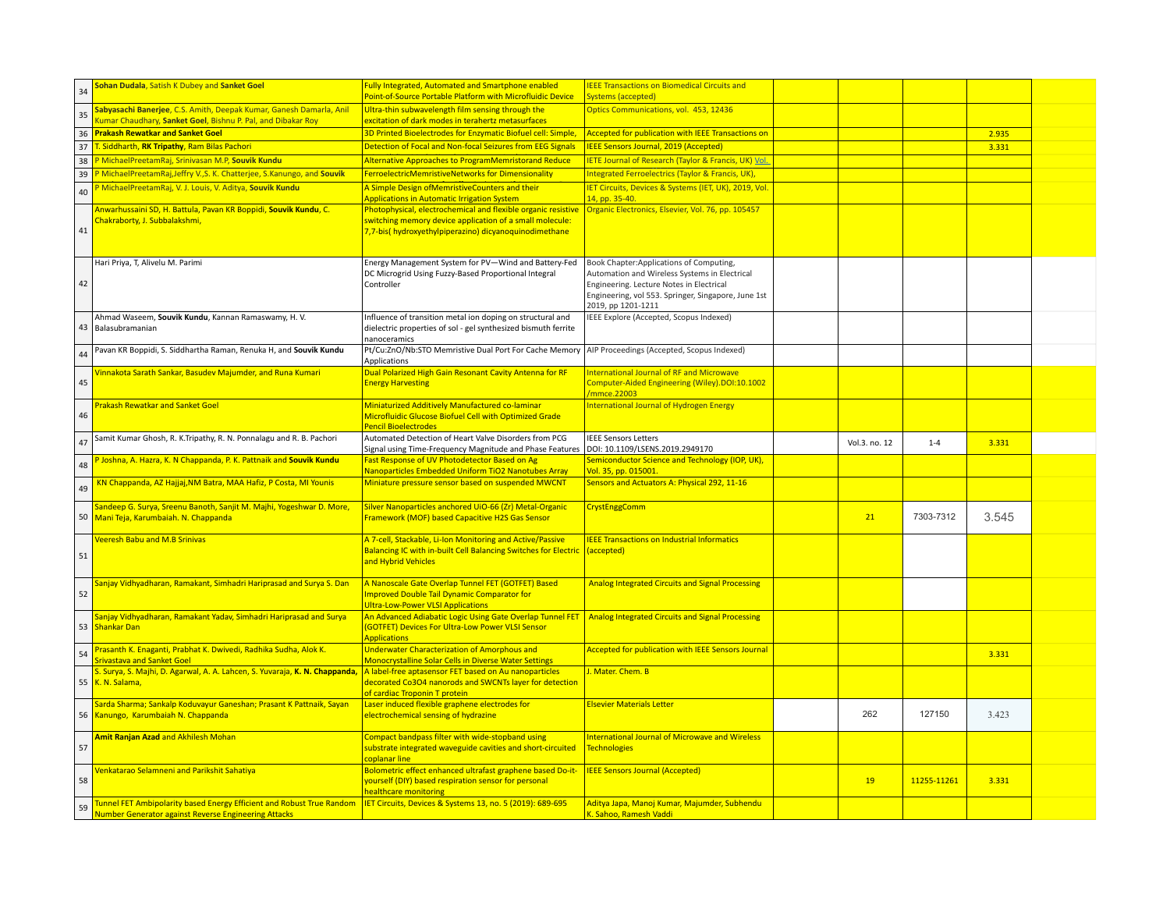| 34 | Sohan Dudala, Satish K Dubey and Sanket Goel                                                                                     | <b>Fully Integrated, Automated and Smartphone enabled</b><br>Point-of-Source Portable Platform with Microfluidic Device   | <b>IEEE Transactions on Biomedical Circuits and</b><br>Systems (accepted)                |               |             |       |  |
|----|----------------------------------------------------------------------------------------------------------------------------------|---------------------------------------------------------------------------------------------------------------------------|------------------------------------------------------------------------------------------|---------------|-------------|-------|--|
| 35 | Sabyasachi Banerjee, C.S. Amith, Deepak Kumar, Ganesh Damarla, Anil                                                              | Ultra-thin subwavelength film sensing through the                                                                         | Optics Communications, vol. 453, 12436                                                   |               |             |       |  |
|    | umar Chaudhary, Sanket Goel, Bishnu P. Pal, and Dibakar Roy                                                                      | excitation of dark modes in terahertz metasurfaces                                                                        |                                                                                          |               |             |       |  |
|    | 36 <b>Prakash Rewatkar and Sanket Goel</b>                                                                                       | 3D Printed Bioelectrodes for Enzymatic Biofuel cell: Simple,                                                              | Accepted for publication with IEEE Transactions on                                       |               |             | 2.935 |  |
|    | 37 T. Siddharth, RK Tripathy, Ram Bilas Pachori                                                                                  | Detection of Focal and Non-focal Seizures from EEG Signals                                                                | <b>IEEE Sensors Journal, 2019 (Accepted)</b>                                             |               |             | 3.331 |  |
|    | 38 P MichaelPreetamRaj, Srinivasan M.P, Souvik Kundu                                                                             | <b>Alternative Approaches to ProgramMemristorand Reduce</b>                                                               | <b>IETE Journal of Research (Taylor &amp; Francis, UK) Vol.</b>                          |               |             |       |  |
| 39 | P MichaelPreetamRaj, Jeffry V., S. K. Chatterjee, S. Kanungo, and Souvik                                                         | FerroelectricMemristiveNetworks for Dimensionality                                                                        | Integrated Ferroelectrics (Taylor & Francis, UK),                                        |               |             |       |  |
| 40 | <sup>2</sup> MichaelPreetamRaj, V. J. Louis, V. Aditya, Souvik Kundu                                                             | A Simple Design of Memristive Counters and their<br><b>Applications in Automatic Irrigation System</b>                    | <b>IET Circuits, Devices &amp; Systems (IET, UK), 2019, Vol.</b><br>14, pp. 35-40.       |               |             |       |  |
|    | Anwarhussaini SD, H. Battula, Pavan KR Boppidi, Souvik Kundu, C.<br>Chakraborty, J. Subbalakshmi,                                | Photophysical, electrochemical and flexible organic resistive<br>switching memory device application of a small molecule: | Organic Electronics, Elsevier, Vol. 76, pp. 105457                                       |               |             |       |  |
| 41 |                                                                                                                                  | 7,7-bis(hydroxyethylpiperazino) dicyanoquinodimethane                                                                     |                                                                                          |               |             |       |  |
|    |                                                                                                                                  |                                                                                                                           |                                                                                          |               |             |       |  |
|    |                                                                                                                                  |                                                                                                                           |                                                                                          |               |             |       |  |
|    | Hari Priya, T, Alivelu M. Parimi                                                                                                 | Energy Management System for PV-Wind and Battery-Fed<br>DC Microgrid Using Fuzzy-Based Proportional Integral              | Book Chapter:Applications of Computing,<br>Automation and Wireless Systems in Electrical |               |             |       |  |
| 42 |                                                                                                                                  | Controller                                                                                                                | Engineering. Lecture Notes in Electrical                                                 |               |             |       |  |
|    |                                                                                                                                  |                                                                                                                           | Engineering, vol 553. Springer, Singapore, June 1st                                      |               |             |       |  |
|    |                                                                                                                                  |                                                                                                                           | 2019, pp 1201-1211                                                                       |               |             |       |  |
|    | Ahmad Waseem, Souvik Kundu, Kannan Ramaswamy, H. V.                                                                              | Influence of transition metal ion doping on structural and                                                                | IEEE Explore (Accepted, Scopus Indexed)                                                  |               |             |       |  |
|    | 43 Balasubramanian                                                                                                               | dielectric properties of sol - gel synthesized bismuth ferrite                                                            |                                                                                          |               |             |       |  |
|    | Pavan KR Boppidi, S. Siddhartha Raman, Renuka H, and Souvik Kundu                                                                | nanoceramics<br>Pt/Cu:ZnO/Nb:STO Memristive Dual Port For Cache Memory                                                    | AIP Proceedings (Accepted, Scopus Indexed)                                               |               |             |       |  |
| 44 |                                                                                                                                  | <b>Applications</b>                                                                                                       |                                                                                          |               |             |       |  |
|    | innakota Sarath Sankar, Basudev Majumder, and Runa Kumari                                                                        | Dual Polarized High Gain Resonant Cavity Antenna for RF                                                                   | International Journal of RF and Microwave                                                |               |             |       |  |
| 45 |                                                                                                                                  | <b>Energy Harvesting</b>                                                                                                  | Computer-Aided Engineering (Wiley).DOI:10.1002<br>mmce.22003                             |               |             |       |  |
|    | <b>Prakash Rewatkar and Sanket Goel</b>                                                                                          | Miniaturized Additively Manufactured co-laminar                                                                           | International Journal of Hydrogen Energy                                                 |               |             |       |  |
| 46 |                                                                                                                                  | <b>Microfluidic Glucose Biofuel Cell with Optimized Grade</b><br>Pencil Bioelectrodes                                     |                                                                                          |               |             |       |  |
|    | Samit Kumar Ghosh, R. K.Tripathy, R. N. Ponnalagu and R. B. Pachori                                                              | Automated Detection of Heart Valve Disorders from PCG                                                                     | <b>IEEE Sensors Letters</b>                                                              |               |             |       |  |
| 47 |                                                                                                                                  | Signal using Time-Frequency Magnitude and Phase Features                                                                  | DOI: 10.1109/LSENS.2019.2949170                                                          | Vol.3. no. 12 | $1 - 4$     | 3.331 |  |
|    |                                                                                                                                  |                                                                                                                           |                                                                                          |               |             |       |  |
|    | P Joshna, A. Hazra, K. N Chappanda, P. K. Pattnaik and Souvik Kundu                                                              | Fast Response of UV Photodetector Based on Ag                                                                             | Semiconductor Science and Technology (IOP, UK),                                          |               |             |       |  |
| 48 |                                                                                                                                  | Nanoparticles Embedded Uniform TiO2 Nanotubes Array                                                                       | Vol. 35, pp. 015001.                                                                     |               |             |       |  |
| 49 | KN Chappanda, AZ Hajjaj, NM Batra, MAA Hafiz, P Costa, MI Younis                                                                 | Miniature pressure sensor based on suspended MWCNT                                                                        | Sensors and Actuators A: Physical 292, 11-16                                             |               |             |       |  |
|    | Sandeep G. Surya, Sreenu Banoth, Sanjit M. Majhi, Yogeshwar D. More,                                                             | Silver Nanoparticles anchored UiO-66 (Zr) Metal-Organic                                                                   | <b>CrystEnggComm</b>                                                                     |               |             |       |  |
| 50 | Mani Teja, Karumbaiah. N. Chappanda                                                                                              | Framework (MOF) based Capacitive H2S Gas Sensor                                                                           |                                                                                          | 21            | 7303-7312   | 3.545 |  |
|    | <b>Veeresh Babu and M.B Srinivas</b>                                                                                             | A 7-cell, Stackable, Li-Ion Monitoring and Active/Passive                                                                 | <b>EEE Transactions on Industrial Informatics</b>                                        |               |             |       |  |
|    |                                                                                                                                  | Balancing IC with in-built Cell Balancing Switches for Electric                                                           | (accepted)                                                                               |               |             |       |  |
| 51 |                                                                                                                                  | and Hybrid Vehicles                                                                                                       |                                                                                          |               |             |       |  |
|    |                                                                                                                                  |                                                                                                                           |                                                                                          |               |             |       |  |
|    | Sanjay Vidhyadharan, Ramakant, Simhadri Hariprasad and Surya S. Dan                                                              | A Nanoscale Gate Overlap Tunnel FET (GOTFET) Based<br><b>Improved Double Tail Dynamic Comparator for</b>                  | <b>Analog Integrated Circuits and Signal Processing</b>                                  |               |             |       |  |
| 52 |                                                                                                                                  | <b>Ultra-Low-Power VLSI Applications</b>                                                                                  |                                                                                          |               |             |       |  |
|    | Sanjay Vidhyadharan, Ramakant Yadav, Simhadri Hariprasad and Surya                                                               | An Advanced Adiabatic Logic Using Gate Overlap Tunnel FET                                                                 | <b>Analog Integrated Circuits and Signal Processing</b>                                  |               |             |       |  |
|    | 53 Shankar Dan                                                                                                                   | (GOTFET) Devices For Ultra-Low Power VLSI Sensor                                                                          |                                                                                          |               |             |       |  |
|    |                                                                                                                                  | <b>Applications</b>                                                                                                       |                                                                                          |               |             |       |  |
| 54 | Prasanth K. Enaganti, Prabhat K. Dwivedi, Radhika Sudha, Alok K.<br><b>Srivastava and Sanket Goel</b>                            | <b>Underwater Characterization of Amorphous and</b><br><b>Monocrystalline Solar Cells in Diverse Water Settings</b>       | Accepted for publication with IEEE Sensors Journal                                       |               |             | 3.331 |  |
|    | S. Surya, S. Majhi, D. Agarwal, A. A. Lahcen, S. Yuvaraja, K. N. Chappanda,                                                      | A label-free aptasensor FET based on Au nanoparticles                                                                     | J. Mater. Chem. B                                                                        |               |             |       |  |
| 55 | K. N. Salama,                                                                                                                    | decorated Co3O4 nanorods and SWCNTs layer for detection                                                                   |                                                                                          |               |             |       |  |
|    |                                                                                                                                  | of cardiac Troponin T protein                                                                                             |                                                                                          |               |             |       |  |
|    | Sarda Sharma; Sankalp Koduvayur Ganeshan; Prasant K Pattnaik, Sayan                                                              | Laser induced flexible graphene electrodes for                                                                            | <b>Elsevier Materials Letter</b>                                                         |               |             |       |  |
|    | 56 Kanungo, Karumbaiah N. Chappanda                                                                                              | electrochemical sensing of hydrazine                                                                                      |                                                                                          | 262           | 127150      | 3.423 |  |
|    | Amit Ranjan Azad and Akhilesh Mohan                                                                                              | Compact bandpass filter with wide-stopband using                                                                          | International Journal of Microwave and Wireless                                          |               |             |       |  |
| 57 |                                                                                                                                  | substrate integrated waveguide cavities and short-circuited                                                               | <b>Technologies</b>                                                                      |               |             |       |  |
|    |                                                                                                                                  | coplanar line                                                                                                             |                                                                                          |               |             |       |  |
|    | Venkatarao Selamneni and Parikshit Sahatiya                                                                                      | Bolometric effect enhanced ultrafast graphene based Do-it-                                                                | <b>IEEE Sensors Journal (Accepted)</b>                                                   |               |             |       |  |
| 58 |                                                                                                                                  | yourself (DIY) based respiration sensor for personal                                                                      |                                                                                          | 19            | 11255-11261 | 3.331 |  |
| 59 | Tunnel FET Ambipolarity based Energy Efficient and Robust True Random  IET Circuits, Devices & Systems 13, no. 5 (2019): 689-695 | healthcare monitoring                                                                                                     | Aditya Japa, Manoj Kumar, Majumder, Subhendu                                             |               |             |       |  |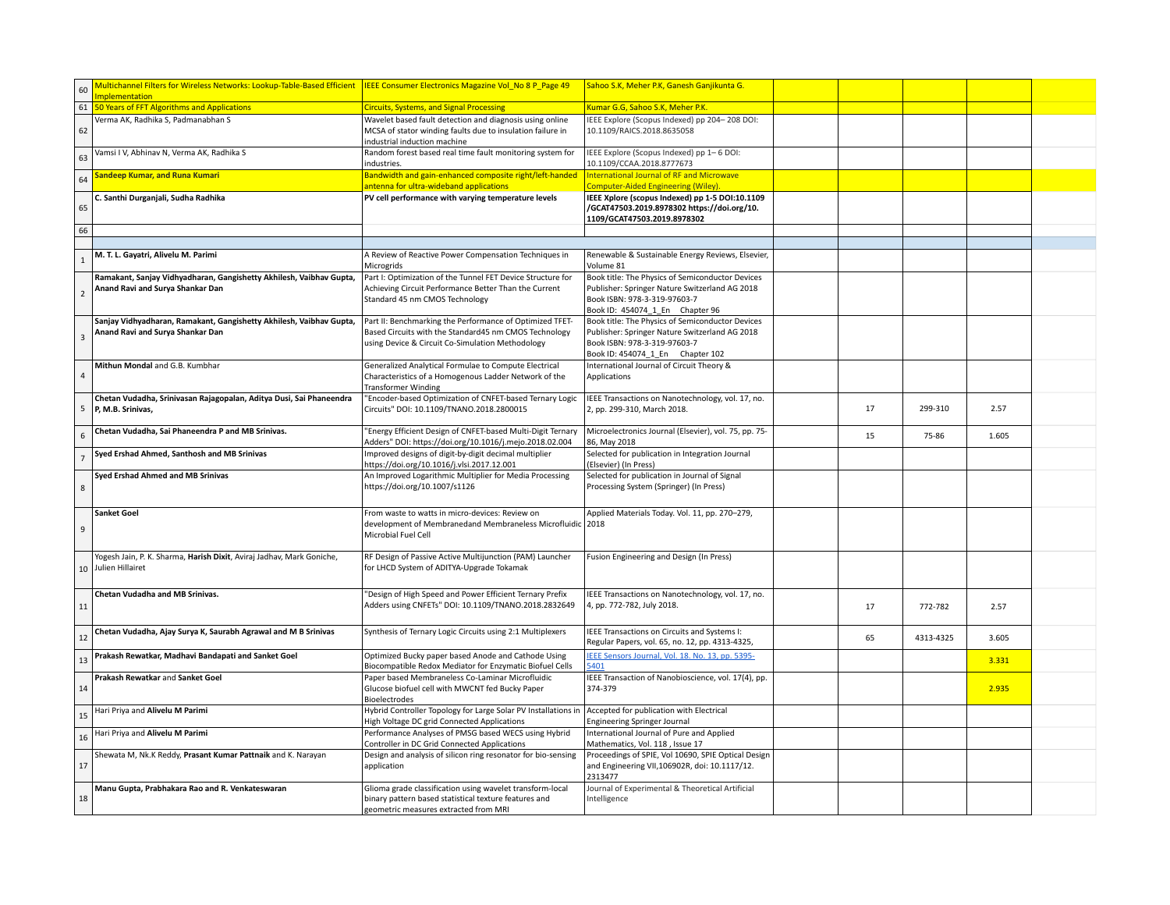| 60             | Multichannel Filters for Wireless Networks: Lookup-Table-Based Efficient   IEEE Consumer Electronics Magazine Vol_No 8 P_Page 49<br>mplementation |                                                                                                                                                                       | Sahoo S.K, Meher P.K, Ganesh Ganjikunta G.                                                                                                                             |    |           |       |  |
|----------------|---------------------------------------------------------------------------------------------------------------------------------------------------|-----------------------------------------------------------------------------------------------------------------------------------------------------------------------|------------------------------------------------------------------------------------------------------------------------------------------------------------------------|----|-----------|-------|--|
|                | 61 50 Years of FFT Algorithms and Applications                                                                                                    | <b>Circuits, Systems, and Signal Processing</b>                                                                                                                       | Kumar G.G, Sahoo S.K, Meher P.K.                                                                                                                                       |    |           |       |  |
| 62             | Verma AK, Radhika S, Padmanabhan S                                                                                                                | Wavelet based fault detection and diagnosis using online<br>MCSA of stator winding faults due to insulation failure in<br>industrial induction machine                | IEEE Explore (Scopus Indexed) pp 204-208 DOI:<br>10.1109/RAICS.2018.8635058                                                                                            |    |           |       |  |
| 63             | Vamsi I V, Abhinav N, Verma AK, Radhika S                                                                                                         | Random forest based real time fault monitoring system for<br>industries.                                                                                              | IEEE Explore (Scopus Indexed) pp 1-6 DOI:<br>10.1109/CCAA.2018.8777673                                                                                                 |    |           |       |  |
| 64             | <b>Sandeep Kumar, and Runa Kumari</b>                                                                                                             | Bandwidth and gain-enhanced composite right/left-handed<br>antenna for ultra-wideband applications                                                                    | <b>International Journal of RF and Microwave</b><br>Computer-Aided Engineering (Wiley)                                                                                 |    |           |       |  |
| 65             | C. Santhi Durganjali, Sudha Radhika                                                                                                               | PV cell performance with varying temperature levels                                                                                                                   | IEEE Xplore (scopus Indexed) pp 1-5 DOI:10.1109<br>/GCAT47503.2019.8978302 https://doi.org/10.<br>1109/GCAT47503.2019.8978302                                          |    |           |       |  |
| 66             |                                                                                                                                                   |                                                                                                                                                                       |                                                                                                                                                                        |    |           |       |  |
|                |                                                                                                                                                   |                                                                                                                                                                       |                                                                                                                                                                        |    |           |       |  |
| $\overline{1}$ | M. T. L. Gayatri, Alivelu M. Parimi                                                                                                               | A Review of Reactive Power Compensation Techniques in<br>Microgrids                                                                                                   | Renewable & Sustainable Energy Reviews, Elsevier,<br>Volume 81                                                                                                         |    |           |       |  |
| $\overline{2}$ | Ramakant, Sanjay Vidhyadharan, Gangishetty Akhilesh, Vaibhav Gupta,<br>Anand Ravi and Surya Shankar Dan                                           | Part I: Optimization of the Tunnel FET Device Structure for<br>Achieving Circuit Performance Better Than the Current<br>Standard 45 nm CMOS Technology                | Book title: The Physics of Semiconductor Devices<br>Publisher: Springer Nature Switzerland AG 2018<br>Book ISBN: 978-3-319-97603-7<br>Book ID: 454074 1 En Chapter 96  |    |           |       |  |
| $\overline{3}$ | Sanjay Vidhyadharan, Ramakant, Gangishetty Akhilesh, Vaibhav Gupta,<br>Anand Ravi and Surya Shankar Dan                                           | Part II: Benchmarking the Performance of Optimized TFET-<br>Based Circuits with the Standard45 nm CMOS Technology<br>using Device & Circuit Co-Simulation Methodology | Book title: The Physics of Semiconductor Devices<br>Publisher: Springer Nature Switzerland AG 2018<br>Book ISBN: 978-3-319-97603-7<br>Book ID: 454074 1 En Chapter 102 |    |           |       |  |
| $\sqrt{4}$     | Mithun Mondal and G.B. Kumbhar                                                                                                                    | Generalized Analytical Formulae to Compute Electrical<br>Characteristics of a Homogenous Ladder Network of the<br><b>Transformer Winding</b>                          | International Journal of Circuit Theory &<br>Applications                                                                                                              |    |           |       |  |
|                | Chetan Vudadha, Srinivasan Rajagopalan, Aditya Dusi, Sai Phaneendra<br>5 P, M.B. Srinivas,                                                        | "Encoder-based Optimization of CNFET-based Ternary Logic<br>Circuits" DOI: 10.1109/TNANO.2018.2800015                                                                 | IEEE Transactions on Nanotechnology, vol. 17, no.<br>2, pp. 299-310, March 2018.                                                                                       | 17 | 299-310   | 2.57  |  |
| $\overline{6}$ | Chetan Vudadha, Sai Phaneendra P and MB Srinivas.                                                                                                 | "Energy Efficient Design of CNFET-based Multi-Digit Ternary<br>Adders" DOI: https://doi.org/10.1016/j.mejo.2018.02.004                                                | Microelectronics Journal (Elsevier), vol. 75, pp. 75-<br>86, May 2018                                                                                                  | 15 | 75-86     | 1.605 |  |
| $\overline{7}$ | Syed Ershad Ahmed, Santhosh and MB Srinivas                                                                                                       | Improved designs of digit-by-digit decimal multiplier<br>https://doi.org/10.1016/j.vlsi.2017.12.001                                                                   | Selected for publication in Integration Journal<br>(Elsevier) (In Press)                                                                                               |    |           |       |  |
| $\,$ 8         | Syed Ershad Ahmed and MB Srinivas                                                                                                                 | An Improved Logarithmic Multiplier for Media Processing<br>https://doi.org/10.1007/s1126                                                                              | Selected for publication in Journal of Signal<br>Processing System (Springer) (In Press)                                                                               |    |           |       |  |
| $\,9$          | <b>Sanket Goel</b>                                                                                                                                | From waste to watts in micro-devices: Review on<br>development of Membranedand Membraneless Microfluidic 2018<br>Microbial Fuel Cell                                  | Applied Materials Today. Vol. 11, pp. 270-279,                                                                                                                         |    |           |       |  |
|                | Yogesh Jain, P. K. Sharma, Harish Dixit, Aviraj Jadhav, Mark Goniche,<br>10 Julien Hillairet                                                      | RF Design of Passive Active Multijunction (PAM) Launcher<br>for LHCD System of ADITYA-Upgrade Tokamak                                                                 | Fusion Engineering and Design (In Press)                                                                                                                               |    |           |       |  |
| 11             | Chetan Vudadha and MB Srinivas.                                                                                                                   | "Design of High Speed and Power Efficient Ternary Prefix<br>Adders using CNFETs" DOI: 10.1109/TNANO.2018.2832649                                                      | IEEE Transactions on Nanotechnology, vol. 17, no.<br>4, pp. 772-782, July 2018.                                                                                        | 17 | 772-782   | 2.57  |  |
|                |                                                                                                                                                   |                                                                                                                                                                       |                                                                                                                                                                        |    |           |       |  |
| 12             | Chetan Vudadha, Ajay Surya K, Saurabh Agrawal and M B Srinivas                                                                                    | Synthesis of Ternary Logic Circuits using 2:1 Multiplexers                                                                                                            | IEEE Transactions on Circuits and Systems I:<br>Regular Papers, vol. 65, no. 12, pp. 4313-4325,                                                                        | 65 | 4313-4325 | 3.605 |  |
| 13             | Prakash Rewatkar, Madhavi Bandapati and Sanket Goel                                                                                               | Optimized Bucky paper based Anode and Cathode Using<br>Biocompatible Redox Mediator for Enzymatic Biofuel Cells                                                       | IEEE Sensors Journal, Vol. 18. No. 13, pp. 5395-<br>5401                                                                                                               |    |           | 3.331 |  |
| 14             | Prakash Rewatkar and Sanket Goel                                                                                                                  | Paper based Membraneless Co-Laminar Microfluidic<br>Glucose biofuel cell with MWCNT fed Bucky Paper<br><b>Bioelectrodes</b>                                           | IEEE Transaction of Nanobioscience, vol. 17(4), pp.<br>374-379                                                                                                         |    |           | 2.935 |  |
| 15             | Hari Priya and Alivelu M Parimi                                                                                                                   | Hybrid Controller Topology for Large Solar PV Installations in<br>High Voltage DC grid Connected Applications                                                         | Accepted for publication with Electrical<br><b>Engineering Springer Journal</b>                                                                                        |    |           |       |  |
| 16             | Hari Priya and Alivelu M Parimi                                                                                                                   | Performance Analyses of PMSG based WECS using Hybrid<br>Controller in DC Grid Connected Applications                                                                  | International Journal of Pure and Applied<br>Mathematics, Vol. 118, Issue 17                                                                                           |    |           |       |  |
| 17             | Shewata M, Nk.K Reddy, Prasant Kumar Pattnaik and K. Narayan<br>Manu Gupta, Prabhakara Rao and R. Venkateswaran                                   | Design and analysis of silicon ring resonator for bio-sensing<br>application<br>Glioma grade classification using wavelet transform-local                             | Proceedings of SPIE, Vol 10690, SPIE Optical Design<br>and Engineering VII, 106902R, doi: 10.1117/12.<br>2313477<br>Journal of Experimental & Theoretical Artificial   |    |           |       |  |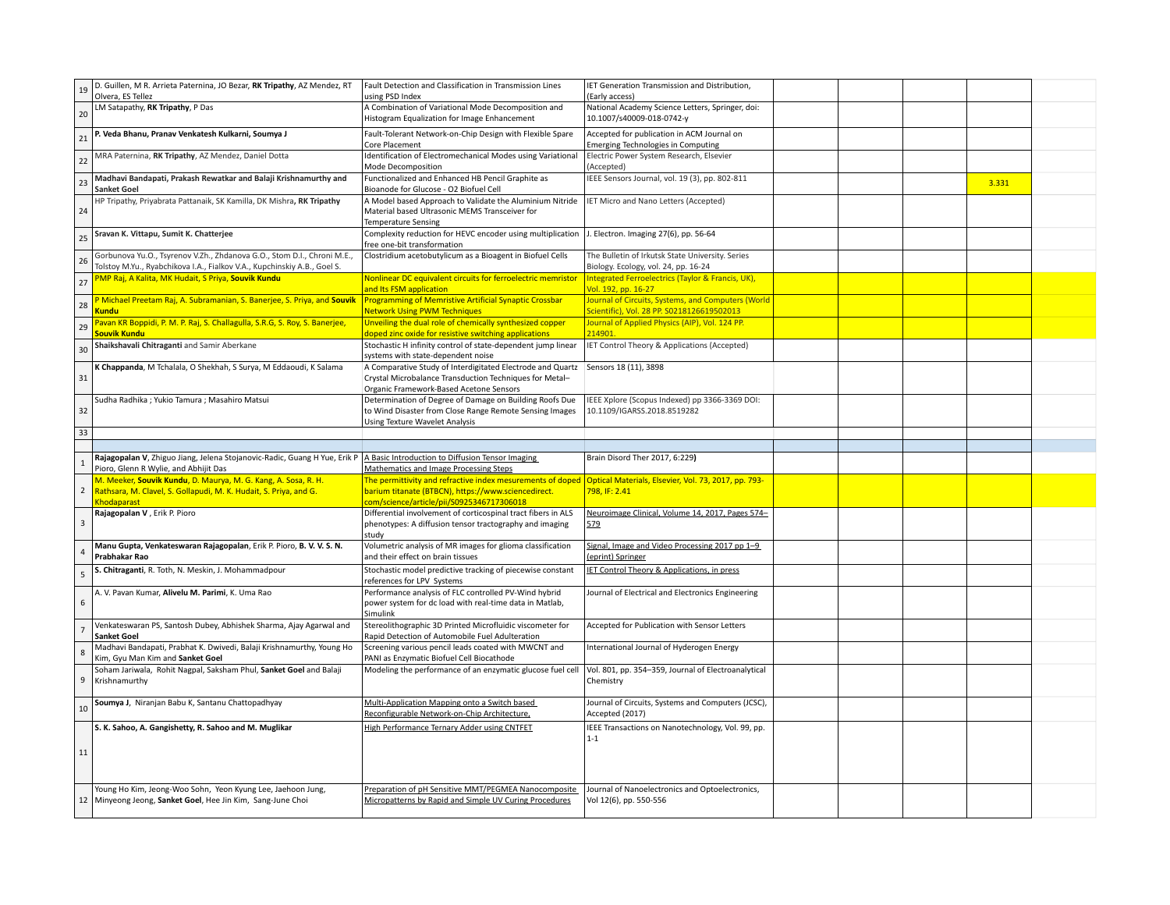| 19                      | D. Guillen, M R. Arrieta Paternina, JO Bezar, RK Tripathy, AZ Mendez, RT<br>Olvera, ES Tellez                                                       | Fault Detection and Classification in Transmission Lines<br>using PSD Index                                                                                                    | IET Generation Transmission and Distribution,<br>(Early access)                                         |  |       |  |
|-------------------------|-----------------------------------------------------------------------------------------------------------------------------------------------------|--------------------------------------------------------------------------------------------------------------------------------------------------------------------------------|---------------------------------------------------------------------------------------------------------|--|-------|--|
| 20                      | LM Satapathy, RK Tripathy, P Das                                                                                                                    | A Combination of Variational Mode Decomposition and<br>Histogram Equalization for Image Enhancement                                                                            | National Academy Science Letters, Springer, doi:<br>10.1007/s40009-018-0742-y                           |  |       |  |
| 21                      | P. Veda Bhanu, Pranav Venkatesh Kulkarni, Soumya J                                                                                                  | Fault-Tolerant Network-on-Chip Design with Flexible Spare<br>Core Placement                                                                                                    | Accepted for publication in ACM Journal on<br><b>Emerging Technologies in Computing</b>                 |  |       |  |
| 22                      | MRA Paternina, RK Tripathy, AZ Mendez, Daniel Dotta                                                                                                 | Identification of Electromechanical Modes using Variational<br>Mode Decomposition                                                                                              | Electric Power System Research, Elsevier<br>Accepted)                                                   |  |       |  |
| 23                      | Madhavi Bandapati, Prakash Rewatkar and Balaji Krishnamurthy and<br><b>Sanket Goel</b>                                                              | Functionalized and Enhanced HB Pencil Graphite as<br>Bioanode for Glucose - O2 Biofuel Cell                                                                                    | IEEE Sensors Journal, vol. 19 (3), pp. 802-811                                                          |  | 3.331 |  |
| 24                      | HP Tripathy, Priyabrata Pattanaik, SK Kamilla, DK Mishra, RK Tripathy                                                                               | A Model based Approach to Validate the Aluminium Nitride<br>Material based Ultrasonic MEMS Transceiver for<br><b>Temperature Sensing</b>                                       | <b>IET Micro and Nano Letters (Accepted)</b>                                                            |  |       |  |
| 25                      | Sravan K. Vittapu, Sumit K. Chatterjee                                                                                                              | Complexity reduction for HEVC encoder using multiplication<br>free one-bit transformation                                                                                      | J. Electron. Imaging 27(6), pp. 56-64                                                                   |  |       |  |
| 26                      | Gorbunova Yu.O., Tsyrenov V.Zh., Zhdanova G.O., Stom D.I., Chroni M.E.,<br>Tolstoy M.Yu., Ryabchikova I.A., Fialkov V.A., Kupchinskiy A.B., Goel S. | Clostridium acetobutylicum as a Bioagent in Biofuel Cells                                                                                                                      | The Bulletin of Irkutsk State University. Series<br>Biology. Ecology, vol. 24, pp. 16-24                |  |       |  |
| 27                      | PMP Raj, A Kalita, MK Hudait, S Priya, Souvik Kundu                                                                                                 | Nonlinear DC equivalent circuits for ferroelectric memristor<br>and Its FSM application                                                                                        | Integrated Ferroelectrics (Taylor & Francis, UK),<br>Vol. 192, pp. 16-27                                |  |       |  |
| 28                      | P Michael Preetam Raj, A. Subramanian, S. Banerjee, S. Priya, and Souvik<br><b>Kundu</b>                                                            | <b>Programming of Memristive Artificial Synaptic Crossbar</b><br><b>Network Using PWM Techniques</b>                                                                           | <b>Iournal of Circuits, Systems, and Computers (World</b><br>Scientific), Vol. 28 PP. S0218126619502013 |  |       |  |
| 29                      | Pavan KR Boppidi, P. M. P. Raj, S. Challagulla, S.R.G, S. Roy, S. Banerjee,<br>Souvik Kundu                                                         | Unveiling the dual role of chemically synthesized copper<br>doped zinc oxide for resistive switching applications                                                              | Journal of Applied Physics (AIP), Vol. 124 PP.<br>14901.                                                |  |       |  |
| 30                      | Shaikshavali Chitraganti and Samir Aberkane                                                                                                         | Stochastic H infinity control of state-dependent jump linear<br>systems with state-dependent noise                                                                             | IET Control Theory & Applications (Accepted)                                                            |  |       |  |
| 31                      | K Chappanda, M Tchalala, O Shekhah, S Surya, M Eddaoudi, K Salama                                                                                   | A Comparative Study of Interdigitated Electrode and Quartz<br>Crystal Microbalance Transduction Techniques for Metal-<br>Organic Framework-Based Acetone Sensors               | Sensors 18 (11), 3898                                                                                   |  |       |  |
| 32                      | Sudha Radhika ; Yukio Tamura ; Masahiro Matsui                                                                                                      | Determination of Degree of Damage on Building Roofs Due<br>to Wind Disaster from Close Range Remote Sensing Images<br><b>Using Texture Wavelet Analysis</b>                    | IEEE Xplore (Scopus Indexed) pp 3366-3369 DOI:<br>10.1109/IGARSS.2018.8519282                           |  |       |  |
| 33                      |                                                                                                                                                     |                                                                                                                                                                                |                                                                                                         |  |       |  |
|                         |                                                                                                                                                     |                                                                                                                                                                                |                                                                                                         |  |       |  |
|                         |                                                                                                                                                     |                                                                                                                                                                                | Brain Disord Ther 2017, 6:229)                                                                          |  |       |  |
| $\mathbf{1}$            | Rajagopalan V, Zhiguo Jiang, Jelena Stojanovic-Radic, Guang H Yue, Erik P<br>Pioro, Glenn R Wylie, and Abhijit Das                                  | A Basic Introduction to Diffusion Tensor Imaging<br>Mathematics and Image Processing Steps                                                                                     |                                                                                                         |  |       |  |
| $\overline{2}$          | M. Meeker, Souvik Kundu, D. Maurya, M. G. Kang, A. Sosa, R. H.<br>Rathsara, M. Clavel, S. Gollapudi, M. K. Hudait, S. Priya, and G.                 | The permittivity and refractive index mesurements of doped<br>barium titanate (BTBCN), https://www.sciencedirect.                                                              | Optical Materials, Elsevier, Vol. 73, 2017, pp. 793-<br>798, IF: 2.41                                   |  |       |  |
| $\overline{\mathbf{3}}$ | Khodaparast<br>Rajagopalan V, Erik P. Pioro                                                                                                         | com/science/article/pii/S0925346717306018<br>Differential involvement of corticospinal tract fibers in ALS<br>phenotypes: A diffusion tensor tractography and imaging<br>study | Neuroimage Clinical, Volume 14, 2017, Pages 574-<br>579                                                 |  |       |  |
| $\overline{4}$          | Manu Gupta, Venkateswaran Rajagopalan, Erik P. Pioro, B. V. V. S. N.<br>Prabhakar Rao                                                               | Volumetric analysis of MR images for glioma classification<br>and their effect on brain tissues                                                                                | Signal, Image and Video Processing 2017 pp 1-9<br>(eprint) Springer                                     |  |       |  |
| 5                       | S. Chitraganti, R. Toth, N. Meskin, J. Mohammadpour                                                                                                 | Stochastic model predictive tracking of piecewise constant<br>references for LPV Systems                                                                                       | IET Control Theory & Applications, in press                                                             |  |       |  |
| 6                       | A. V. Pavan Kumar, Alivelu M. Parimi, K. Uma Rao                                                                                                    | Performance analysis of FLC controlled PV-Wind hybrid<br>power system for dc load with real-time data in Matlab,<br>Simulink                                                   | Journal of Electrical and Electronics Engineering                                                       |  |       |  |
| $\overline{7}$          | Venkateswaran PS, Santosh Dubey, Abhishek Sharma, Ajay Agarwal and<br><b>Sanket Goel</b>                                                            | Stereolithographic 3D Printed Microfluidic viscometer for<br>Rapid Detection of Automobile Fuel Adulteration                                                                   | Accepted for Publication with Sensor Letters                                                            |  |       |  |
| 8                       | Madhavi Bandapati, Prabhat K. Dwivedi, Balaji Krishnamurthy, Young Ho<br>Kim, Gyu Man Kim and Sanket Goel                                           | Screening various pencil leads coated with MWCNT and<br>PANI as Enzymatic Biofuel Cell Biocathode                                                                              | International Journal of Hyderogen Energy                                                               |  |       |  |
| 9                       | Soham Jariwala, Rohit Nagpal, Saksham Phul, Sanket Goel and Balaji<br>Krishnamurthy                                                                 | Modeling the performance of an enzymatic glucose fuel cell                                                                                                                     | Vol. 801, pp. 354-359, Journal of Electroanalytical<br>Chemistry                                        |  |       |  |
| 10                      | Soumya J, Niranjan Babu K, Santanu Chattopadhyay                                                                                                    | Multi-Application Mapping onto a Switch based<br>Reconfigurable Network-on-Chip Architecture,                                                                                  | Journal of Circuits, Systems and Computers (JCSC),<br>Accepted (2017)                                   |  |       |  |
|                         | S. K. Sahoo, A. Gangishetty, R. Sahoo and M. Muglikar                                                                                               | High Performance Ternary Adder using CNTFET                                                                                                                                    | IEEE Transactions on Nanotechnology, Vol. 99, pp.<br>$1 - 1$                                            |  |       |  |
| 11                      |                                                                                                                                                     |                                                                                                                                                                                |                                                                                                         |  |       |  |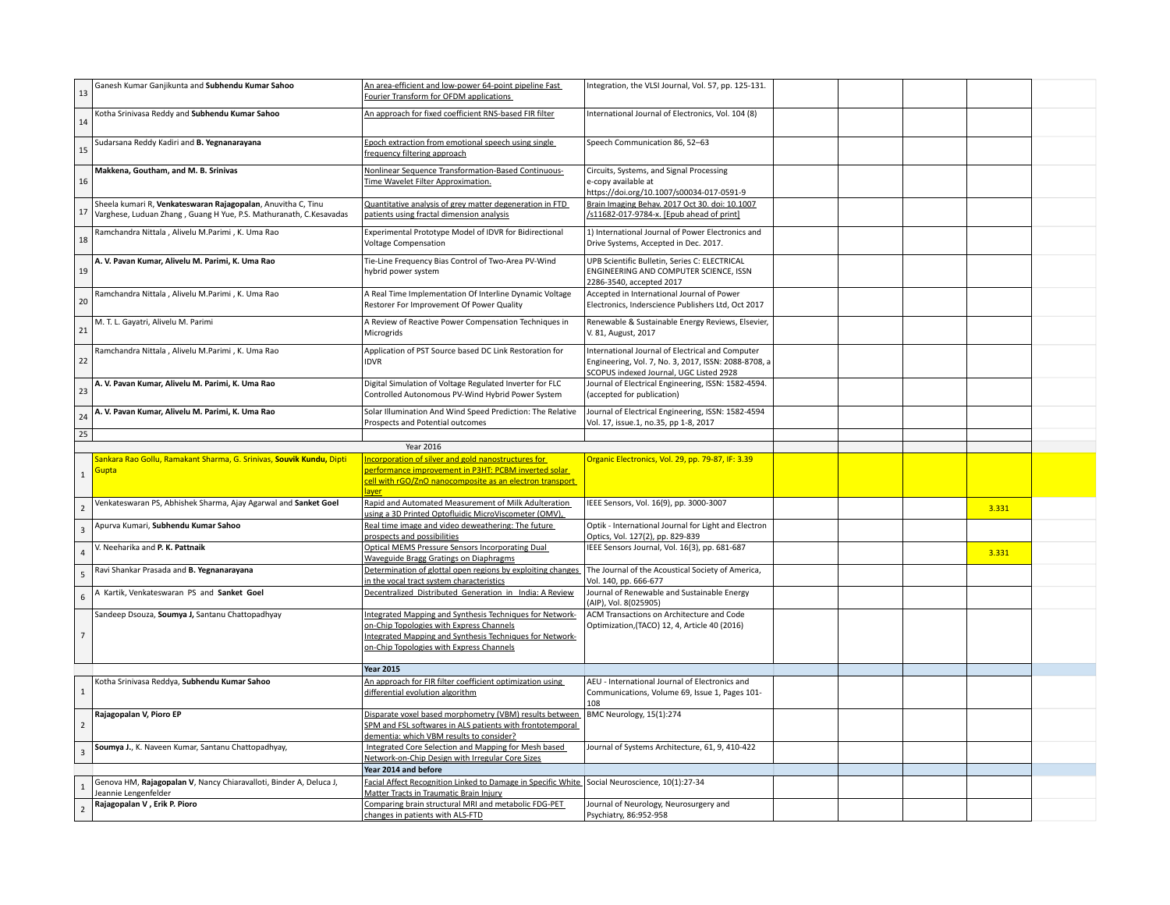| 13                      | Ganesh Kumar Ganjikunta and Subhendu Kumar Sahoo                                                                                   | An area-efficient and low-power 64-point pipeline Fast<br>Fourier Transform for OFDM applications                                                                                                            | Integration, the VLSI Journal, Vol. 57, pp. 125-131.                                                                                                |  |       |  |
|-------------------------|------------------------------------------------------------------------------------------------------------------------------------|--------------------------------------------------------------------------------------------------------------------------------------------------------------------------------------------------------------|-----------------------------------------------------------------------------------------------------------------------------------------------------|--|-------|--|
| 14                      | Kotha Srinivasa Reddy and Subhendu Kumar Sahoo                                                                                     | An approach for fixed coefficient RNS-based FIR filter                                                                                                                                                       | International Journal of Electronics, Vol. 104 (8)                                                                                                  |  |       |  |
| 15                      | Sudarsana Reddy Kadiri and B. Yegnanarayana                                                                                        | Epoch extraction from emotional speech using single<br>frequency filtering approach                                                                                                                          | Speech Communication 86, 52-63                                                                                                                      |  |       |  |
| 16                      | Makkena, Goutham, and M. B. Srinivas                                                                                               | Nonlinear Sequence Transformation-Based Continuous-<br>Time Wavelet Filter Approximation.                                                                                                                    | Circuits, Systems, and Signal Processing<br>e-copy available at<br>https://doi.org/10.1007/s00034-017-0591-9                                        |  |       |  |
| 17                      | Sheela kumari R, Venkateswaran Rajagopalan, Anuvitha C, Tinu<br>Varghese, Luduan Zhang, Guang H Yue, P.S. Mathuranath, C.Kesavadas | Quantitative analysis of grey matter degeneration in FTD<br>patients using fractal dimension analysis                                                                                                        | Brain Imaging Behav. 2017 Oct 30. doi: 10.1007<br>/s11682-017-9784-x. [Epub ahead of print]                                                         |  |       |  |
| 18                      | Ramchandra Nittala, Alivelu M.Parimi, K. Uma Rao                                                                                   | Experimental Prototype Model of IDVR for Bidirectional<br><b>Voltage Compensation</b>                                                                                                                        | 1) International Journal of Power Electronics and<br>Drive Systems, Accepted in Dec. 2017.                                                          |  |       |  |
| 19                      | A. V. Pavan Kumar, Alivelu M. Parimi, K. Uma Rao                                                                                   | Tie-Line Frequency Bias Control of Two-Area PV-Wind<br>hybrid power system                                                                                                                                   | UPB Scientific Bulletin, Series C: ELECTRICAL<br>ENGINEERING AND COMPUTER SCIENCE, ISSN<br>2286-3540, accepted 2017                                 |  |       |  |
| 20                      | Ramchandra Nittala, Alivelu M.Parimi, K. Uma Rao                                                                                   | A Real Time Implementation Of Interline Dynamic Voltage<br>Restorer For Improvement Of Power Quality                                                                                                         | Accepted in International Journal of Power<br>Electronics, Inderscience Publishers Ltd, Oct 2017                                                    |  |       |  |
| 21                      | M. T. L. Gayatri, Alivelu M. Parimi                                                                                                | A Review of Reactive Power Compensation Techniques in<br>Microgrids                                                                                                                                          | Renewable & Sustainable Energy Reviews, Elsevier,<br>V. 81, August, 2017                                                                            |  |       |  |
| 22                      | Ramchandra Nittala, Alivelu M.Parimi, K. Uma Rao                                                                                   | Application of PST Source based DC Link Restoration for<br><b>IDVR</b>                                                                                                                                       | International Journal of Electrical and Computer<br>Engineering, Vol. 7, No. 3, 2017, ISSN: 2088-8708, a<br>SCOPUS indexed Journal, UGC Listed 2928 |  |       |  |
| 23                      | A. V. Pavan Kumar, Alivelu M. Parimi, K. Uma Rao                                                                                   | Digital Simulation of Voltage Regulated Inverter for FLC<br>Controlled Autonomous PV-Wind Hybrid Power System                                                                                                | Journal of Electrical Engineering, ISSN: 1582-4594.<br>(accepted for publication)                                                                   |  |       |  |
| 24                      | A. V. Pavan Kumar, Alivelu M. Parimi, K. Uma Rao                                                                                   | Solar Illumination And Wind Speed Prediction: The Relative<br>Prospects and Potential outcomes                                                                                                               | Journal of Electrical Engineering, ISSN: 1582-4594<br>Vol. 17, issue.1, no.35, pp 1-8, 2017                                                         |  |       |  |
| 25                      |                                                                                                                                    |                                                                                                                                                                                                              |                                                                                                                                                     |  |       |  |
|                         |                                                                                                                                    |                                                                                                                                                                                                              |                                                                                                                                                     |  |       |  |
|                         |                                                                                                                                    | Year 2016                                                                                                                                                                                                    |                                                                                                                                                     |  |       |  |
| $\,$ 1                  | Sankara Rao Gollu, Ramakant Sharma, G. Srinivas, Souvik Kundu, Dipti<br><b>Gupta</b>                                               | Incorporation of silver and gold nanostructures for<br>performance improvement in P3HT: PCBM inverted solar<br>cell with rGO/ZnO nanocomposite as an electron transport                                      | Organic Electronics, Vol. 29, pp. 79-87, IF: 3.39                                                                                                   |  |       |  |
| $\overline{2}$          | Venkateswaran PS, Abhishek Sharma, Ajay Agarwal and Sanket Goel                                                                    | laver<br>Rapid and Automated Measurement of Milk Adulteration<br>using a 3D Printed Optofluidic MicroViscometer (OMV),                                                                                       | IEEE Sensors, Vol. 16(9), pp. 3000-3007                                                                                                             |  | 3.331 |  |
| $\overline{\mathbf{3}}$ | Apurva Kumari, Subhendu Kumar Sahoo                                                                                                | Real time image and video deweathering: The future<br>prospects and possibilities                                                                                                                            | Optik - International Journal for Light and Electron<br>Optics, Vol. 127(2), pp. 829-839                                                            |  |       |  |
| $\overline{4}$          | V. Neeharika and P. K. Pattnaik                                                                                                    | <b>Optical MEMS Pressure Sensors Incorporating Dual</b><br>Waveguide Bragg Gratings on Diaphragms                                                                                                            | IEEE Sensors Journal, Vol. 16(3), pp. 681-687                                                                                                       |  | 3.331 |  |
| 5                       | Ravi Shankar Prasada and B. Yegnanarayana                                                                                          | Determination of glottal open regions by exploiting changes                                                                                                                                                  | The Journal of the Acoustical Society of America,                                                                                                   |  |       |  |
| 6                       | A Kartik, Venkateswaran PS and Sanket Goel                                                                                         | in the vocal tract system characteristics<br>Decentralized Distributed Generation in India: A Review                                                                                                         | Vol. 140, pp. 666-677<br>Journal of Renewable and Sustainable Energy<br>(AIP), Vol. 8(025905)                                                       |  |       |  |
| $\overline{7}$          | Sandeep Dsouza, Soumya J, Santanu Chattopadhyay                                                                                    | Integrated Mapping and Synthesis Techniques for Network-<br>on-Chip Topologies with Express Channels<br>Integrated Mapping and Synthesis Techniques for Network-<br>on-Chip Topologies with Express Channels | ACM Transactions on Architecture and Code<br>Optimization, (TACO) 12, 4, Article 40 (2016)                                                          |  |       |  |
|                         |                                                                                                                                    | <b>Year 2015</b>                                                                                                                                                                                             |                                                                                                                                                     |  |       |  |
| 1                       | Kotha Srinivasa Reddya, Subhendu Kumar Sahoo                                                                                       | An approach for FIR filter coefficient optimization using<br>differential evolution algorithm                                                                                                                | AEU - International Journal of Electronics and<br>Communications, Volume 69, Issue 1, Pages 101-<br>108                                             |  |       |  |
| $\overline{2}$          | Rajagopalan V, Pioro EP                                                                                                            | Disparate voxel based morphometry (VBM) results between<br>SPM and FSL softwares in ALS patients with frontotemporal<br>dementia: which VBM results to consider?                                             | BMC Neurology, 15(1):274                                                                                                                            |  |       |  |
| $\overline{\mathbf{3}}$ | Soumya J., K. Naveen Kumar, Santanu Chattopadhyay,                                                                                 | Integrated Core Selection and Mapping for Mesh based<br>Network-on-Chip Design with Irregular Core Sizes                                                                                                     | Journal of Systems Architecture, 61, 9, 410-422                                                                                                     |  |       |  |
|                         |                                                                                                                                    | Year 2014 and before                                                                                                                                                                                         |                                                                                                                                                     |  |       |  |
| 1                       | Genova HM, Rajagopalan V, Nancy Chiaravalloti, Binder A, Deluca J,<br>Jeannie Lengenfelder<br>Rajagopalan V, Erik P. Pioro         | Facial Affect Recognition Linked to Damage in Specific White Social Neuroscience, 10(1):27-34<br>Matter Tracts in Traumatic Brain Injury<br>Comparing brain structural MRI and metabolic FDG-PET             | Journal of Neurology, Neurosurgery and                                                                                                              |  |       |  |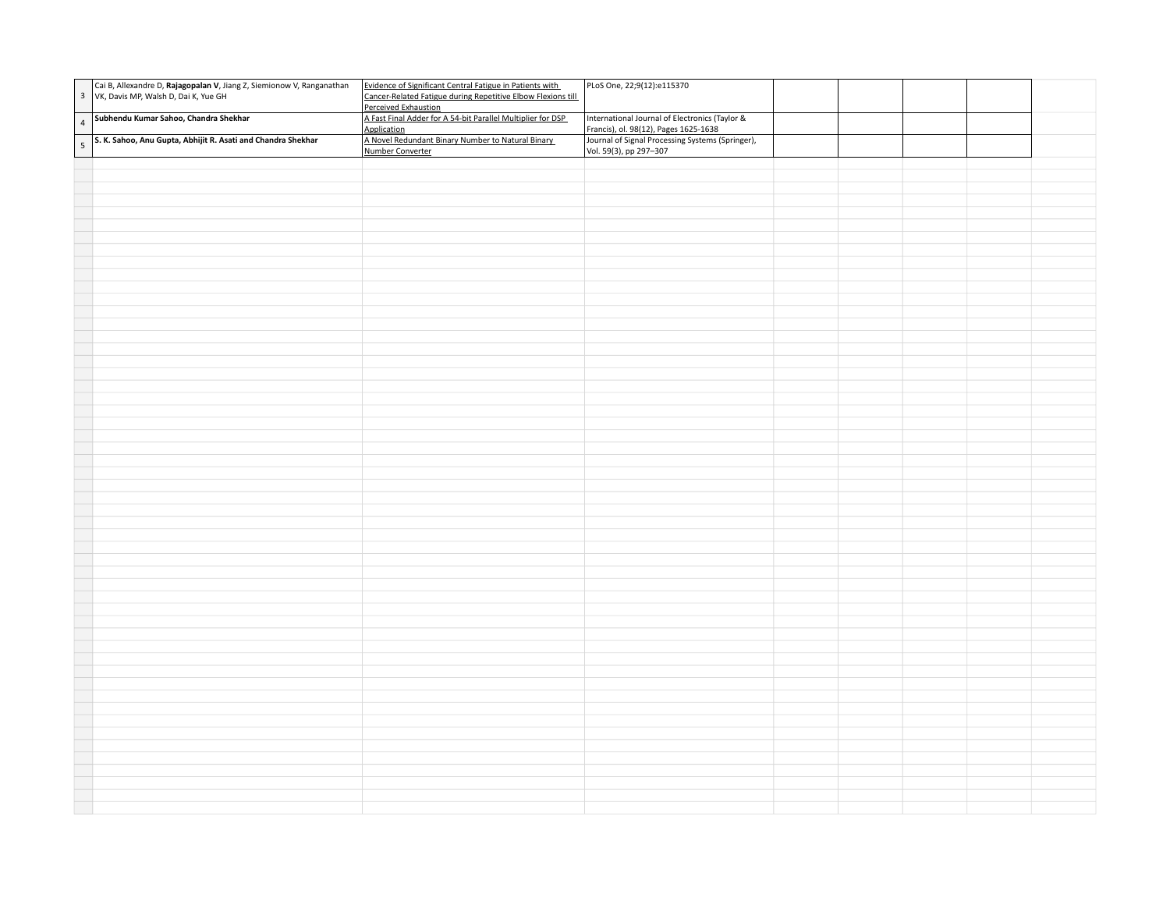| Cai B, Allexandre D, Rajagopalan V, Jiang Z, Siemionow V, Ranganathan VK, Davis MP, Walsh D, Dai K, Yue GH | Evidence of Significant Central Fatigue in Patients with<br>Cancer-Related Fatigue during Repetitive Elbow Flexions till | PLoS One, 22;9(12):e115370                                                              |  |  |
|------------------------------------------------------------------------------------------------------------|--------------------------------------------------------------------------------------------------------------------------|-----------------------------------------------------------------------------------------|--|--|
|                                                                                                            | Perceived Exhaustion<br>A Fast Final Adder for A 54-bit Parallel Multiplier for DSP<br>Application                       | International Journal of Electronics (Taylor &<br>Francis), ol. 98(12), Pages 1625-1638 |  |  |
| 4 Subhendu Kumar Sahoo, Chandra Shekhar<br>5 S. K. Sahoo, Anu Gupta, Abhijit R. Asati and Chandra Shekhar  | A Novel Redundant Binary Number to Natural Binary<br>Number Converter                                                    | Journal of Signal Processing Systems (Springer),<br>Vol. 59(3), pp 297-307              |  |  |
|                                                                                                            |                                                                                                                          |                                                                                         |  |  |
|                                                                                                            |                                                                                                                          |                                                                                         |  |  |
|                                                                                                            |                                                                                                                          |                                                                                         |  |  |
|                                                                                                            |                                                                                                                          |                                                                                         |  |  |
|                                                                                                            |                                                                                                                          |                                                                                         |  |  |
|                                                                                                            |                                                                                                                          |                                                                                         |  |  |
|                                                                                                            |                                                                                                                          |                                                                                         |  |  |
|                                                                                                            |                                                                                                                          |                                                                                         |  |  |
|                                                                                                            |                                                                                                                          |                                                                                         |  |  |
|                                                                                                            |                                                                                                                          |                                                                                         |  |  |
|                                                                                                            |                                                                                                                          |                                                                                         |  |  |
|                                                                                                            |                                                                                                                          |                                                                                         |  |  |
|                                                                                                            |                                                                                                                          |                                                                                         |  |  |
|                                                                                                            |                                                                                                                          |                                                                                         |  |  |
|                                                                                                            |                                                                                                                          |                                                                                         |  |  |
|                                                                                                            |                                                                                                                          |                                                                                         |  |  |
|                                                                                                            |                                                                                                                          |                                                                                         |  |  |
|                                                                                                            |                                                                                                                          |                                                                                         |  |  |
|                                                                                                            |                                                                                                                          |                                                                                         |  |  |
|                                                                                                            |                                                                                                                          |                                                                                         |  |  |
|                                                                                                            |                                                                                                                          |                                                                                         |  |  |
|                                                                                                            |                                                                                                                          |                                                                                         |  |  |
|                                                                                                            |                                                                                                                          |                                                                                         |  |  |
|                                                                                                            |                                                                                                                          |                                                                                         |  |  |
|                                                                                                            |                                                                                                                          |                                                                                         |  |  |
|                                                                                                            |                                                                                                                          |                                                                                         |  |  |
|                                                                                                            |                                                                                                                          |                                                                                         |  |  |
|                                                                                                            |                                                                                                                          |                                                                                         |  |  |
|                                                                                                            |                                                                                                                          |                                                                                         |  |  |
|                                                                                                            |                                                                                                                          |                                                                                         |  |  |
|                                                                                                            |                                                                                                                          |                                                                                         |  |  |
|                                                                                                            |                                                                                                                          |                                                                                         |  |  |
|                                                                                                            |                                                                                                                          |                                                                                         |  |  |
|                                                                                                            |                                                                                                                          |                                                                                         |  |  |
|                                                                                                            |                                                                                                                          |                                                                                         |  |  |
|                                                                                                            |                                                                                                                          |                                                                                         |  |  |
|                                                                                                            |                                                                                                                          |                                                                                         |  |  |
|                                                                                                            |                                                                                                                          |                                                                                         |  |  |
|                                                                                                            |                                                                                                                          |                                                                                         |  |  |
|                                                                                                            |                                                                                                                          |                                                                                         |  |  |
|                                                                                                            |                                                                                                                          |                                                                                         |  |  |
|                                                                                                            |                                                                                                                          |                                                                                         |  |  |
|                                                                                                            |                                                                                                                          |                                                                                         |  |  |
|                                                                                                            |                                                                                                                          |                                                                                         |  |  |
|                                                                                                            |                                                                                                                          |                                                                                         |  |  |
|                                                                                                            |                                                                                                                          |                                                                                         |  |  |
|                                                                                                            |                                                                                                                          |                                                                                         |  |  |
|                                                                                                            |                                                                                                                          |                                                                                         |  |  |
|                                                                                                            |                                                                                                                          |                                                                                         |  |  |
|                                                                                                            |                                                                                                                          |                                                                                         |  |  |